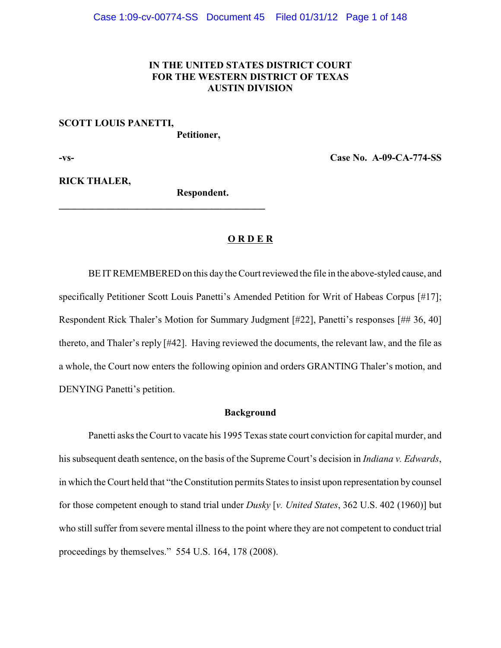# **IN THE UNITED STATES DISTRICT COURT FOR THE WESTERN DISTRICT OF TEXAS AUSTIN DIVISION**

#### **SCOTT LOUIS PANETTI,**

**Petitioner,**

**-vs- Case No. A-09-CA-774-SS**

**RICK THALER,**

**Respondent.**

**\_\_\_\_\_\_\_\_\_\_\_\_\_\_\_\_\_\_\_\_\_\_\_\_\_\_\_\_\_\_\_\_\_\_\_\_\_\_\_\_\_\_**

# **O R D E R**

BE IT REMEMBERED on this day the Court reviewed the file in the above-styled cause, and specifically Petitioner Scott Louis Panetti's Amended Petition for Writ of Habeas Corpus [#17]; Respondent Rick Thaler's Motion for Summary Judgment [#22], Panetti's responses [## 36, 40] thereto, and Thaler's reply [#42]. Having reviewed the documents, the relevant law, and the file as a whole, the Court now enters the following opinion and orders GRANTING Thaler's motion, and DENYING Panetti's petition.

#### **Background**

Panetti asks the Court to vacate his 1995 Texas state court conviction for capital murder, and his subsequent death sentence, on the basis of the Supreme Court's decision in *Indiana v. Edwards*, in which the Court held that "the Constitution permits States to insist upon representation by counsel for those competent enough to stand trial under *Dusky* [*v. United States*, 362 U.S. 402 (1960)] but who still suffer from severe mental illness to the point where they are not competent to conduct trial proceedings by themselves." 554 U.S. 164, 178 (2008).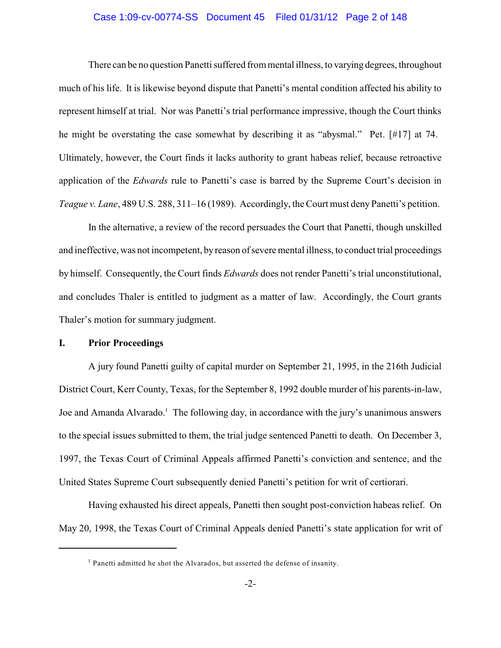# Case 1:09-cv-00774-SS Document 45 Filed 01/31/12 Page 2 of 148

There can be no question Panetti suffered from mental illness, to varying degrees, throughout much of his life. It is likewise beyond dispute that Panetti's mental condition affected his ability to represent himself at trial. Nor was Panetti's trial performance impressive, though the Court thinks he might be overstating the case somewhat by describing it as "abysmal." Pet. [#17] at 74. Ultimately, however, the Court finds it lacks authority to grant habeas relief, because retroactive application of the *Edwards* rule to Panetti's case is barred by the Supreme Court's decision in *Teague v. Lane*, 489 U.S. 288, 311–16 (1989). Accordingly, the Court must deny Panetti's petition.

In the alternative, a review of the record persuades the Court that Panetti, though unskilled and ineffective, was not incompetent, byreason of severe mental illness, to conduct trial proceedings by himself. Consequently, the Court finds *Edwards* does not render Panetti's trial unconstitutional, and concludes Thaler is entitled to judgment as a matter of law. Accordingly, the Court grants Thaler's motion for summary judgment.

# **I. Prior Proceedings**

A jury found Panetti guilty of capital murder on September 21, 1995, in the 216th Judicial District Court, Kerr County, Texas, for the September 8, 1992 double murder of his parents-in-law, Joe and Amanda Alvarado.<sup>1</sup> The following day, in accordance with the jury's unanimous answers to the special issues submitted to them, the trial judge sentenced Panetti to death. On December 3, 1997, the Texas Court of Criminal Appeals affirmed Panetti's conviction and sentence, and the United States Supreme Court subsequently denied Panetti's petition for writ of certiorari.

Having exhausted his direct appeals, Panetti then sought post-conviction habeas relief. On May 20, 1998, the Texas Court of Criminal Appeals denied Panetti's state application for writ of

 $<sup>1</sup>$  Panetti admitted he shot the Alvarados, but asserted the defense of insanity.</sup>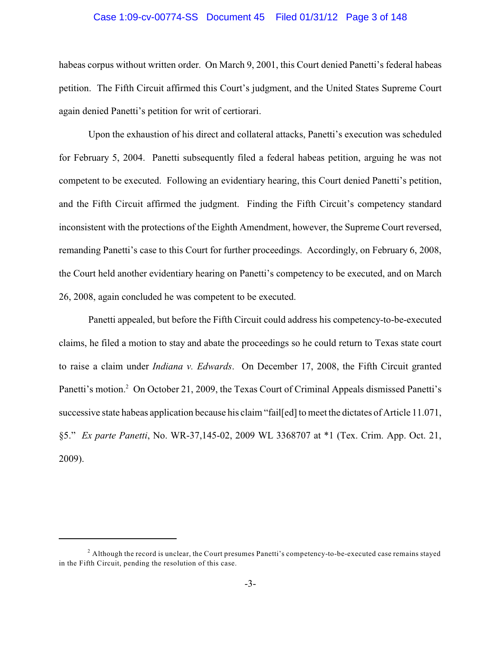# Case 1:09-cv-00774-SS Document 45 Filed 01/31/12 Page 3 of 148

habeas corpus without written order. On March 9, 2001, this Court denied Panetti's federal habeas petition. The Fifth Circuit affirmed this Court's judgment, and the United States Supreme Court again denied Panetti's petition for writ of certiorari.

Upon the exhaustion of his direct and collateral attacks, Panetti's execution was scheduled for February 5, 2004. Panetti subsequently filed a federal habeas petition, arguing he was not competent to be executed. Following an evidentiary hearing, this Court denied Panetti's petition, and the Fifth Circuit affirmed the judgment. Finding the Fifth Circuit's competency standard inconsistent with the protections of the Eighth Amendment, however, the Supreme Court reversed, remanding Panetti's case to this Court for further proceedings. Accordingly, on February 6, 2008, the Court held another evidentiary hearing on Panetti's competency to be executed, and on March 26, 2008, again concluded he was competent to be executed.

Panetti appealed, but before the Fifth Circuit could address his competency-to-be-executed claims, he filed a motion to stay and abate the proceedings so he could return to Texas state court to raise a claim under *Indiana v. Edwards*. On December 17, 2008, the Fifth Circuit granted Panetti's motion.<sup>2</sup> On October 21, 2009, the Texas Court of Criminal Appeals dismissed Panetti's successive state habeas application because his claim "fail[ed] to meet the dictates of Article 11.071, §5." *Ex parte Panetti*, No. WR-37,145-02, 2009 WL 3368707 at \*1 (Tex. Crim. App. Oct. 21, 2009).

 $^2$  Although the record is unclear, the Court presumes Panetti's competency-to-be-executed case remains stayed in the Fifth Circuit, pending the resolution of this case.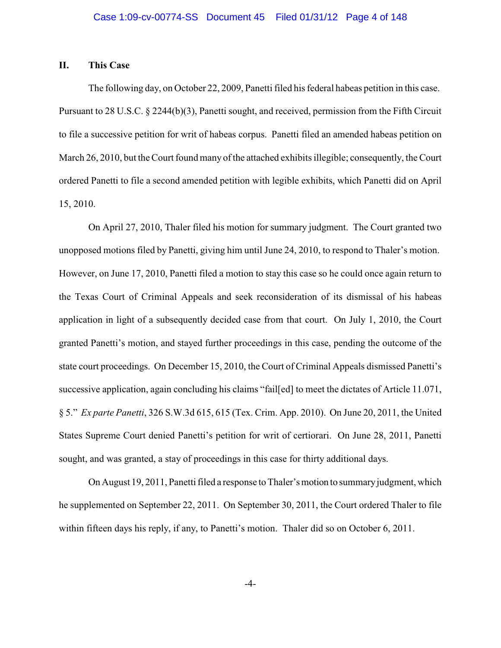# **II. This Case**

The following day, on October 22, 2009, Panetti filed his federal habeas petition in this case. Pursuant to 28 U.S.C. § 2244(b)(3), Panetti sought, and received, permission from the Fifth Circuit to file a successive petition for writ of habeas corpus. Panetti filed an amended habeas petition on March 26, 2010, but the Court found many of the attached exhibits illegible; consequently, the Court ordered Panetti to file a second amended petition with legible exhibits, which Panetti did on April 15, 2010.

On April 27, 2010, Thaler filed his motion for summary judgment. The Court granted two unopposed motions filed by Panetti, giving him until June 24, 2010, to respond to Thaler's motion. However, on June 17, 2010, Panetti filed a motion to stay this case so he could once again return to the Texas Court of Criminal Appeals and seek reconsideration of its dismissal of his habeas application in light of a subsequently decided case from that court. On July 1, 2010, the Court granted Panetti's motion, and stayed further proceedings in this case, pending the outcome of the state court proceedings. On December 15, 2010, the Court of Criminal Appeals dismissed Panetti's successive application, again concluding his claims "fail[ed] to meet the dictates of Article 11.071, § 5." *Ex parte Panetti*, 326 S.W.3d 615, 615 (Tex. Crim. App. 2010). On June 20, 2011, the United States Supreme Court denied Panetti's petition for writ of certiorari. On June 28, 2011, Panetti sought, and was granted, a stay of proceedings in this case for thirty additional days.

On August 19, 2011, Panetti filed a response to Thaler's motion to summary judgment, which he supplemented on September 22, 2011. On September 30, 2011, the Court ordered Thaler to file within fifteen days his reply, if any, to Panetti's motion. Thaler did so on October 6, 2011.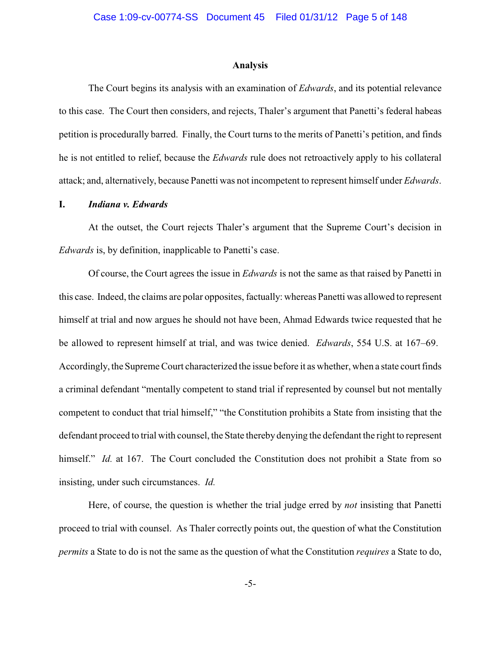#### **Analysis**

The Court begins its analysis with an examination of *Edwards*, and its potential relevance to this case. The Court then considers, and rejects, Thaler's argument that Panetti's federal habeas petition is procedurally barred. Finally, the Court turns to the merits of Panetti's petition, and finds he is not entitled to relief, because the *Edwards* rule does not retroactively apply to his collateral attack; and, alternatively, because Panetti was not incompetent to represent himself under *Edwards*.

# **I.** *Indiana v. Edwards*

At the outset, the Court rejects Thaler's argument that the Supreme Court's decision in *Edwards* is, by definition, inapplicable to Panetti's case.

Of course, the Court agrees the issue in *Edwards* is not the same as that raised by Panetti in this case. Indeed, the claims are polar opposites, factually: whereas Panetti was allowed to represent himself at trial and now argues he should not have been, Ahmad Edwards twice requested that he be allowed to represent himself at trial, and was twice denied. *Edwards*, 554 U.S. at 167–69. Accordingly, the Supreme Court characterized the issue before it as whether, when a state court finds a criminal defendant "mentally competent to stand trial if represented by counsel but not mentally competent to conduct that trial himself," "the Constitution prohibits a State from insisting that the defendant proceed to trial with counsel, the State thereby denying the defendant the right to represent himself." *Id.* at 167. The Court concluded the Constitution does not prohibit a State from so insisting, under such circumstances. *Id.*

Here, of course, the question is whether the trial judge erred by *not* insisting that Panetti proceed to trial with counsel. As Thaler correctly points out, the question of what the Constitution *permits* a State to do is not the same as the question of what the Constitution *requires* a State to do,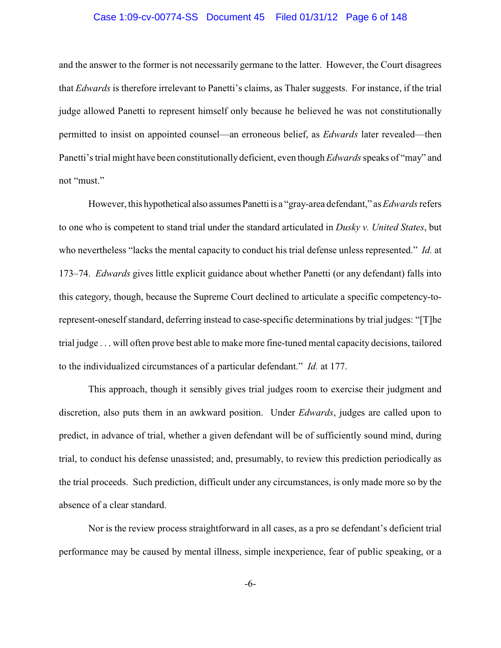# Case 1:09-cv-00774-SS Document 45 Filed 01/31/12 Page 6 of 148

and the answer to the former is not necessarily germane to the latter. However, the Court disagrees that *Edwards* is therefore irrelevant to Panetti's claims, as Thaler suggests. For instance, if the trial judge allowed Panetti to represent himself only because he believed he was not constitutionally permitted to insist on appointed counsel—an erroneous belief, as *Edwards* later revealed—then Panetti's trial might have been constitutionally deficient, even though *Edwards*speaks of "may" and not "must."

However, this hypothetical also assumes Panetti is a "gray-area defendant," as *Edwards*refers to one who is competent to stand trial under the standard articulated in *Dusky v. United States*, but who nevertheless "lacks the mental capacity to conduct his trial defense unless represented." *Id.* at 173–74. *Edwards* gives little explicit guidance about whether Panetti (or any defendant) falls into this category, though, because the Supreme Court declined to articulate a specific competency-torepresent-oneself standard, deferring instead to case-specific determinations by trial judges: "[T]he trial judge . . . will often prove best able to make more fine-tuned mental capacity decisions, tailored to the individualized circumstances of a particular defendant." *Id.* at 177.

This approach, though it sensibly gives trial judges room to exercise their judgment and discretion, also puts them in an awkward position. Under *Edwards*, judges are called upon to predict, in advance of trial, whether a given defendant will be of sufficiently sound mind, during trial, to conduct his defense unassisted; and, presumably, to review this prediction periodically as the trial proceeds. Such prediction, difficult under any circumstances, is only made more so by the absence of a clear standard.

Nor is the review process straightforward in all cases, as a pro se defendant's deficient trial performance may be caused by mental illness, simple inexperience, fear of public speaking, or a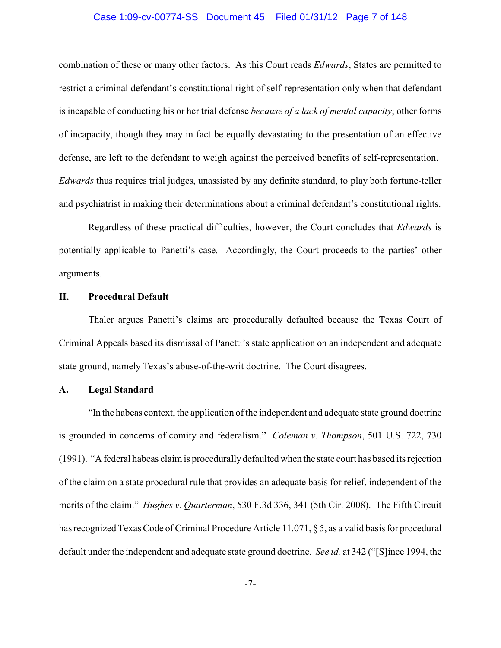# Case 1:09-cv-00774-SS Document 45 Filed 01/31/12 Page 7 of 148

combination of these or many other factors. As this Court reads *Edwards*, States are permitted to restrict a criminal defendant's constitutional right of self-representation only when that defendant is incapable of conducting his or her trial defense *because of a lack of mental capacity*; other forms of incapacity, though they may in fact be equally devastating to the presentation of an effective defense, are left to the defendant to weigh against the perceived benefits of self-representation. *Edwards* thus requires trial judges, unassisted by any definite standard, to play both fortune-teller and psychiatrist in making their determinations about a criminal defendant's constitutional rights.

Regardless of these practical difficulties, however, the Court concludes that *Edwards* is potentially applicable to Panetti's case. Accordingly, the Court proceeds to the parties' other arguments.

# **II. Procedural Default**

Thaler argues Panetti's claims are procedurally defaulted because the Texas Court of Criminal Appeals based its dismissal of Panetti's state application on an independent and adequate state ground, namely Texas's abuse-of-the-writ doctrine. The Court disagrees.

# **A. Legal Standard**

"In the habeas context, the application of the independent and adequate state ground doctrine is grounded in concerns of comity and federalism." *Coleman v. Thompson*, 501 U.S. 722, 730 (1991). "A federal habeas claim is procedurally defaulted when the state court has based its rejection of the claim on a state procedural rule that provides an adequate basis for relief, independent of the merits of the claim." *Hughes v. Quarterman*, 530 F.3d 336, 341 (5th Cir. 2008). The Fifth Circuit has recognized Texas Code of Criminal Procedure Article 11.071, § 5, as a valid basis for procedural default under the independent and adequate state ground doctrine. *See id.* at 342 ("[S]ince 1994, the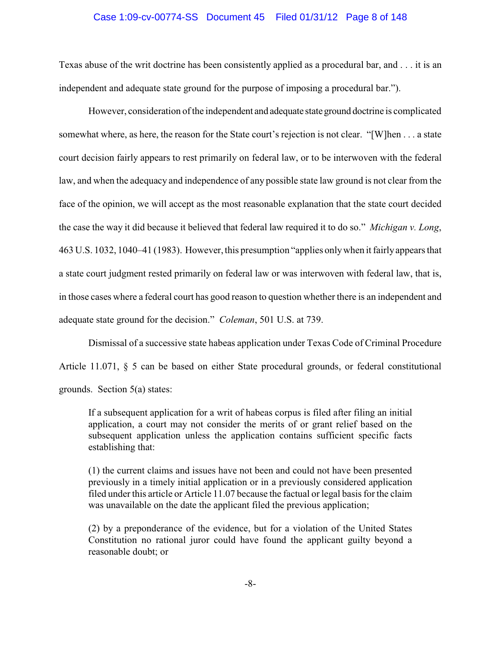# Case 1:09-cv-00774-SS Document 45 Filed 01/31/12 Page 8 of 148

Texas abuse of the writ doctrine has been consistently applied as a procedural bar, and . . . it is an independent and adequate state ground for the purpose of imposing a procedural bar.").

However, consideration of the independent and adequate stateground doctrine is complicated somewhat where, as here, the reason for the State court's rejection is not clear. "[W]hen . . . a state court decision fairly appears to rest primarily on federal law, or to be interwoven with the federal law, and when the adequacy and independence of any possible state law ground is not clear from the face of the opinion, we will accept as the most reasonable explanation that the state court decided the case the way it did because it believed that federal law required it to do so." *Michigan v. Long*, 463 U.S. 1032, 1040–41 (1983). However, this presumption "applies onlywhen it fairlyappears that a state court judgment rested primarily on federal law or was interwoven with federal law, that is, in those cases where a federal court has good reason to question whether there is an independent and adequate state ground for the decision." *Coleman*, 501 U.S. at 739.

Dismissal of a successive state habeas application under Texas Code of Criminal Procedure Article 11.071, § 5 can be based on either State procedural grounds, or federal constitutional grounds. Section 5(a) states:

If a subsequent application for a writ of habeas corpus is filed after filing an initial application, a court may not consider the merits of or grant relief based on the subsequent application unless the application contains sufficient specific facts establishing that:

(1) the current claims and issues have not been and could not have been presented previously in a timely initial application or in a previously considered application filed under this article or Article 11.07 because the factual or legal basis for the claim was unavailable on the date the applicant filed the previous application;

(2) by a preponderance of the evidence, but for a violation of the United States Constitution no rational juror could have found the applicant guilty beyond a reasonable doubt; or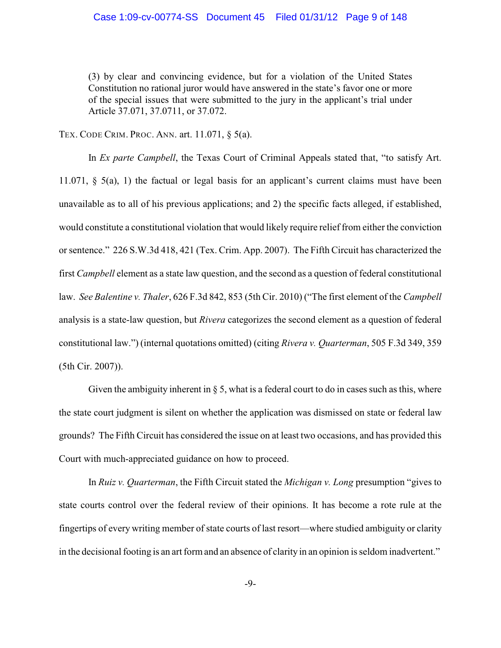(3) by clear and convincing evidence, but for a violation of the United States Constitution no rational juror would have answered in the state's favor one or more of the special issues that were submitted to the jury in the applicant's trial under Article 37.071, 37.0711, or 37.072.

TEX. CODE CRIM. PROC. ANN. art. 11.071, § 5(a).

In *Ex parte Campbell*, the Texas Court of Criminal Appeals stated that, "to satisfy Art. 11.071, § 5(a), 1) the factual or legal basis for an applicant's current claims must have been unavailable as to all of his previous applications; and 2) the specific facts alleged, if established, would constitute a constitutional violation that would likely require relief from either the conviction or sentence." 226 S.W.3d 418, 421 (Tex. Crim. App. 2007). The Fifth Circuit has characterized the first *Campbell* element as a state law question, and the second as a question of federal constitutional law. *See Balentine v. Thaler*, 626 F.3d 842, 853 (5th Cir. 2010) ("The first element of the *Campbell* analysis is a state-law question, but *Rivera* categorizes the second element as a question of federal constitutional law.") (internal quotations omitted) (citing *Rivera v. Quarterman*, 505 F.3d 349, 359 (5th Cir. 2007)).

Given the ambiguity inherent in  $\S 5$ , what is a federal court to do in cases such as this, where the state court judgment is silent on whether the application was dismissed on state or federal law grounds? The Fifth Circuit has considered the issue on at least two occasions, and has provided this Court with much-appreciated guidance on how to proceed.

In *Ruiz v. Quarterman*, the Fifth Circuit stated the *Michigan v. Long* presumption "gives to state courts control over the federal review of their opinions. It has become a rote rule at the fingertips of every writing member of state courts of last resort—where studied ambiguity or clarity in the decisional footing is an art form and an absence of clarity in an opinion is seldom inadvertent."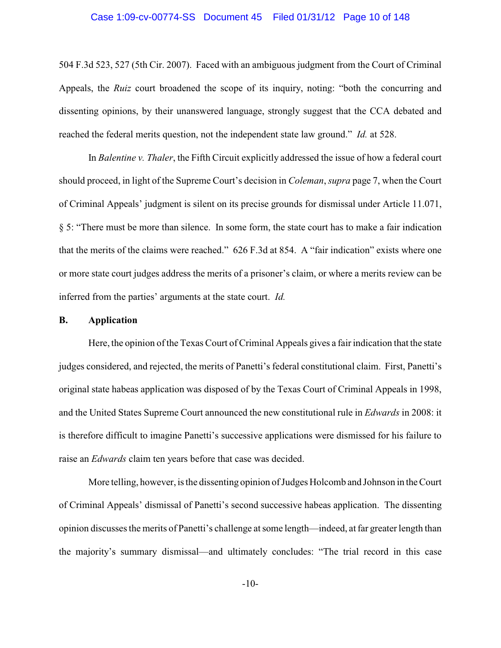# Case 1:09-cv-00774-SS Document 45 Filed 01/31/12 Page 10 of 148

504 F.3d 523, 527 (5th Cir. 2007). Faced with an ambiguous judgment from the Court of Criminal Appeals, the *Ruiz* court broadened the scope of its inquiry, noting: "both the concurring and dissenting opinions, by their unanswered language, strongly suggest that the CCA debated and reached the federal merits question, not the independent state law ground." *Id.* at 528.

In *Balentine v. Thaler*, the Fifth Circuit explicitly addressed the issue of how a federal court should proceed, in light of the Supreme Court's decision in *Coleman*, *supra* page 7, when the Court of Criminal Appeals' judgment is silent on its precise grounds for dismissal under Article 11.071, § 5: "There must be more than silence. In some form, the state court has to make a fair indication that the merits of the claims were reached." 626 F.3d at 854. A "fair indication" exists where one or more state court judges address the merits of a prisoner's claim, or where a merits review can be inferred from the parties' arguments at the state court. *Id.*

#### **B. Application**

Here, the opinion of the Texas Court of Criminal Appeals gives a fair indication that the state judges considered, and rejected, the merits of Panetti's federal constitutional claim. First, Panetti's original state habeas application was disposed of by the Texas Court of Criminal Appeals in 1998, and the United States Supreme Court announced the new constitutional rule in *Edwards* in 2008: it is therefore difficult to imagine Panetti's successive applications were dismissed for his failure to raise an *Edwards* claim ten years before that case was decided.

More telling, however, is the dissenting opinion of Judges Holcomb and Johnson in the Court of Criminal Appeals' dismissal of Panetti's second successive habeas application. The dissenting opinion discusses the merits of Panetti's challenge at some length—indeed, at far greater length than the majority's summary dismissal—and ultimately concludes: "The trial record in this case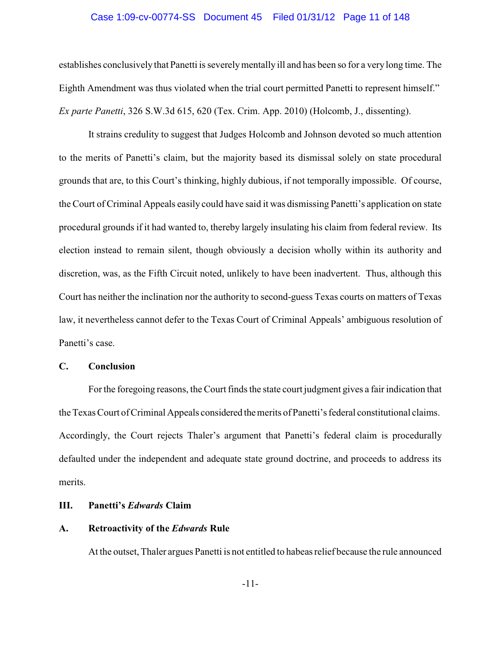# Case 1:09-cv-00774-SS Document 45 Filed 01/31/12 Page 11 of 148

establishes conclusively that Panetti is severelymentally ill and has been so for a very long time. The Eighth Amendment was thus violated when the trial court permitted Panetti to represent himself." *Ex parte Panetti*, 326 S.W.3d 615, 620 (Tex. Crim. App. 2010) (Holcomb, J., dissenting).

It strains credulity to suggest that Judges Holcomb and Johnson devoted so much attention to the merits of Panetti's claim, but the majority based its dismissal solely on state procedural grounds that are, to this Court's thinking, highly dubious, if not temporally impossible. Of course, the Court of Criminal Appeals easily could have said it was dismissing Panetti's application on state procedural grounds if it had wanted to, thereby largely insulating his claim from federal review. Its election instead to remain silent, though obviously a decision wholly within its authority and discretion, was, as the Fifth Circuit noted, unlikely to have been inadvertent. Thus, although this Court has neither the inclination nor the authority to second-guess Texas courts on matters of Texas law, it nevertheless cannot defer to the Texas Court of Criminal Appeals' ambiguous resolution of Panetti's case.

# **C. Conclusion**

Forthe foregoing reasons, the Court finds the state court judgment gives a fair indication that the Texas Court of Criminal Appeals considered themerits of Panetti's federal constitutional claims. Accordingly, the Court rejects Thaler's argument that Panetti's federal claim is procedurally defaulted under the independent and adequate state ground doctrine, and proceeds to address its merits.

# **III. Panetti's** *Edwards* **Claim**

# **A. Retroactivity of the** *Edwards* **Rule**

At the outset, Thaler argues Panetti is not entitled to habeas relief because the rule announced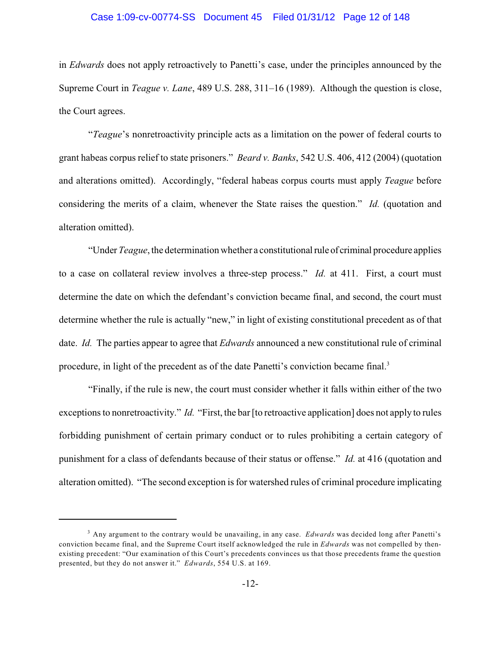#### Case 1:09-cv-00774-SS Document 45 Filed 01/31/12 Page 12 of 148

in *Edwards* does not apply retroactively to Panetti's case, under the principles announced by the Supreme Court in *Teague v. Lane*, 489 U.S. 288, 311–16 (1989). Although the question is close, the Court agrees.

"*Teague*'s nonretroactivity principle acts as a limitation on the power of federal courts to grant habeas corpus relief to state prisoners." *Beard v. Banks*, 542 U.S. 406, 412 (2004) (quotation and alterations omitted). Accordingly, "federal habeas corpus courts must apply *Teague* before considering the merits of a claim, whenever the State raises the question." *Id.* (quotation and alteration omitted).

"Under *Teague*, the determination whether a constitutional rule of criminal procedure applies to a case on collateral review involves a three-step process." *Id.* at 411. First, a court must determine the date on which the defendant's conviction became final, and second, the court must determine whether the rule is actually "new," in light of existing constitutional precedent as of that date. *Id.* The parties appear to agree that *Edwards* announced a new constitutional rule of criminal procedure, in light of the precedent as of the date Panetti's conviction became final.<sup>3</sup>

"Finally, if the rule is new, the court must consider whether it falls within either of the two exceptions to nonretroactivity." *Id.* "First, the bar [to retroactive application] does not apply to rules forbidding punishment of certain primary conduct or to rules prohibiting a certain category of punishment for a class of defendants because of their status or offense." *Id.* at 416 (quotation and alteration omitted). "The second exception is for watershed rules of criminal procedure implicating

<sup>&</sup>lt;sup>3</sup> Any argument to the contrary would be unavailing, in any case. *Edwards* was decided long after Panetti's conviction became final, and the Supreme Court itself acknowledged the rule in *Edwards* was not compelled by thenexisting precedent: "Our examination of this Court's precedents convinces us that those precedents frame the question presented, but they do not answer it." *Edwards*, 554 U.S. at 169.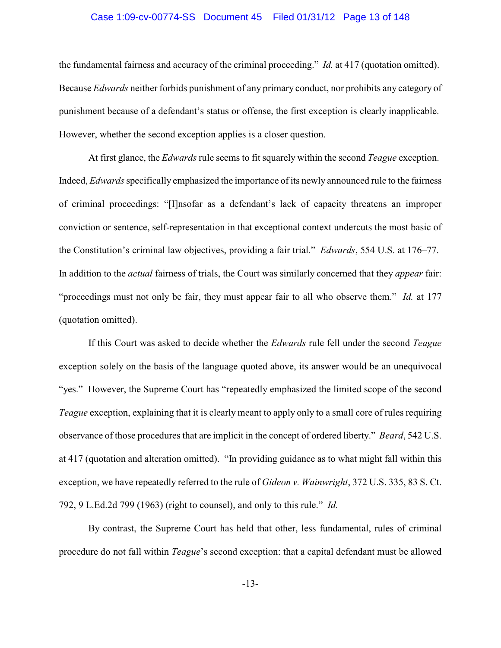# Case 1:09-cv-00774-SS Document 45 Filed 01/31/12 Page 13 of 148

the fundamental fairness and accuracy of the criminal proceeding." *Id.* at 417 (quotation omitted). Because *Edwards* neither forbids punishment of any primary conduct, nor prohibits any category of punishment because of a defendant's status or offense, the first exception is clearly inapplicable. However, whether the second exception applies is a closer question.

At first glance, the *Edwards* rule seems to fit squarely within the second *Teague* exception. Indeed, *Edwards*specifically emphasized the importance of its newly announced rule to the fairness of criminal proceedings: "[I]nsofar as a defendant's lack of capacity threatens an improper conviction or sentence, self-representation in that exceptional context undercuts the most basic of the Constitution's criminal law objectives, providing a fair trial." *Edwards*, 554 U.S. at 176–77. In addition to the *actual* fairness of trials, the Court was similarly concerned that they *appear* fair: "proceedings must not only be fair, they must appear fair to all who observe them." *Id.* at 177 (quotation omitted).

If this Court was asked to decide whether the *Edwards* rule fell under the second *Teague* exception solely on the basis of the language quoted above, its answer would be an unequivocal "yes." However, the Supreme Court has "repeatedly emphasized the limited scope of the second *Teague* exception, explaining that it is clearly meant to apply only to a small core of rules requiring observance of those procedures that are implicit in the concept of ordered liberty." *Beard*, 542 U.S. at 417 (quotation and alteration omitted). "In providing guidance as to what might fall within this exception, we have repeatedly referred to the rule of *Gideon v. Wainwright*, 372 U.S. 335, 83 S. Ct. 792, 9 L.Ed.2d 799 (1963) (right to counsel), and only to this rule." *Id.*

By contrast, the Supreme Court has held that other, less fundamental, rules of criminal procedure do not fall within *Teague*'s second exception: that a capital defendant must be allowed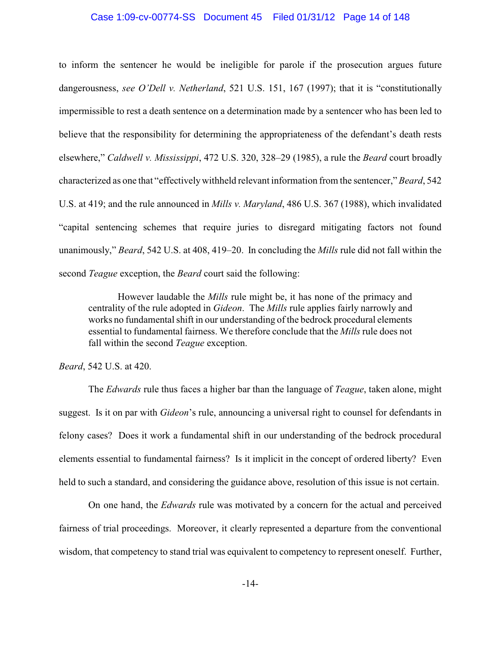# Case 1:09-cv-00774-SS Document 45 Filed 01/31/12 Page 14 of 148

to inform the sentencer he would be ineligible for parole if the prosecution argues future dangerousness, *see O'Dell v. Netherland*, 521 U.S. 151, 167 (1997); that it is "constitutionally impermissible to rest a death sentence on a determination made by a sentencer who has been led to believe that the responsibility for determining the appropriateness of the defendant's death rests elsewhere," *Caldwell v. Mississippi*, 472 U.S. 320, 328–29 (1985), a rule the *Beard* court broadly characterized as one that "effectivelywithheld relevant information from the sentencer," *Beard*, 542 U.S. at 419; and the rule announced in *Mills v. Maryland*, 486 U.S. 367 (1988), which invalidated "capital sentencing schemes that require juries to disregard mitigating factors not found unanimously," *Beard*, 542 U.S. at 408, 419–20. In concluding the *Mills* rule did not fall within the second *Teague* exception, the *Beard* court said the following:

However laudable the *Mills* rule might be, it has none of the primacy and centrality of the rule adopted in *Gideon*. The *Mills* rule applies fairly narrowly and works no fundamental shift in our understanding of the bedrock procedural elements essential to fundamental fairness. We therefore conclude that the *Mills* rule does not fall within the second *Teague* exception.

# *Beard*, 542 U.S. at 420.

The *Edwards* rule thus faces a higher bar than the language of *Teague*, taken alone, might suggest. Is it on par with *Gideon*'s rule, announcing a universal right to counsel for defendants in felony cases? Does it work a fundamental shift in our understanding of the bedrock procedural elements essential to fundamental fairness? Is it implicit in the concept of ordered liberty? Even held to such a standard, and considering the guidance above, resolution of this issue is not certain.

On one hand, the *Edwards* rule was motivated by a concern for the actual and perceived fairness of trial proceedings. Moreover, it clearly represented a departure from the conventional wisdom, that competency to stand trial was equivalent to competency to represent oneself. Further,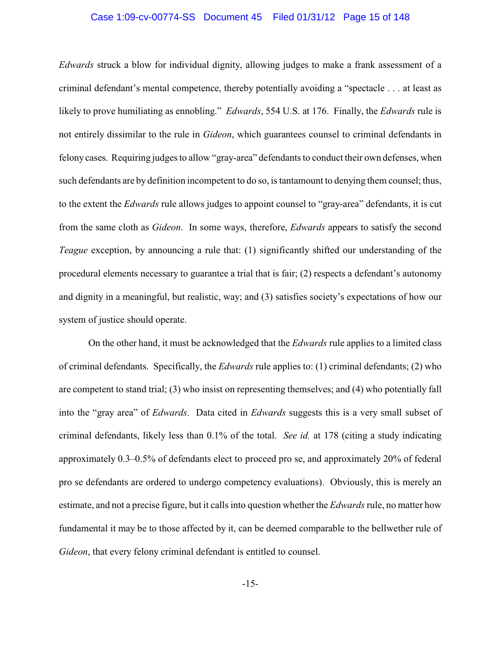# Case 1:09-cv-00774-SS Document 45 Filed 01/31/12 Page 15 of 148

*Edwards* struck a blow for individual dignity, allowing judges to make a frank assessment of a criminal defendant's mental competence, thereby potentially avoiding a "spectacle . . . at least as likely to prove humiliating as ennobling." *Edwards*, 554 U.S. at 176. Finally, the *Edwards* rule is not entirely dissimilar to the rule in *Gideon*, which guarantees counsel to criminal defendants in felony cases. Requiring judges to allow "gray-area" defendants to conduct their own defenses, when such defendants are by definition incompetent to do so, is tantamount to denying them counsel; thus, to the extent the *Edwards* rule allows judges to appoint counsel to "gray-area" defendants, it is cut from the same cloth as *Gideon*. In some ways, therefore, *Edwards* appears to satisfy the second *Teague* exception, by announcing a rule that: (1) significantly shifted our understanding of the procedural elements necessary to guarantee a trial that is fair; (2) respects a defendant's autonomy and dignity in a meaningful, but realistic, way; and (3) satisfies society's expectations of how our system of justice should operate.

On the other hand, it must be acknowledged that the *Edwards* rule applies to a limited class of criminal defendants. Specifically, the *Edwards* rule applies to: (1) criminal defendants; (2) who are competent to stand trial; (3) who insist on representing themselves; and (4) who potentially fall into the "gray area" of *Edwards*. Data cited in *Edwards* suggests this is a very small subset of criminal defendants, likely less than 0.1% of the total. *See id.* at 178 (citing a study indicating approximately 0.3–0.5% of defendants elect to proceed pro se, and approximately 20% of federal pro se defendants are ordered to undergo competency evaluations). Obviously, this is merely an estimate, and not a precise figure, but it calls into question whether the *Edwards*rule, no matter how fundamental it may be to those affected by it, can be deemed comparable to the bellwether rule of *Gideon*, that every felony criminal defendant is entitled to counsel.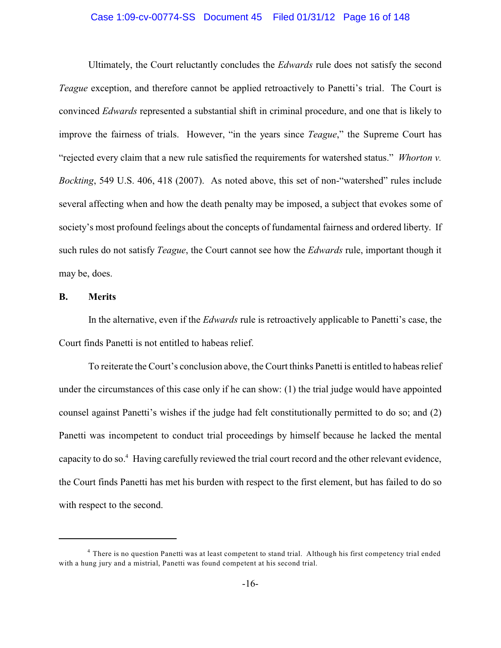# Case 1:09-cv-00774-SS Document 45 Filed 01/31/12 Page 16 of 148

Ultimately, the Court reluctantly concludes the *Edwards* rule does not satisfy the second *Teague* exception, and therefore cannot be applied retroactively to Panetti's trial. The Court is convinced *Edwards* represented a substantial shift in criminal procedure, and one that is likely to improve the fairness of trials. However, "in the years since *Teague*," the Supreme Court has "rejected every claim that a new rule satisfied the requirements for watershed status." *Whorton v. Bockting*, 549 U.S. 406, 418 (2007). As noted above, this set of non-"watershed" rules include several affecting when and how the death penalty may be imposed, a subject that evokes some of society's most profound feelings about the concepts of fundamental fairness and ordered liberty. If such rules do not satisfy *Teague*, the Court cannot see how the *Edwards* rule, important though it may be, does.

# **B. Merits**

In the alternative, even if the *Edwards* rule is retroactively applicable to Panetti's case, the Court finds Panetti is not entitled to habeas relief.

To reiterate the Court's conclusion above, the Court thinks Panetti is entitled to habeas relief under the circumstances of this case only if he can show: (1) the trial judge would have appointed counsel against Panetti's wishes if the judge had felt constitutionally permitted to do so; and (2) Panetti was incompetent to conduct trial proceedings by himself because he lacked the mental capacity to do so.<sup>4</sup> Having carefully reviewed the trial court record and the other relevant evidence, the Court finds Panetti has met his burden with respect to the first element, but has failed to do so with respect to the second.

<sup>&</sup>lt;sup>4</sup> There is no question Panetti was at least competent to stand trial. Although his first competency trial ended with a hung jury and a mistrial, Panetti was found competent at his second trial.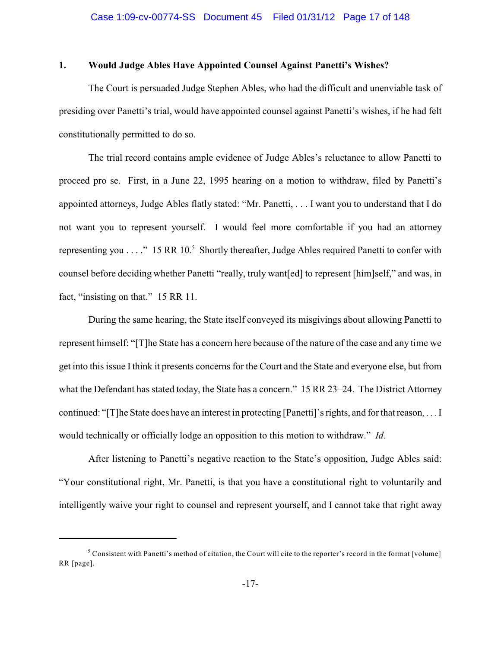# **1. Would Judge Ables Have Appointed Counsel Against Panetti's Wishes?**

The Court is persuaded Judge Stephen Ables, who had the difficult and unenviable task of presiding over Panetti's trial, would have appointed counsel against Panetti's wishes, if he had felt constitutionally permitted to do so.

The trial record contains ample evidence of Judge Ables's reluctance to allow Panetti to proceed pro se. First, in a June 22, 1995 hearing on a motion to withdraw, filed by Panetti's appointed attorneys, Judge Ables flatly stated: "Mr. Panetti, . . . I want you to understand that I do not want you to represent yourself. I would feel more comfortable if you had an attorney representing you  $\dots$ ." 15 RR 10.<sup>5</sup> Shortly thereafter, Judge Ables required Panetti to confer with counsel before deciding whether Panetti "really, truly want[ed] to represent [him]self," and was, in fact, "insisting on that." 15 RR 11.

During the same hearing, the State itself conveyed its misgivings about allowing Panetti to represent himself: "[T]he State has a concern here because of the nature of the case and any time we get into this issue I think it presents concerns for the Court and the State and everyone else, but from what the Defendant has stated today, the State has a concern." 15 RR 23–24. The District Attorney continued: "[T]he State does have an interest in protecting [Panetti]'s rights, and for that reason, . . . I would technically or officially lodge an opposition to this motion to withdraw." *Id.*

After listening to Panetti's negative reaction to the State's opposition, Judge Ables said: "Your constitutional right, Mr. Panetti, is that you have a constitutional right to voluntarily and intelligently waive your right to counsel and represent yourself, and I cannot take that right away

 $5$  Consistent with Panetti's method of citation, the Court will cite to the reporter's record in the format [volume] RR [page].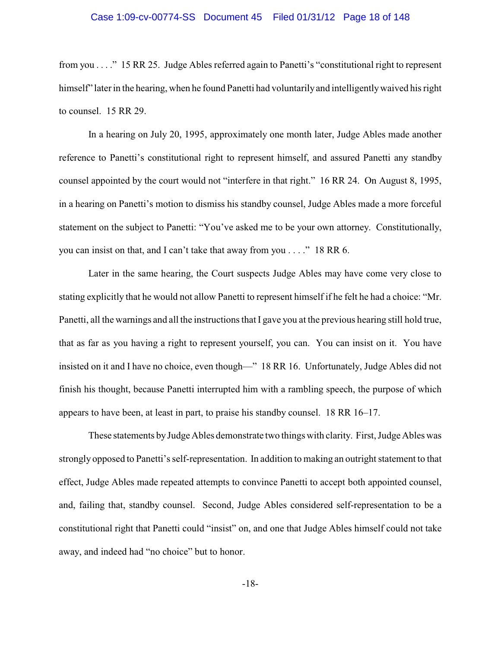# Case 1:09-cv-00774-SS Document 45 Filed 01/31/12 Page 18 of 148

from you . . . ." 15 RR 25. Judge Ables referred again to Panetti's "constitutional right to represent himself" later in the hearing, when he found Panetti had voluntarily and intelligently waived his right to counsel. 15 RR 29.

In a hearing on July 20, 1995, approximately one month later, Judge Ables made another reference to Panetti's constitutional right to represent himself, and assured Panetti any standby counsel appointed by the court would not "interfere in that right." 16 RR 24. On August 8, 1995, in a hearing on Panetti's motion to dismiss his standby counsel, Judge Ables made a more forceful statement on the subject to Panetti: "You've asked me to be your own attorney. Constitutionally, you can insist on that, and I can't take that away from you . . . ." 18 RR 6.

Later in the same hearing, the Court suspects Judge Ables may have come very close to stating explicitly that he would not allow Panetti to represent himself if he felt he had a choice: "Mr. Panetti, all the warnings and all the instructions that I gave you at the previous hearing still hold true, that as far as you having a right to represent yourself, you can. You can insist on it. You have insisted on it and I have no choice, even though—" 18 RR 16. Unfortunately, Judge Ables did not finish his thought, because Panetti interrupted him with a rambling speech, the purpose of which appears to have been, at least in part, to praise his standby counsel. 18 RR 16–17.

These statements byJudge Ables demonstrate two things with clarity. First, Judge Ables was strongly opposed to Panetti's self-representation. In addition to making an outright statement to that effect, Judge Ables made repeated attempts to convince Panetti to accept both appointed counsel, and, failing that, standby counsel. Second, Judge Ables considered self-representation to be a constitutional right that Panetti could "insist" on, and one that Judge Ables himself could not take away, and indeed had "no choice" but to honor.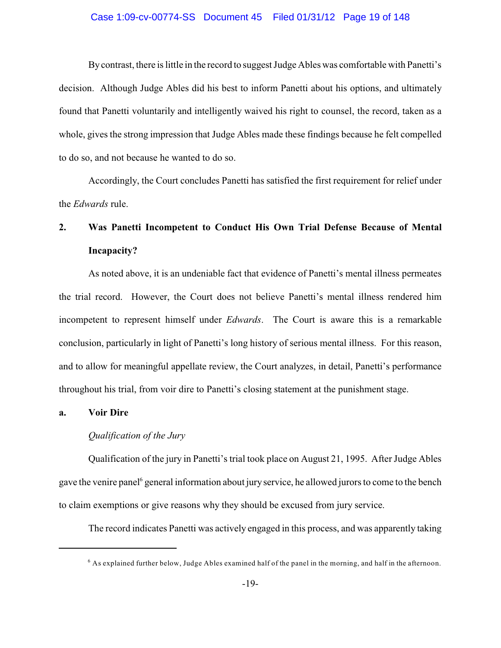# Case 1:09-cv-00774-SS Document 45 Filed 01/31/12 Page 19 of 148

Bycontrast, there is little in the record to suggest Judge Ables was comfortable with Panetti's decision. Although Judge Ables did his best to inform Panetti about his options, and ultimately found that Panetti voluntarily and intelligently waived his right to counsel, the record, taken as a whole, gives the strong impression that Judge Ables made these findings because he felt compelled to do so, and not because he wanted to do so.

Accordingly, the Court concludes Panetti has satisfied the first requirement for relief under the *Edwards* rule.

# **2. Was Panetti Incompetent to Conduct His Own Trial Defense Because of Mental Incapacity?**

As noted above, it is an undeniable fact that evidence of Panetti's mental illness permeates the trial record. However, the Court does not believe Panetti's mental illness rendered him incompetent to represent himself under *Edwards*. The Court is aware this is a remarkable conclusion, particularly in light of Panetti's long history of serious mental illness. For this reason, and to allow for meaningful appellate review, the Court analyzes, in detail, Panetti's performance throughout his trial, from voir dire to Panetti's closing statement at the punishment stage.

# **a. Voir Dire**

# *Qualification of the Jury*

Qualification of the jury in Panetti's trial took place on August 21, 1995. After Judge Ables gave the venire panel general information about jury service, he allowed jurors to come to the bench to claim exemptions or give reasons why they should be excused from jury service.

The record indicates Panetti was actively engaged in this process, and was apparently taking

 $^6$  As explained further below, Judge Ables examined half of the panel in the morning, and half in the afternoon.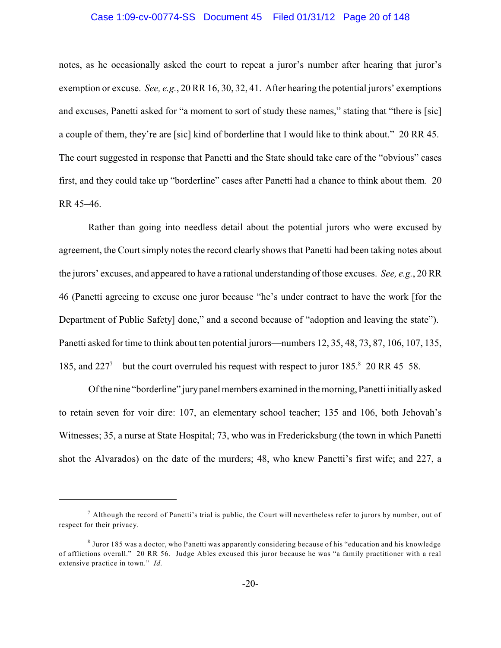# Case 1:09-cv-00774-SS Document 45 Filed 01/31/12 Page 20 of 148

notes, as he occasionally asked the court to repeat a juror's number after hearing that juror's exemption or excuse. *See, e.g.*, 20 RR 16, 30, 32, 41. After hearing the potential jurors' exemptions and excuses, Panetti asked for "a moment to sort of study these names," stating that "there is [sic] a couple of them, they're are [sic] kind of borderline that I would like to think about." 20 RR 45. The court suggested in response that Panetti and the State should take care of the "obvious" cases first, and they could take up "borderline" cases after Panetti had a chance to think about them. 20 RR 45–46.

Rather than going into needless detail about the potential jurors who were excused by agreement, the Court simply notes the record clearly shows that Panetti had been taking notes about the jurors' excuses, and appeared to have a rational understanding of those excuses. *See, e.g.*, 20 RR 46 (Panetti agreeing to excuse one juror because "he's under contract to have the work [for the Department of Public Safety] done," and a second because of "adoption and leaving the state"). Panetti asked for time to think about ten potential jurors—numbers 12, 35, 48, 73, 87, 106, 107, 135, 185, and  $227^{\degree}$ —but the court overruled his request with respect to juror 185. $^{\degree}$  20 RR 45–58.

Of the nine "borderline" jurypanel members examined in the morning, Panetti initially asked to retain seven for voir dire: 107, an elementary school teacher; 135 and 106, both Jehovah's Witnesses; 35, a nurse at State Hospital; 73, who was in Fredericksburg (the town in which Panetti shot the Alvarados) on the date of the murders; 48, who knew Panetti's first wife; and 227, a

 $^7$  Although the record of Panetti's trial is public, the Court will nevertheless refer to jurors by number, out of respect for their privacy.

<sup>&</sup>lt;sup>8</sup> Juror 185 was a doctor, who Panetti was apparently considering because of his "education and his knowledge of afflictions overall." 20 RR 56. Judge Ables excused this juror because he was "a family practitioner with a real extensive practice in town." *Id.*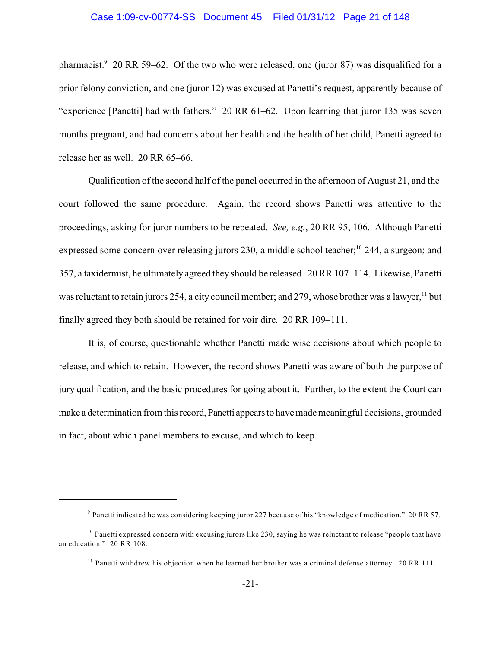# Case 1:09-cv-00774-SS Document 45 Filed 01/31/12 Page 21 of 148

pharmacist. $9$  20 RR 59–62. Of the two who were released, one (juror 87) was disqualified for a prior felony conviction, and one (juror 12) was excused at Panetti's request, apparently because of "experience [Panetti] had with fathers." 20 RR 61–62. Upon learning that juror 135 was seven months pregnant, and had concerns about her health and the health of her child, Panetti agreed to release her as well. 20 RR 65–66.

Qualification of the second half of the panel occurred in the afternoon of August 21, and the court followed the same procedure. Again, the record shows Panetti was attentive to the proceedings, asking for juror numbers to be repeated. *See, e.g.*, 20 RR 95, 106. Although Panetti expressed some concern over releasing jurors 230, a middle school teacher;<sup>10</sup> 244, a surgeon; and 357, a taxidermist, he ultimately agreed they should be released. 20 RR 107–114. Likewise, Panetti was reluctant to retain jurors 254, a city council member; and 279, whose brother was a lawyer, <sup>11</sup> but finally agreed they both should be retained for voir dire. 20 RR 109–111.

It is, of course, questionable whether Panetti made wise decisions about which people to release, and which to retain. However, the record shows Panetti was aware of both the purpose of jury qualification, and the basic procedures for going about it. Further, to the extent the Court can make a determination from this record, Panetti appears to have made meaningful decisions, grounded in fact, about which panel members to excuse, and which to keep.

 $^9$  Panetti indicated he was considering keeping juror 227 because of his "knowledge of medication." 20 RR 57.

 $10$  Panetti expressed concern with excusing jurors like 230, saying he was reluctant to release "people that have an education." 20 RR 108.

 $11$  Panetti withdrew his objection when he learned her brother was a criminal defense attorney. 20 RR 111.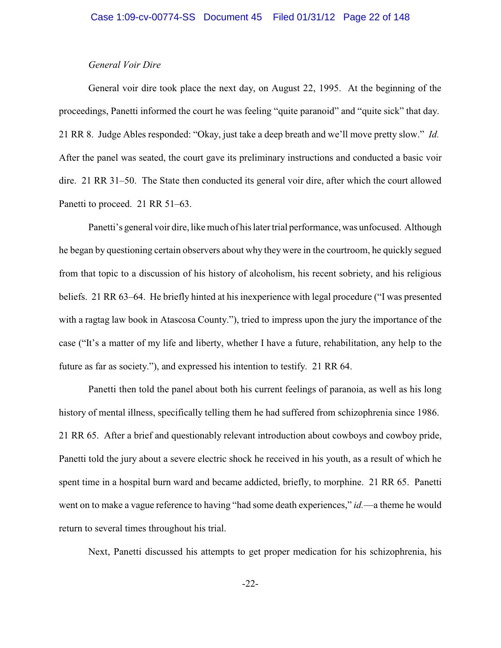# *General Voir Dire*

General voir dire took place the next day, on August 22, 1995. At the beginning of the proceedings, Panetti informed the court he was feeling "quite paranoid" and "quite sick" that day. 21 RR 8. Judge Ables responded: "Okay, just take a deep breath and we'll move pretty slow." *Id.* After the panel was seated, the court gave its preliminary instructions and conducted a basic voir dire. 21 RR 31–50. The State then conducted its general voir dire, after which the court allowed Panetti to proceed. 21 RR 51–63.

Panetti's general voir dire, like much of his later trial performance, was unfocused. Although he began by questioning certain observers about why they were in the courtroom, he quickly segued from that topic to a discussion of his history of alcoholism, his recent sobriety, and his religious beliefs. 21 RR 63–64. He briefly hinted at his inexperience with legal procedure ("I was presented with a ragtag law book in Atascosa County."), tried to impress upon the jury the importance of the case ("It's a matter of my life and liberty, whether I have a future, rehabilitation, any help to the future as far as society."), and expressed his intention to testify. 21 RR 64.

Panetti then told the panel about both his current feelings of paranoia, as well as his long history of mental illness, specifically telling them he had suffered from schizophrenia since 1986. 21 RR 65. After a brief and questionably relevant introduction about cowboys and cowboy pride, Panetti told the jury about a severe electric shock he received in his youth, as a result of which he spent time in a hospital burn ward and became addicted, briefly, to morphine. 21 RR 65. Panetti went on to make a vague reference to having "had some death experiences," *id.*—a theme he would return to several times throughout his trial.

Next, Panetti discussed his attempts to get proper medication for his schizophrenia, his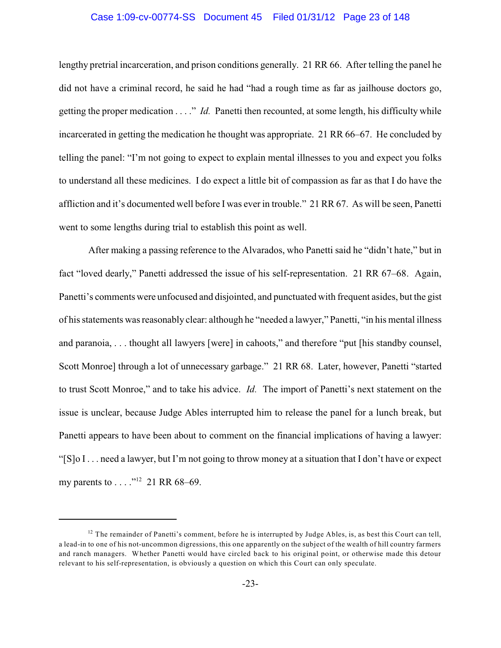# Case 1:09-cv-00774-SS Document 45 Filed 01/31/12 Page 23 of 148

lengthy pretrial incarceration, and prison conditions generally. 21 RR 66. After telling the panel he did not have a criminal record, he said he had "had a rough time as far as jailhouse doctors go, getting the proper medication . . . ." *Id.* Panetti then recounted, at some length, his difficulty while incarcerated in getting the medication he thought was appropriate. 21 RR 66–67. He concluded by telling the panel: "I'm not going to expect to explain mental illnesses to you and expect you folks to understand all these medicines. I do expect a little bit of compassion as far as that I do have the affliction and it's documented well before I was ever in trouble." 21 RR 67. As will be seen, Panetti went to some lengths during trial to establish this point as well.

After making a passing reference to the Alvarados, who Panetti said he "didn't hate," but in fact "loved dearly," Panetti addressed the issue of his self-representation. 21 RR 67–68. Again, Panetti's comments were unfocused and disjointed, and punctuated with frequent asides, but the gist of his statements was reasonably clear: although he "needed a lawyer," Panetti, "in his mental illness and paranoia, . . . thought all lawyers [were] in cahoots," and therefore "put [his standby counsel, Scott Monroe] through a lot of unnecessary garbage." 21 RR 68. Later, however, Panetti "started to trust Scott Monroe," and to take his advice. *Id.* The import of Panetti's next statement on the issue is unclear, because Judge Ables interrupted him to release the panel for a lunch break, but Panetti appears to have been about to comment on the financial implications of having a lawyer: "[S]o I . . . need a lawyer, but I'm not going to throw money at a situation that I don't have or expect my parents to . . . . . . . . . 21 RR 68–69.

 $12$  The remainder of Panetti's comment, before he is interrupted by Judge Ables, is, as best this Court can tell, a lead-in to one of his not-uncommon digressions, this one apparently on the subject of the wealth of hill country farmers and ranch managers. Whether Panetti would have circled back to his original point, or otherwise made this detour relevant to his self-representation, is obviously a question on which this Court can only speculate.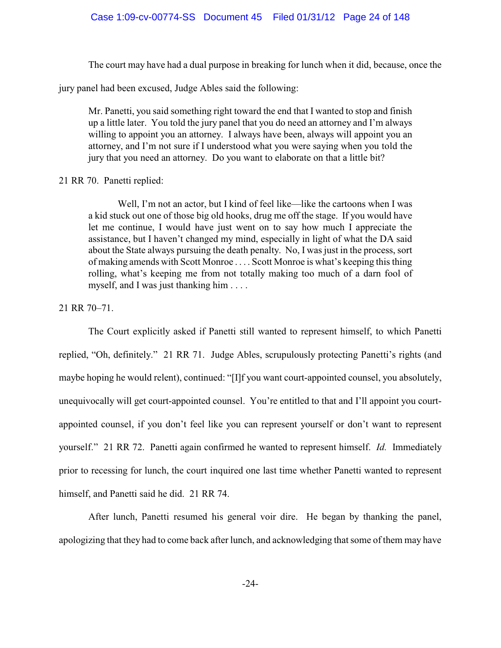The court may have had a dual purpose in breaking for lunch when it did, because, once the

jury panel had been excused, Judge Ables said the following:

Mr. Panetti, you said something right toward the end that I wanted to stop and finish up a little later. You told the jury panel that you do need an attorney and I'm always willing to appoint you an attorney. I always have been, always will appoint you an attorney, and I'm not sure if I understood what you were saying when you told the jury that you need an attorney. Do you want to elaborate on that a little bit?

# 21 RR 70. Panetti replied:

Well, I'm not an actor, but I kind of feel like—like the cartoons when I was a kid stuck out one of those big old hooks, drug me off the stage. If you would have let me continue, I would have just went on to say how much I appreciate the assistance, but I haven't changed my mind, especially in light of what the DA said about the State always pursuing the death penalty. No, I was just in the process, sort of making amends with Scott Monroe . . . . Scott Monroe is what's keeping this thing rolling, what's keeping me from not totally making too much of a darn fool of myself, and I was just thanking him . . . .

# 21 RR 70–71.

The Court explicitly asked if Panetti still wanted to represent himself, to which Panetti replied, "Oh, definitely." 21 RR 71. Judge Ables, scrupulously protecting Panetti's rights (and maybe hoping he would relent), continued: "[I]f you want court-appointed counsel, you absolutely, unequivocally will get court-appointed counsel. You're entitled to that and I'll appoint you courtappointed counsel, if you don't feel like you can represent yourself or don't want to represent yourself." 21 RR 72. Panetti again confirmed he wanted to represent himself. *Id.* Immediately prior to recessing for lunch, the court inquired one last time whether Panetti wanted to represent himself, and Panetti said he did. 21 RR 74.

After lunch, Panetti resumed his general voir dire. He began by thanking the panel, apologizing that they had to come back after lunch, and acknowledging that some of them may have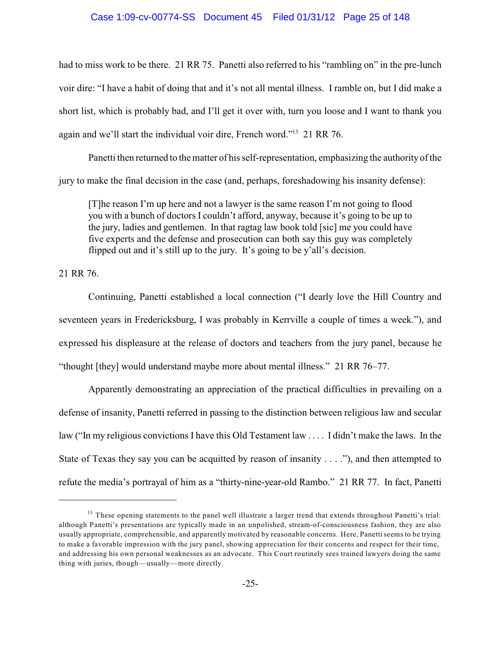# Case 1:09-cv-00774-SS Document 45 Filed 01/31/12 Page 25 of 148

had to miss work to be there. 21 RR 75. Panetti also referred to his "rambling on" in the pre-lunch voir dire: "I have a habit of doing that and it's not all mental illness. I ramble on, but I did make a short list, which is probably bad, and I'll get it over with, turn you loose and I want to thank you again and we'll start the individual voir dire, French word." $13$  21 RR 76.

Panetti then returned to the matter of his self-representation, emphasizing the authorityof the jury to make the final decision in the case (and, perhaps, foreshadowing his insanity defense):

[T]he reason I'm up here and not a lawyer is the same reason I'm not going to flood you with a bunch of doctors I couldn't afford, anyway, because it's going to be up to the jury, ladies and gentlemen. In that ragtag law book told [sic] me you could have five experts and the defense and prosecution can both say this guy was completely flipped out and it's still up to the jury. It's going to be y'all's decision.

21 RR 76.

Continuing, Panetti established a local connection ("I dearly love the Hill Country and seventeen years in Fredericksburg, I was probably in Kerrville a couple of times a week."), and expressed his displeasure at the release of doctors and teachers from the jury panel, because he "thought [they] would understand maybe more about mental illness." 21 RR 76–77.

Apparently demonstrating an appreciation of the practical difficulties in prevailing on a defense of insanity, Panetti referred in passing to the distinction between religious law and secular law ("In my religious convictions I have this Old Testament law . . . . I didn't make the laws. In the State of Texas they say you can be acquitted by reason of insanity . . . ."), and then attempted to refute the media's portrayal of him as a "thirty-nine-year-old Rambo." 21 RR 77. In fact, Panetti

<sup>&</sup>lt;sup>13</sup> These opening statements to the panel well illustrate a larger trend that extends throughout Panetti's trial: although Panetti's presentations are typically made in an unpolished, stream-of-consciousness fashion, they are also usually appropriate, comprehensible, and apparently motivated by reasonable concerns. Here, Panetti seems to be trying to make a favorable impression with the jury panel, showing appreciation for their concerns and respect for their time, and addressing his own personal weaknesses as an advocate. This Court routinely sees trained lawyers doing the same thing with juries, though—usually—more directly.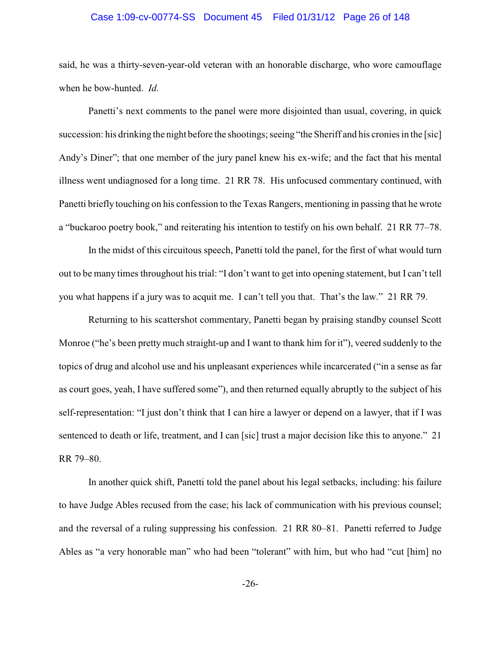# Case 1:09-cv-00774-SS Document 45 Filed 01/31/12 Page 26 of 148

said, he was a thirty-seven-year-old veteran with an honorable discharge, who wore camouflage when he bow-hunted. *Id.*

Panetti's next comments to the panel were more disjointed than usual, covering, in quick succession: his drinking the night before the shootings; seeing "the Sheriff and his cronies in the [sic] Andy's Diner"; that one member of the jury panel knew his ex-wife; and the fact that his mental illness went undiagnosed for a long time. 21 RR 78. His unfocused commentary continued, with Panetti briefly touching on his confession to the Texas Rangers, mentioning in passing that he wrote a "buckaroo poetry book," and reiterating his intention to testify on his own behalf. 21 RR 77–78.

In the midst of this circuitous speech, Panetti told the panel, for the first of what would turn out to be many times throughout his trial: "I don't want to get into opening statement, but I can't tell you what happens if a jury was to acquit me. I can't tell you that. That's the law." 21 RR 79.

Returning to his scattershot commentary, Panetti began by praising standby counsel Scott Monroe ("he's been pretty much straight-up and I want to thank him for it"), veered suddenly to the topics of drug and alcohol use and his unpleasant experiences while incarcerated ("in a sense as far as court goes, yeah, I have suffered some"), and then returned equally abruptly to the subject of his self-representation: "I just don't think that I can hire a lawyer or depend on a lawyer, that if I was sentenced to death or life, treatment, and I can [sic] trust a major decision like this to anyone." 21 RR 79–80.

In another quick shift, Panetti told the panel about his legal setbacks, including: his failure to have Judge Ables recused from the case; his lack of communication with his previous counsel; and the reversal of a ruling suppressing his confession. 21 RR 80–81. Panetti referred to Judge Ables as "a very honorable man" who had been "tolerant" with him, but who had "cut [him] no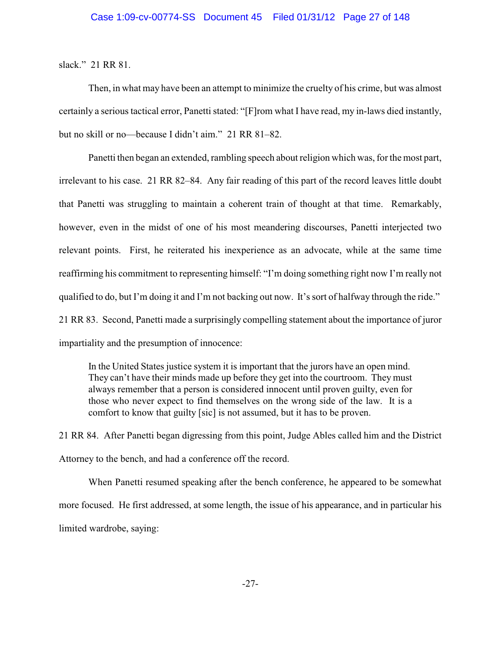slack." 21 RR 81.

Then, in what may have been an attempt to minimize the cruelty of his crime, but was almost certainly a serious tactical error, Panetti stated: "[F]rom what I have read, my in-laws died instantly, but no skill or no—because I didn't aim." 21 RR 81–82.

Panetti then began an extended, rambling speech about religion which was, for the most part, irrelevant to his case. 21 RR 82–84. Any fair reading of this part of the record leaves little doubt that Panetti was struggling to maintain a coherent train of thought at that time. Remarkably, however, even in the midst of one of his most meandering discourses, Panetti interjected two relevant points. First, he reiterated his inexperience as an advocate, while at the same time reaffirming his commitment to representing himself: "I'm doing something right now I'm really not qualified to do, but I'm doing it and I'm not backing out now. It's sort of halfway through the ride." 21 RR 83. Second, Panetti made a surprisingly compelling statement about the importance of juror impartiality and the presumption of innocence:

In the United States justice system it is important that the jurors have an open mind. They can't have their minds made up before they get into the courtroom. They must always remember that a person is considered innocent until proven guilty, even for those who never expect to find themselves on the wrong side of the law. It is a comfort to know that guilty [sic] is not assumed, but it has to be proven.

21 RR 84. After Panetti began digressing from this point, Judge Ables called him and the District Attorney to the bench, and had a conference off the record.

When Panetti resumed speaking after the bench conference, he appeared to be somewhat more focused. He first addressed, at some length, the issue of his appearance, and in particular his limited wardrobe, saying: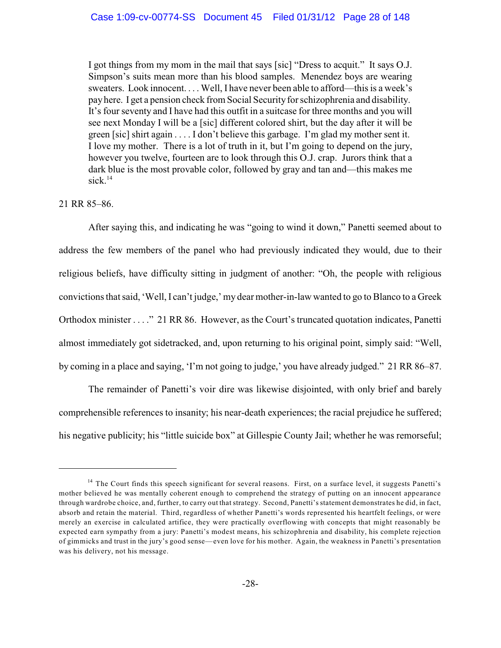I got things from my mom in the mail that says [sic] "Dress to acquit." It says O.J. Simpson's suits mean more than his blood samples. Menendez boys are wearing sweaters. Look innocent. . . . Well, I have never been able to afford—this is a week's pay here. I get a pension check from Social Securityfor schizophrenia and disability. It's four seventy and I have had this outfit in a suitcase for three months and you will see next Monday I will be a [sic] different colored shirt, but the day after it will be green [sic] shirt again . . . . I don't believe this garbage. I'm glad my mother sent it. I love my mother. There is a lot of truth in it, but I'm going to depend on the jury, however you twelve, fourteen are to look through this O.J. crap. Jurors think that a dark blue is the most provable color, followed by gray and tan and—this makes me sick. $14$ 

# 21 RR 85–86.

After saying this, and indicating he was "going to wind it down," Panetti seemed about to address the few members of the panel who had previously indicated they would, due to their religious beliefs, have difficulty sitting in judgment of another: "Oh, the people with religious convictions that said, 'Well, I can't judge,' my dearmother-in-law wanted to go to Blanco to a Greek Orthodox minister . . . ." 21 RR 86. However, as the Court's truncated quotation indicates, Panetti almost immediately got sidetracked, and, upon returning to his original point, simply said: "Well, by coming in a place and saying, 'I'm not going to judge,' you have already judged." 21 RR 86–87.

The remainder of Panetti's voir dire was likewise disjointed, with only brief and barely comprehensible references to insanity; his near-death experiences; the racial prejudice he suffered; his negative publicity; his "little suicide box" at Gillespie County Jail; whether he was remorseful;

<sup>&</sup>lt;sup>14</sup> The Court finds this speech significant for several reasons. First, on a surface level, it suggests Panetti's mother believed he was mentally coherent enough to comprehend the strategy of putting on an innocent appearance through wardrobe choice, and, further, to carry out that strategy. Second, Panetti's statement demonstrates he did, in fact, absorb and retain the material. Third, regardless of whether Panetti's words represented his heartfelt feelings, or were merely an exercise in calculated artifice, they were practically overflowing with concepts that might reasonably be expected earn sympathy from a jury: Panetti's modest means, his schizophrenia and disability, his complete rejection of gimmicks and trust in the jury's good sense—even love for his mother. Again, the weakness in Panetti's presentation was his delivery, not his message.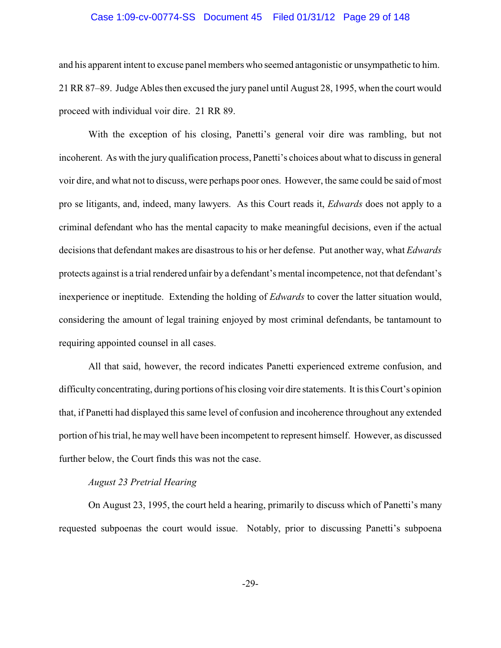# Case 1:09-cv-00774-SS Document 45 Filed 01/31/12 Page 29 of 148

and his apparent intent to excuse panel members who seemed antagonistic or unsympathetic to him. 21 RR 87–89. Judge Ables then excused the jury panel until August 28, 1995, when the court would proceed with individual voir dire. 21 RR 89.

With the exception of his closing, Panetti's general voir dire was rambling, but not incoherent. As with the jury qualification process, Panetti's choices about what to discuss in general voir dire, and what not to discuss, were perhaps poor ones. However, the same could be said of most pro se litigants, and, indeed, many lawyers. As this Court reads it, *Edwards* does not apply to a criminal defendant who has the mental capacity to make meaningful decisions, even if the actual decisions that defendant makes are disastrous to his or her defense. Put another way, what *Edwards* protects against is a trial rendered unfair by a defendant's mental incompetence, not that defendant's inexperience or ineptitude. Extending the holding of *Edwards* to cover the latter situation would, considering the amount of legal training enjoyed by most criminal defendants, be tantamount to requiring appointed counsel in all cases.

All that said, however, the record indicates Panetti experienced extreme confusion, and difficulty concentrating, during portions of his closing voir dire statements. It is this Court's opinion that, if Panetti had displayed this same level of confusion and incoherence throughout any extended portion of his trial, he may well have been incompetent to represent himself. However, as discussed further below, the Court finds this was not the case.

# *August 23 Pretrial Hearing*

On August 23, 1995, the court held a hearing, primarily to discuss which of Panetti's many requested subpoenas the court would issue. Notably, prior to discussing Panetti's subpoena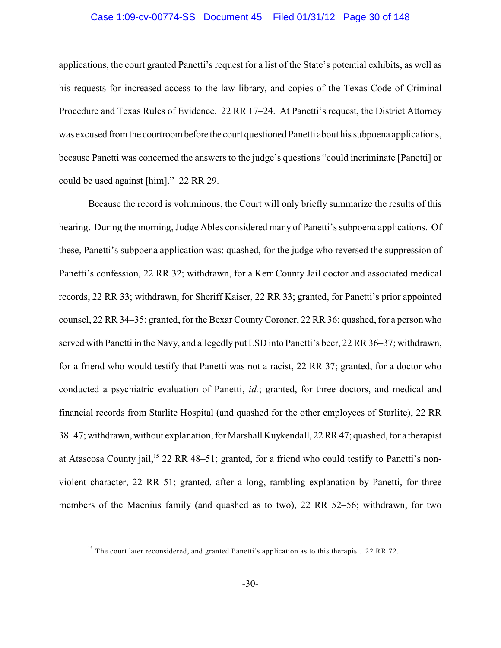# Case 1:09-cv-00774-SS Document 45 Filed 01/31/12 Page 30 of 148

applications, the court granted Panetti's request for a list of the State's potential exhibits, as well as his requests for increased access to the law library, and copies of the Texas Code of Criminal Procedure and Texas Rules of Evidence. 22 RR 17–24. At Panetti's request, the District Attorney was excused from the courtroom before the court questioned Panetti about his subpoena applications, because Panetti was concerned the answers to the judge's questions "could incriminate [Panetti] or could be used against [him]." 22 RR 29.

Because the record is voluminous, the Court will only briefly summarize the results of this hearing. During the morning, Judge Ables considered many of Panetti's subpoena applications. Of these, Panetti's subpoena application was: quashed, for the judge who reversed the suppression of Panetti's confession, 22 RR 32; withdrawn, for a Kerr County Jail doctor and associated medical records, 22 RR 33; withdrawn, for Sheriff Kaiser, 22 RR 33; granted, for Panetti's prior appointed counsel, 22 RR 34–35; granted, for the Bexar CountyCoroner, 22 RR 36; quashed, for a person who served with Panetti in the Navy, and allegedly put LSD into Panetti's beer, 22 RR 36–37; withdrawn, for a friend who would testify that Panetti was not a racist, 22 RR 37; granted, for a doctor who conducted a psychiatric evaluation of Panetti, *id.*; granted, for three doctors, and medical and financial records from Starlite Hospital (and quashed for the other employees of Starlite), 22 RR 38–47; withdrawn, without explanation, for Marshall Kuykendall, 22 RR 47; quashed, for a therapist at Atascosa County jail,<sup>15</sup> 22 RR 48–51; granted, for a friend who could testify to Panetti's nonviolent character, 22 RR 51; granted, after a long, rambling explanation by Panetti, for three members of the Maenius family (and quashed as to two), 22 RR 52–56; withdrawn, for two

<sup>&</sup>lt;sup>15</sup> The court later reconsidered, and granted Panetti's application as to this therapist. 22 RR 72.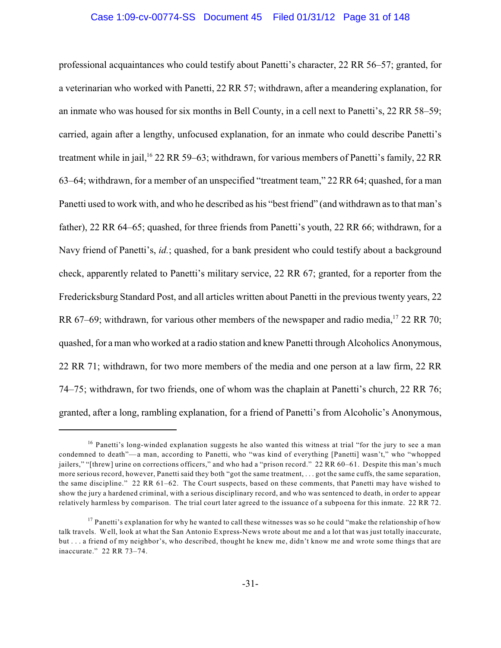# Case 1:09-cv-00774-SS Document 45 Filed 01/31/12 Page 31 of 148

professional acquaintances who could testify about Panetti's character, 22 RR 56–57; granted, for a veterinarian who worked with Panetti, 22 RR 57; withdrawn, after a meandering explanation, for an inmate who was housed for six months in Bell County, in a cell next to Panetti's, 22 RR 58–59; carried, again after a lengthy, unfocused explanation, for an inmate who could describe Panetti's treatment while in jail, <sup>16</sup> 22 RR 59–63; withdrawn, for various members of Panetti's family, 22 RR 63–64; withdrawn, for a member of an unspecified "treatment team," 22 RR 64; quashed, for a man Panetti used to work with, and who he described as his "best friend" (and withdrawn as to that man's father), 22 RR 64–65; quashed, for three friends from Panetti's youth, 22 RR 66; withdrawn, for a Navy friend of Panetti's, *id.*; quashed, for a bank president who could testify about a background check, apparently related to Panetti's military service, 22 RR 67; granted, for a reporter from the Fredericksburg Standard Post, and all articles written about Panetti in the previous twenty years, 22 RR 67–69; withdrawn, for various other members of the newspaper and radio media, <sup>17</sup> 22 RR 70; quashed, for a man who worked at a radio station and knew Panetti through Alcoholics Anonymous, 22 RR 71; withdrawn, for two more members of the media and one person at a law firm, 22 RR 74–75; withdrawn, for two friends, one of whom was the chaplain at Panetti's church, 22 RR 76; granted, after a long, rambling explanation, for a friend of Panetti's from Alcoholic's Anonymous,

<sup>&</sup>lt;sup>16</sup> Panetti's long-winded explanation suggests he also wanted this witness at trial "for the jury to see a man condemned to death"—a man, according to Panetti, who "was kind of everything [Panetti] wasn't," who "whopped jailers," "[threw] urine on corrections officers," and who had a "prison record." 22 RR 60–61. Despite this man's much more serious record, however, Panetti said they both "got the same treatment, . . . got the same cuffs, the same separation, the same discipline." 22 RR 61–62. The Court suspects, based on these comments, that Panetti may have wished to show the jury a hardened criminal, with a serious disciplinary record, and who was sentenced to death, in order to appear relatively harmless by comparison. The trial court later agreed to the issuance of a subpoena for this inmate. 22 RR 72.

 $^{17}$  Panetti's explanation for why he wanted to call these witnesses was so he could "make the relationship of how talk travels. Well, look at what the San Antonio Express-News wrote about me and a lot that was just totally inaccurate, but . . . a friend of my neighbor's, who described, thought he knew me, didn't know me and wrote some things that are inaccurate." 22 RR 73–74.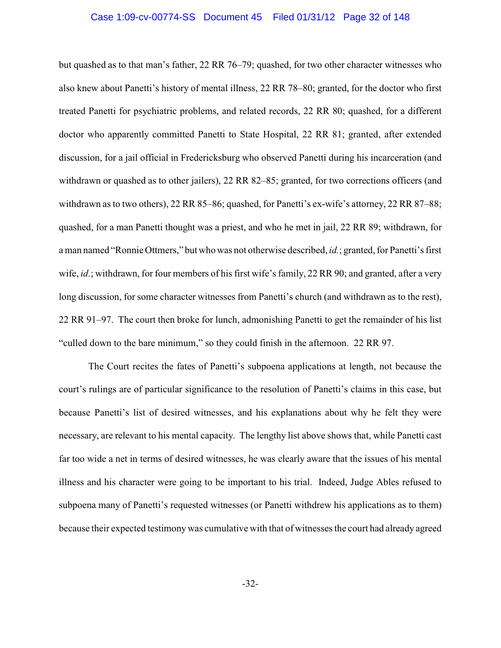# Case 1:09-cv-00774-SS Document 45 Filed 01/31/12 Page 32 of 148

but quashed as to that man's father, 22 RR 76–79; quashed, for two other character witnesses who also knew about Panetti's history of mental illness, 22 RR 78–80; granted, for the doctor who first treated Panetti for psychiatric problems, and related records, 22 RR 80; quashed, for a different doctor who apparently committed Panetti to State Hospital, 22 RR 81; granted, after extended discussion, for a jail official in Fredericksburg who observed Panetti during his incarceration (and withdrawn or quashed as to other jailers), 22 RR 82–85; granted, for two corrections officers (and withdrawn as to two others), 22 RR 85–86; quashed, for Panetti's ex-wife's attorney, 22 RR 87–88; quashed, for a man Panetti thought was a priest, and who he met in jail, 22 RR 89; withdrawn, for a man named "Ronnie Ottmers," but who was not otherwise described, *id.*; granted, for Panetti's first wife, *id.*; withdrawn, for four members of his first wife's family, 22 RR 90; and granted, after a very long discussion, for some character witnesses from Panetti's church (and withdrawn as to the rest), 22 RR 91–97. The court then broke for lunch, admonishing Panetti to get the remainder of his list "culled down to the bare minimum," so they could finish in the afternoon. 22 RR 97.

The Court recites the fates of Panetti's subpoena applications at length, not because the court's rulings are of particular significance to the resolution of Panetti's claims in this case, but because Panetti's list of desired witnesses, and his explanations about why he felt they were necessary, are relevant to his mental capacity. The lengthy list above shows that, while Panetti cast far too wide a net in terms of desired witnesses, he was clearly aware that the issues of his mental illness and his character were going to be important to his trial. Indeed, Judge Ables refused to subpoena many of Panetti's requested witnesses (or Panetti withdrew his applications as to them) because their expected testimony was cumulative with that of witnesses the court had already agreed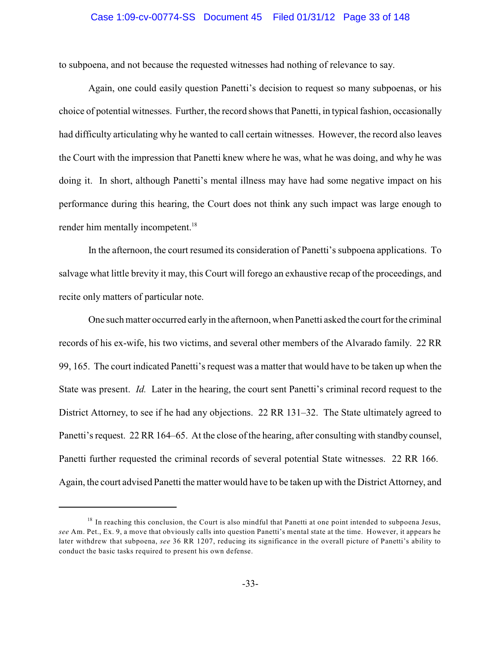# Case 1:09-cv-00774-SS Document 45 Filed 01/31/12 Page 33 of 148

to subpoena, and not because the requested witnesses had nothing of relevance to say.

Again, one could easily question Panetti's decision to request so many subpoenas, or his choice of potential witnesses. Further, the record shows that Panetti, in typical fashion, occasionally had difficulty articulating why he wanted to call certain witnesses. However, the record also leaves the Court with the impression that Panetti knew where he was, what he was doing, and why he was doing it. In short, although Panetti's mental illness may have had some negative impact on his performance during this hearing, the Court does not think any such impact was large enough to render him mentally incompetent.<sup>18</sup>

In the afternoon, the court resumed its consideration of Panetti's subpoena applications. To salvage what little brevity it may, this Court will forego an exhaustive recap of the proceedings, and recite only matters of particular note.

One such matter occurred early in the afternoon, when Panetti asked the court for the criminal records of his ex-wife, his two victims, and several other members of the Alvarado family. 22 RR 99, 165. The court indicated Panetti's request was a matter that would have to be taken up when the State was present. *Id.* Later in the hearing, the court sent Panetti's criminal record request to the District Attorney, to see if he had any objections. 22 RR 131–32. The State ultimately agreed to Panetti's request. 22 RR 164–65. At the close of the hearing, after consulting with standby counsel, Panetti further requested the criminal records of several potential State witnesses. 22 RR 166. Again, the court advised Panetti the matter would have to be taken up with the District Attorney, and

<sup>&</sup>lt;sup>18</sup> In reaching this conclusion, the Court is also mindful that Panetti at one point intended to subpoena Jesus, *see* Am. Pet., Ex. 9, a move that obviously calls into question Panetti's mental state at the time. However, it appears he later withdrew that subpoena, *see* 36 RR 1207, reducing its significance in the overall picture of Panetti's ability to conduct the basic tasks required to present his own defense.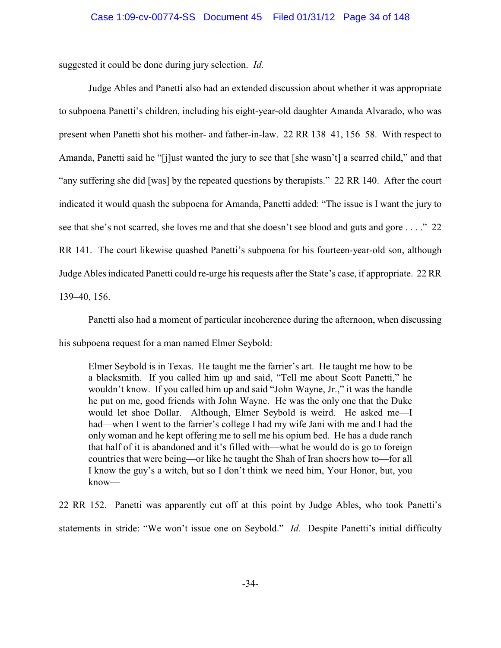suggested it could be done during jury selection. *Id.*

Judge Ables and Panetti also had an extended discussion about whether it was appropriate to subpoena Panetti's children, including his eight-year-old daughter Amanda Alvarado, who was present when Panetti shot his mother- and father-in-law. 22 RR 138–41, 156–58. With respect to Amanda, Panetti said he "[j]ust wanted the jury to see that [she wasn't] a scarred child," and that "any suffering she did [was] by the repeated questions by therapists." 22 RR 140. After the court indicated it would quash the subpoena for Amanda, Panetti added: "The issue is I want the jury to see that she's not scarred, she loves me and that she doesn't see blood and guts and gore . . . ." 22 RR 141. The court likewise quashed Panetti's subpoena for his fourteen-year-old son, although Judge Ables indicated Panetti could re-urge his requests after the State's case, if appropriate. 22 RR

139–40, 156.

Panetti also had a moment of particular incoherence during the afternoon, when discussing

his subpoena request for a man named Elmer Seybold:

Elmer Seybold is in Texas. He taught me the farrier's art. He taught me how to be a blacksmith. If you called him up and said, "Tell me about Scott Panetti," he wouldn't know. If you called him up and said "John Wayne, Jr.," it was the handle he put on me, good friends with John Wayne. He was the only one that the Duke would let shoe Dollar. Although, Elmer Seybold is weird. He asked me—I had—when I went to the farrier's college I had my wife Jani with me and I had the only woman and he kept offering me to sell me his opium bed. He has a dude ranch that half of it is abandoned and it's filled with—what he would do is go to foreign countries that were being—or like he taught the Shah of Iran shoers how to—for all I know the guy's a witch, but so I don't think we need him, Your Honor, but, you know—

22 RR 152. Panetti was apparently cut off at this point by Judge Ables, who took Panetti's statements in stride: "We won't issue one on Seybold." *Id.* Despite Panetti's initial difficulty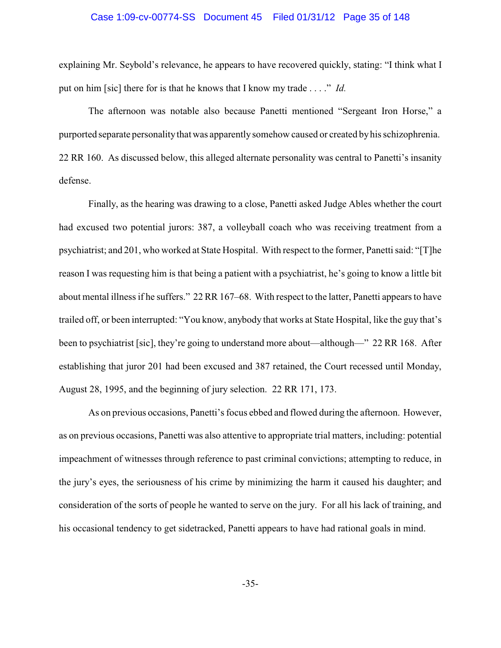# Case 1:09-cv-00774-SS Document 45 Filed 01/31/12 Page 35 of 148

explaining Mr. Seybold's relevance, he appears to have recovered quickly, stating: "I think what I put on him [sic] there for is that he knows that I know my trade . . . ." *Id.*

The afternoon was notable also because Panetti mentioned "Sergeant Iron Horse," a purported separate personality that was apparently somehow caused or created byhis schizophrenia. 22 RR 160. As discussed below, this alleged alternate personality was central to Panetti's insanity defense.

Finally, as the hearing was drawing to a close, Panetti asked Judge Ables whether the court had excused two potential jurors: 387, a volleyball coach who was receiving treatment from a psychiatrist; and 201, who worked at State Hospital. With respect to the former, Panetti said: "[T]he reason I was requesting him is that being a patient with a psychiatrist, he's going to know a little bit about mental illness if he suffers." 22 RR 167–68. With respect to the latter, Panetti appears to have trailed off, or been interrupted: "You know, anybody that works at State Hospital, like the guy that's been to psychiatrist [sic], they're going to understand more about—although—" 22 RR 168. After establishing that juror 201 had been excused and 387 retained, the Court recessed until Monday, August 28, 1995, and the beginning of jury selection. 22 RR 171, 173.

As on previous occasions, Panetti's focus ebbed and flowed during the afternoon. However, as on previous occasions, Panetti was also attentive to appropriate trial matters, including: potential impeachment of witnesses through reference to past criminal convictions; attempting to reduce, in the jury's eyes, the seriousness of his crime by minimizing the harm it caused his daughter; and consideration of the sorts of people he wanted to serve on the jury. For all his lack of training, and his occasional tendency to get sidetracked, Panetti appears to have had rational goals in mind.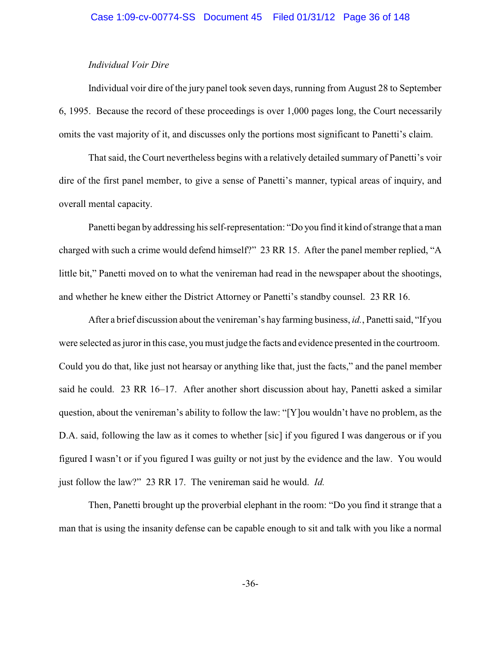# *Individual Voir Dire*

Individual voir dire of the jury panel took seven days, running from August 28 to September 6, 1995. Because the record of these proceedings is over 1,000 pages long, the Court necessarily omits the vast majority of it, and discusses only the portions most significant to Panetti's claim.

That said, the Court nevertheless begins with a relatively detailed summary of Panetti's voir dire of the first panel member, to give a sense of Panetti's manner, typical areas of inquiry, and overall mental capacity.

Panetti began by addressing his self-representation: "Do you find it kind of strange that a man charged with such a crime would defend himself?" 23 RR 15. After the panel member replied, "A little bit," Panetti moved on to what the venireman had read in the newspaper about the shootings, and whether he knew either the District Attorney or Panetti's standby counsel. 23 RR 16.

After a brief discussion about the venireman's hay farming business, *id.*, Panetti said, "If you were selected as juror in this case, you must judge the facts and evidence presented in the courtroom. Could you do that, like just not hearsay or anything like that, just the facts," and the panel member said he could. 23 RR 16–17. After another short discussion about hay, Panetti asked a similar question, about the venireman's ability to follow the law: "[Y]ou wouldn't have no problem, as the D.A. said, following the law as it comes to whether [sic] if you figured I was dangerous or if you figured I wasn't or if you figured I was guilty or not just by the evidence and the law. You would just follow the law?" 23 RR 17. The venireman said he would. *Id.*

Then, Panetti brought up the proverbial elephant in the room: "Do you find it strange that a man that is using the insanity defense can be capable enough to sit and talk with you like a normal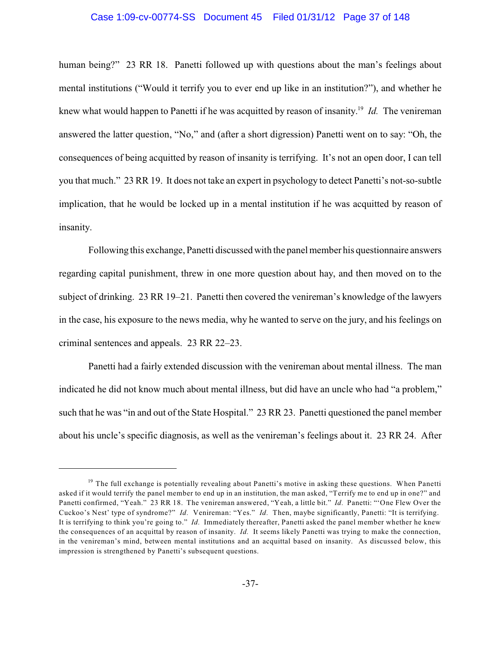#### Case 1:09-cv-00774-SS Document 45 Filed 01/31/12 Page 37 of 148

human being?" 23 RR 18. Panetti followed up with questions about the man's feelings about mental institutions ("Would it terrify you to ever end up like in an institution?"), and whether he knew what would happen to Panetti if he was acquitted by reason of insanity.<sup>19</sup> Id. The venireman answered the latter question, "No," and (after a short digression) Panetti went on to say: "Oh, the consequences of being acquitted by reason of insanity is terrifying. It's not an open door, I can tell you that much." 23 RR 19. It does not take an expert in psychology to detect Panetti's not-so-subtle implication, that he would be locked up in a mental institution if he was acquitted by reason of insanity.

Following this exchange, Panetti discussed with the panel member his questionnaire answers regarding capital punishment, threw in one more question about hay, and then moved on to the subject of drinking. 23 RR 19–21. Panetti then covered the venireman's knowledge of the lawyers in the case, his exposure to the news media, why he wanted to serve on the jury, and his feelings on criminal sentences and appeals. 23 RR 22–23.

Panetti had a fairly extended discussion with the venireman about mental illness. The man indicated he did not know much about mental illness, but did have an uncle who had "a problem," such that he was "in and out of the State Hospital." 23 RR 23. Panetti questioned the panel member about his uncle's specific diagnosis, as well as the venireman's feelings about it. 23 RR 24. After

<sup>&</sup>lt;sup>19</sup> The full exchange is potentially revealing about Panetti's motive in asking these questions. When Panetti asked if it would terrify the panel member to end up in an institution, the man asked, "Terrify me to end up in one?" and Panetti confirmed, "Yeah." 23 RR 18. The venireman answered, "Yeah, a little bit." *Id.* Panetti: "'One Flew Over the Cuckoo's Nest' type of syndrome?" *Id.* Venireman: "Yes." *Id.* Then, maybe significantly, Panetti: "It is terrifying. It is terrifying to think you're going to." *Id.* Immediately thereafter, Panetti asked the panel member whether he knew the consequences of an acquittal by reason of insanity. *Id.* It seems likely Panetti was trying to make the connection, in the venireman's mind, between mental institutions and an acquittal based on insanity. As discussed below, this impression is strengthened by Panetti's subsequent questions.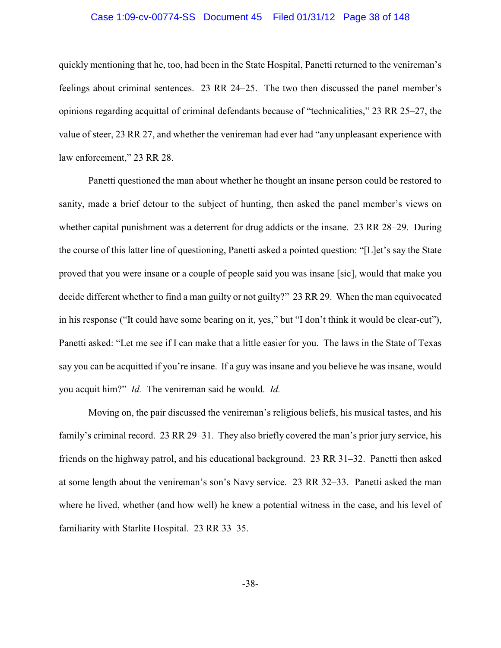#### Case 1:09-cv-00774-SS Document 45 Filed 01/31/12 Page 38 of 148

quickly mentioning that he, too, had been in the State Hospital, Panetti returned to the venireman's feelings about criminal sentences. 23 RR 24–25. The two then discussed the panel member's opinions regarding acquittal of criminal defendants because of "technicalities," 23 RR 25–27, the value of steer, 23 RR 27, and whether the venireman had ever had "any unpleasant experience with law enforcement," 23 RR 28.

Panetti questioned the man about whether he thought an insane person could be restored to sanity, made a brief detour to the subject of hunting, then asked the panel member's views on whether capital punishment was a deterrent for drug addicts or the insane. 23 RR 28–29. During the course of this latter line of questioning, Panetti asked a pointed question: "[L]et's say the State proved that you were insane or a couple of people said you was insane [sic], would that make you decide different whether to find a man guilty or not guilty?" 23 RR 29. When the man equivocated in his response ("It could have some bearing on it, yes," but "I don't think it would be clear-cut"), Panetti asked: "Let me see if I can make that a little easier for you. The laws in the State of Texas say you can be acquitted if you're insane. If a guy was insane and you believe he was insane, would you acquit him?" *Id.* The venireman said he would. *Id.*

Moving on, the pair discussed the venireman's religious beliefs, his musical tastes, and his family's criminal record. 23 RR 29–31. They also briefly covered the man's prior jury service, his friends on the highway patrol, and his educational background. 23 RR 31–32. Panetti then asked at some length about the venireman's son's Navy service. 23 RR 32–33. Panetti asked the man where he lived, whether (and how well) he knew a potential witness in the case, and his level of familiarity with Starlite Hospital. 23 RR 33–35.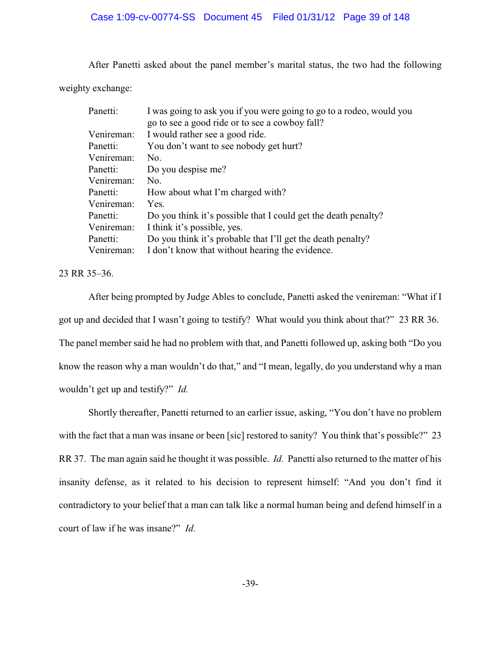After Panetti asked about the panel member's marital status, the two had the following

weighty exchange:

| Panetti:   | I was going to ask you if you were going to go to a rodeo, would you |
|------------|----------------------------------------------------------------------|
|            | go to see a good ride or to see a cowboy fall?                       |
| Venireman: | I would rather see a good ride.                                      |
| Panetti:   | You don't want to see nobody get hurt?                               |
| Venireman: | No.                                                                  |
| Panetti:   | Do you despise me?                                                   |
| Venireman: | No.                                                                  |
| Panetti:   | How about what I'm charged with?                                     |
| Venireman: | Yes.                                                                 |
| Panetti:   | Do you think it's possible that I could get the death penalty?       |
| Venireman: | I think it's possible, yes.                                          |
| Panetti:   | Do you think it's probable that I'll get the death penalty?          |
| Venireman: | I don't know that without hearing the evidence.                      |

23 RR 35–36.

After being prompted by Judge Ables to conclude, Panetti asked the venireman: "What if I got up and decided that I wasn't going to testify? What would you think about that?" 23 RR 36. The panel member said he had no problem with that, and Panetti followed up, asking both "Do you know the reason why a man wouldn't do that," and "I mean, legally, do you understand why a man wouldn't get up and testify?" *Id.*

Shortly thereafter, Panetti returned to an earlier issue, asking, "You don't have no problem with the fact that a man was insane or been [sic] restored to sanity? You think that's possible?" 23 RR 37. The man again said he thought it was possible. *Id.* Panetti also returned to the matter of his insanity defense, as it related to his decision to represent himself: "And you don't find it contradictory to your belief that a man can talk like a normal human being and defend himself in a court of law if he was insane?" *Id.*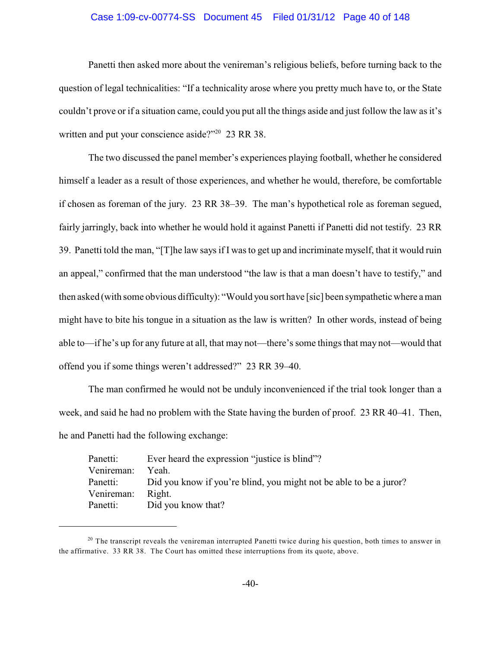### Case 1:09-cv-00774-SS Document 45 Filed 01/31/12 Page 40 of 148

Panetti then asked more about the venireman's religious beliefs, before turning back to the question of legal technicalities: "If a technicality arose where you pretty much have to, or the State couldn't prove or if a situation came, could you put all the things aside and just follow the law as it's written and put your conscience aside?" $20$  23 RR 38.

The two discussed the panel member's experiences playing football, whether he considered himself a leader as a result of those experiences, and whether he would, therefore, be comfortable if chosen as foreman of the jury. 23 RR 38–39. The man's hypothetical role as foreman segued, fairly jarringly, back into whether he would hold it against Panetti if Panetti did not testify. 23 RR 39. Panetti told the man, "[T]he law says if I was to get up and incriminate myself, that it would ruin an appeal," confirmed that the man understood "the law is that a man doesn't have to testify," and then asked (with some obvious difficulty): "Would you sort have [sic] been sympathetic where a man might have to bite his tongue in a situation as the law is written? In other words, instead of being able to—if he's up for any future at all, that may not—there's some things that may not—would that offend you if some things weren't addressed?" 23 RR 39–40.

The man confirmed he would not be unduly inconvenienced if the trial took longer than a week, and said he had no problem with the State having the burden of proof. 23 RR 40–41. Then, he and Panetti had the following exchange:

| Did you know if you're blind, you might not be able to be a juror? |
|--------------------------------------------------------------------|
|                                                                    |
|                                                                    |
|                                                                    |

 $20$  The transcript reveals the venireman interrupted Panetti twice during his question, both times to answer in the affirmative. 33 RR 38. The Court has omitted these interruptions from its quote, above.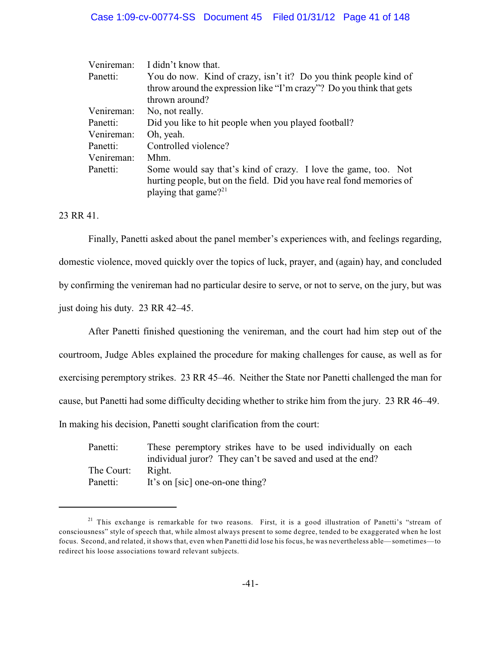| Venireman: | I didn't know that.                                                  |
|------------|----------------------------------------------------------------------|
| Panetti:   | You do now. Kind of crazy, isn't it? Do you think people kind of     |
|            | throw around the expression like "I'm crazy"? Do you think that gets |
|            | thrown around?                                                       |
| Venireman: | No, not really.                                                      |
| Panetti:   | Did you like to hit people when you played football?                 |
| Venireman: | Oh, yeah.                                                            |
| Panetti:   | Controlled violence?                                                 |
| Venireman: | Mhm.                                                                 |
| Panetti:   | Some would say that's kind of crazy. I love the game, too. Not       |
|            | hurting people, but on the field. Did you have real fond memories of |
|            | playing that game? $2^{21}$                                          |

23 RR 41.

Finally, Panetti asked about the panel member's experiences with, and feelings regarding, domestic violence, moved quickly over the topics of luck, prayer, and (again) hay, and concluded by confirming the venireman had no particular desire to serve, or not to serve, on the jury, but was just doing his duty. 23 RR 42–45.

After Panetti finished questioning the venireman, and the court had him step out of the courtroom, Judge Ables explained the procedure for making challenges for cause, as well as for exercising peremptory strikes. 23 RR 45–46. Neither the State nor Panetti challenged the man for cause, but Panetti had some difficulty deciding whether to strike him from the jury. 23 RR 46–49. In making his decision, Panetti sought clarification from the court:

Panetti: These peremptory strikes have to be used individually on each individual juror? They can't be saved and used at the end? The Court: Right. Panetti: It's on [sic] one-on-one thing?

<sup>&</sup>lt;sup>21</sup> This exchange is remarkable for two reasons. First, it is a good illustration of Panetti's "stream of consciousness" style of speech that, while almost always present to some degree, tended to be exaggerated when he lost focus. Second, and related, it shows that, even when Panetti did lose his focus, he was nevertheless able—sometimes—to redirect his loose associations toward relevant subjects.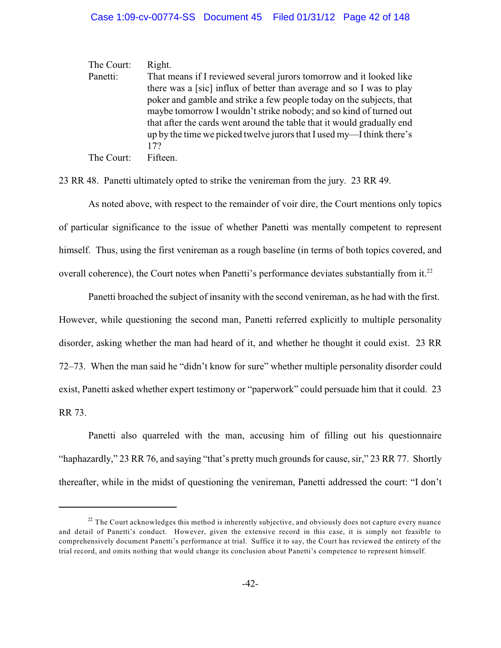The Court: Right. Panetti: That means if I reviewed several jurors tomorrow and it looked like there was a [sic] influx of better than average and so I was to play poker and gamble and strike a few people today on the subjects, that maybe tomorrow I wouldn't strike nobody; and so kind of turned out that after the cards went around the table that it would gradually end up by the time we picked twelve jurors that I used my—Ithink there's 17?

The Court: Fifteen.

23 RR 48. Panetti ultimately opted to strike the venireman from the jury. 23 RR 49.

As noted above, with respect to the remainder of voir dire, the Court mentions only topics of particular significance to the issue of whether Panetti was mentally competent to represent himself. Thus, using the first venireman as a rough baseline (in terms of both topics covered, and overall coherence), the Court notes when Panetti's performance deviates substantially from it.<sup>22</sup>

Panetti broached the subject of insanity with the second venireman, as he had with the first. However, while questioning the second man, Panetti referred explicitly to multiple personality disorder, asking whether the man had heard of it, and whether he thought it could exist. 23 RR 72–73. When the man said he "didn't know for sure" whether multiple personality disorder could exist, Panetti asked whether expert testimony or "paperwork" could persuade him that it could. 23 RR 73.

Panetti also quarreled with the man, accusing him of filling out his questionnaire "haphazardly," 23 RR 76, and saying "that's pretty much grounds for cause, sir," 23 RR 77. Shortly thereafter, while in the midst of questioning the venireman, Panetti addressed the court: "I don't

 $2<sup>22</sup>$  The Court acknowledges this method is inherently subjective, and obviously does not capture every nuance and detail of Panetti's conduct. However, given the extensive record in this case, it is simply not feasible to comprehensively document Panetti's performance at trial. Suffice it to say, the Court has reviewed the entirety of the trial record, and omits nothing that would change its conclusion about Panetti's competence to represent himself.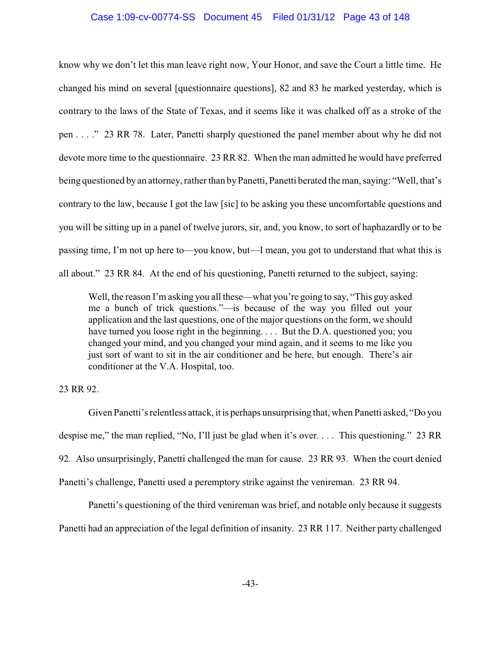## Case 1:09-cv-00774-SS Document 45 Filed 01/31/12 Page 43 of 148

know why we don't let this man leave right now, Your Honor, and save the Court a little time. He changed his mind on several [questionnaire questions], 82 and 83 he marked yesterday, which is contrary to the laws of the State of Texas, and it seems like it was chalked off as a stroke of the pen . . . ." 23 RR 78. Later, Panetti sharply questioned the panel member about why he did not devote more time to the questionnaire. 23 RR 82. When the man admitted he would have preferred being questioned by an attorney, rather than by Panetti, Panetti berated the man, saying: "Well, that's contrary to the law, because I got the law [sic] to be asking you these uncomfortable questions and you will be sitting up in a panel of twelve jurors, sir, and, you know, to sort of haphazardly or to be passing time, I'm not up here to—you know, but—I mean, you got to understand that what this is all about." 23 RR 84. At the end of his questioning, Panetti returned to the subject, saying:

Well, the reason I'm asking you all these—what you're going to say, "This guy asked me a bunch of trick questions."—is because of the way you filled out your application and the last questions, one of the major questions on the form, we should have turned you loose right in the beginning. . . . But the D.A. questioned you; you changed your mind, and you changed your mind again, and it seems to me like you just sort of want to sit in the air conditioner and be here, but enough. There's air conditioner at the V.A. Hospital, too.

23 RR 92.

Given Panetti's relentless attack, it is perhaps unsurprising that, when Panetti asked, "Do you despise me," the man replied, "No, I'll just be glad when it's over. . . . This questioning." 23 RR 92. Also unsurprisingly, Panetti challenged the man for cause. 23 RR 93. When the court denied Panetti's challenge, Panetti used a peremptory strike against the venireman. 23 RR 94.

Panetti's questioning of the third venireman was brief, and notable only because it suggests Panetti had an appreciation of the legal definition of insanity. 23 RR 117. Neither party challenged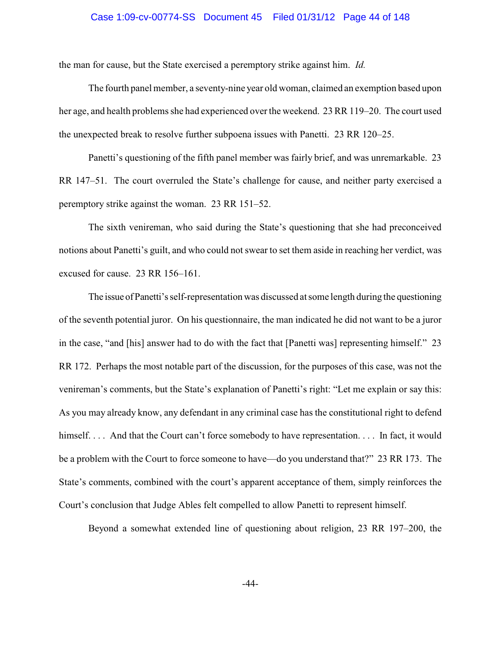#### Case 1:09-cv-00774-SS Document 45 Filed 01/31/12 Page 44 of 148

the man for cause, but the State exercised a peremptory strike against him. *Id.*

The fourth panel member, a seventy-nine year old woman, claimed an exemption based upon her age, and health problems she had experienced over the weekend. 23 RR 119–20. The court used the unexpected break to resolve further subpoena issues with Panetti. 23 RR 120–25.

Panetti's questioning of the fifth panel member was fairly brief, and was unremarkable. 23 RR 147–51. The court overruled the State's challenge for cause, and neither party exercised a peremptory strike against the woman. 23 RR 151–52.

The sixth venireman, who said during the State's questioning that she had preconceived notions about Panetti's guilt, and who could not swear to set them aside in reaching her verdict, was excused for cause. 23 RR 156–161.

The issue ofPanetti's self-representation was discussed at some length during the questioning of the seventh potential juror. On his questionnaire, the man indicated he did not want to be a juror in the case, "and [his] answer had to do with the fact that [Panetti was] representing himself." 23 RR 172. Perhaps the most notable part of the discussion, for the purposes of this case, was not the venireman's comments, but the State's explanation of Panetti's right: "Let me explain or say this: As you may already know, any defendant in any criminal case has the constitutional right to defend himself. . . . And that the Court can't force somebody to have representation. . . . In fact, it would be a problem with the Court to force someone to have—do you understand that?" 23 RR 173. The State's comments, combined with the court's apparent acceptance of them, simply reinforces the Court's conclusion that Judge Ables felt compelled to allow Panetti to represent himself.

Beyond a somewhat extended line of questioning about religion, 23 RR 197–200, the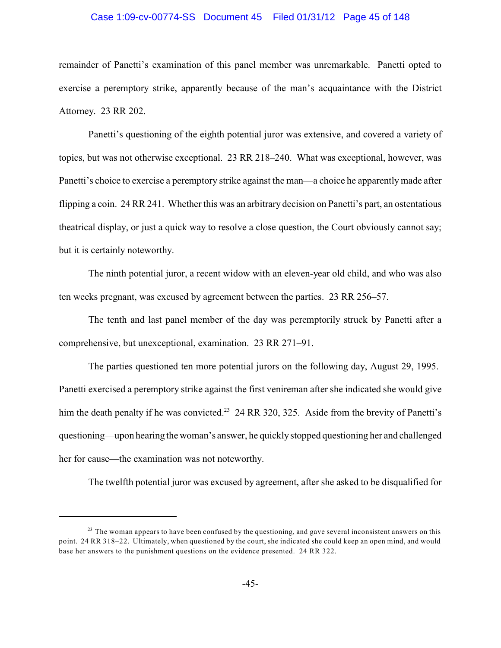#### Case 1:09-cv-00774-SS Document 45 Filed 01/31/12 Page 45 of 148

remainder of Panetti's examination of this panel member was unremarkable. Panetti opted to exercise a peremptory strike, apparently because of the man's acquaintance with the District Attorney. 23 RR 202.

Panetti's questioning of the eighth potential juror was extensive, and covered a variety of topics, but was not otherwise exceptional. 23 RR 218–240. What was exceptional, however, was Panetti's choice to exercise a peremptory strike against the man—a choice he apparently made after flipping a coin. 24 RR 241. Whether this was an arbitrary decision on Panetti's part, an ostentatious theatrical display, or just a quick way to resolve a close question, the Court obviously cannot say; but it is certainly noteworthy.

The ninth potential juror, a recent widow with an eleven-year old child, and who was also ten weeks pregnant, was excused by agreement between the parties. 23 RR 256–57.

The tenth and last panel member of the day was peremptorily struck by Panetti after a comprehensive, but unexceptional, examination. 23 RR 271–91.

The parties questioned ten more potential jurors on the following day, August 29, 1995. Panetti exercised a peremptory strike against the first venireman after she indicated she would give him the death penalty if he was convicted.<sup>23</sup> 24 RR 320, 325. Aside from the brevity of Panetti's questioning—upon hearing the woman's answer, he quickly stopped questioning her and challenged her for cause—the examination was not noteworthy.

The twelfth potential juror was excused by agreement, after she asked to be disqualified for

 $2<sup>23</sup>$  The woman appears to have been confused by the questioning, and gave several inconsistent answers on this point. 24 RR 318–22. Ultimately, when questioned by the court, she indicated she could keep an open mind, and would base her answers to the punishment questions on the evidence presented. 24 RR 322.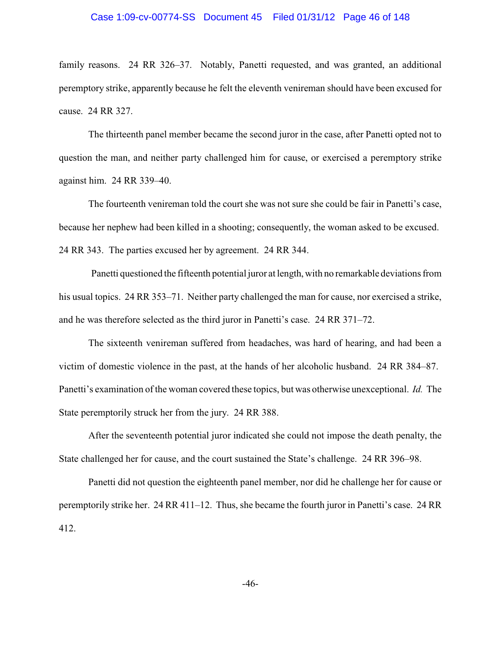#### Case 1:09-cv-00774-SS Document 45 Filed 01/31/12 Page 46 of 148

family reasons. 24 RR 326–37. Notably, Panetti requested, and was granted, an additional peremptory strike, apparently because he felt the eleventh venireman should have been excused for cause. 24 RR 327.

The thirteenth panel member became the second juror in the case, after Panetti opted not to question the man, and neither party challenged him for cause, or exercised a peremptory strike against him. 24 RR 339–40.

The fourteenth venireman told the court she was not sure she could be fair in Panetti's case, because her nephew had been killed in a shooting; consequently, the woman asked to be excused. 24 RR 343. The parties excused her by agreement. 24 RR 344.

Panetti questioned the fifteenth potential juror at length, with no remarkable deviations from his usual topics. 24 RR 353–71. Neither party challenged the man for cause, nor exercised a strike, and he was therefore selected as the third juror in Panetti's case. 24 RR 371–72.

The sixteenth venireman suffered from headaches, was hard of hearing, and had been a victim of domestic violence in the past, at the hands of her alcoholic husband. 24 RR 384–87. Panetti's examination of the woman covered these topics, but was otherwise unexceptional. *Id.* The State peremptorily struck her from the jury. 24 RR 388.

After the seventeenth potential juror indicated she could not impose the death penalty, the State challenged her for cause, and the court sustained the State's challenge. 24 RR 396–98.

Panetti did not question the eighteenth panel member, nor did he challenge her for cause or peremptorily strike her. 24 RR 411–12. Thus, she became the fourth juror in Panetti's case. 24 RR 412.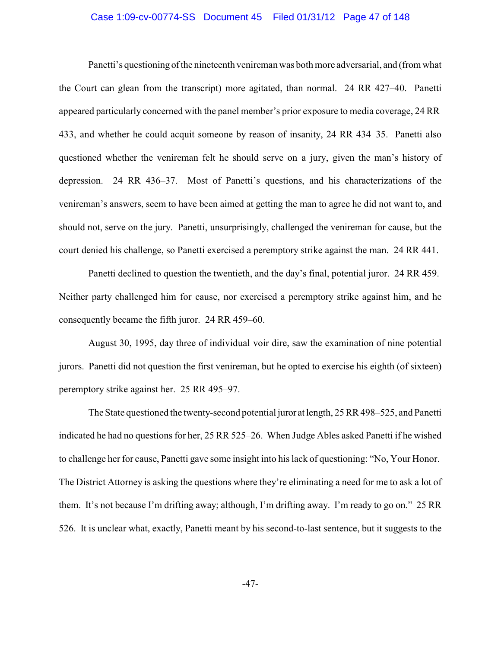#### Case 1:09-cv-00774-SS Document 45 Filed 01/31/12 Page 47 of 148

Panetti's questioning ofthe nineteenth venireman was both more adversarial, and (from what the Court can glean from the transcript) more agitated, than normal. 24 RR 427–40. Panetti appeared particularly concerned with the panel member's prior exposure to media coverage, 24 RR 433, and whether he could acquit someone by reason of insanity, 24 RR 434–35. Panetti also questioned whether the venireman felt he should serve on a jury, given the man's history of depression. 24 RR 436–37. Most of Panetti's questions, and his characterizations of the venireman's answers, seem to have been aimed at getting the man to agree he did not want to, and should not, serve on the jury. Panetti, unsurprisingly, challenged the venireman for cause, but the court denied his challenge, so Panetti exercised a peremptory strike against the man. 24 RR 441.

Panetti declined to question the twentieth, and the day's final, potential juror. 24 RR 459. Neither party challenged him for cause, nor exercised a peremptory strike against him, and he consequently became the fifth juror. 24 RR 459–60.

August 30, 1995, day three of individual voir dire, saw the examination of nine potential jurors. Panetti did not question the first venireman, but he opted to exercise his eighth (of sixteen) peremptory strike against her. 25 RR 495–97.

The State questioned the twenty-second potential juror at length, 25 RR 498–525, and Panetti indicated he had no questions for her, 25 RR 525–26. When Judge Ables asked Panetti if he wished to challenge her for cause, Panetti gave some insight into his lack of questioning: "No, Your Honor. The District Attorney is asking the questions where they're eliminating a need for me to ask a lot of them. It's not because I'm drifting away; although, I'm drifting away. I'm ready to go on." 25 RR 526. It is unclear what, exactly, Panetti meant by his second-to-last sentence, but it suggests to the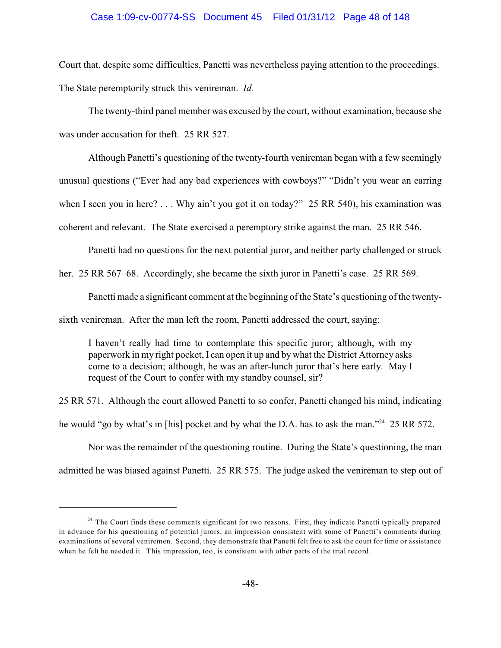## Case 1:09-cv-00774-SS Document 45 Filed 01/31/12 Page 48 of 148

Court that, despite some difficulties, Panetti was nevertheless paying attention to the proceedings. The State peremptorily struck this venireman. *Id.*

The twenty-third panel member was excused by the court, without examination, because she was under accusation for theft. 25 RR 527.

Although Panetti's questioning of the twenty-fourth venireman began with a few seemingly unusual questions ("Ever had any bad experiences with cowboys?" "Didn't you wear an earring when I seen you in here? . . . Why ain't you got it on today?" 25 RR 540), his examination was coherent and relevant. The State exercised a peremptory strike against the man. 25 RR 546.

Panetti had no questions for the next potential juror, and neither party challenged or struck

her. 25 RR 567–68. Accordingly, she became the sixth juror in Panetti's case. 25 RR 569.

Panetti made a significant comment at the beginning of the State's questioning of the twenty-

sixth venireman. After the man left the room, Panetti addressed the court, saying:

I haven't really had time to contemplate this specific juror; although, with my paperwork in my right pocket, I can open it up and by what the District Attorney asks come to a decision; although, he was an after-lunch juror that's here early. May I request of the Court to confer with my standby counsel, sir?

25 RR 571. Although the court allowed Panetti to so confer, Panetti changed his mind, indicating he would "go by what's in [his] pocket and by what the D.A. has to ask the man."  $25 RR 572$ .

Nor was the remainder of the questioning routine. During the State's questioning, the man admitted he was biased against Panetti. 25 RR 575. The judge asked the venireman to step out of

<sup>&</sup>lt;sup>24</sup> The Court finds these comments significant for two reasons. First, they indicate Panetti typically prepared in advance for his questioning of potential jurors, an impression consistent with some of Panetti's comments during examinations of several veniremen. Second, they demonstrate that Panetti felt free to ask the court for time or assistance when he felt he needed it. This impression, too, is consistent with other parts of the trial record.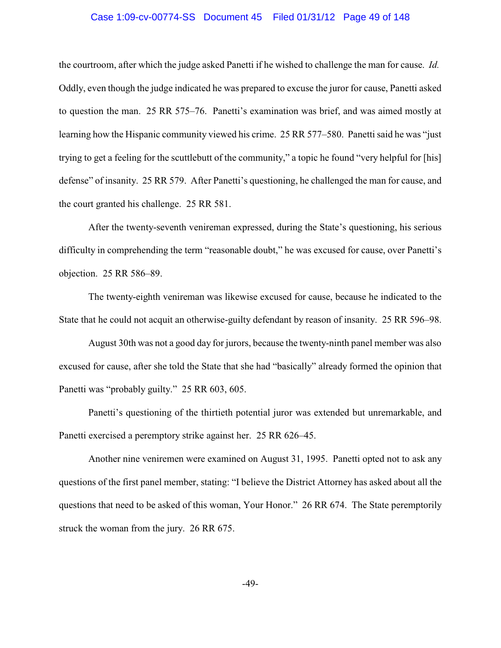#### Case 1:09-cv-00774-SS Document 45 Filed 01/31/12 Page 49 of 148

the courtroom, after which the judge asked Panetti if he wished to challenge the man for cause. *Id.* Oddly, even though the judge indicated he was prepared to excuse the juror for cause, Panetti asked to question the man. 25 RR 575–76. Panetti's examination was brief, and was aimed mostly at learning how the Hispanic community viewed his crime. 25 RR 577–580. Panetti said he was "just trying to get a feeling for the scuttlebutt of the community," a topic he found "very helpful for [his] defense" of insanity. 25 RR 579. After Panetti's questioning, he challenged the man for cause, and the court granted his challenge. 25 RR 581.

After the twenty-seventh venireman expressed, during the State's questioning, his serious difficulty in comprehending the term "reasonable doubt," he was excused for cause, over Panetti's objection. 25 RR 586–89.

The twenty-eighth venireman was likewise excused for cause, because he indicated to the State that he could not acquit an otherwise-guilty defendant by reason of insanity. 25 RR 596–98.

August 30th was not a good day for jurors, because the twenty-ninth panel member was also excused for cause, after she told the State that she had "basically" already formed the opinion that Panetti was "probably guilty." 25 RR 603, 605.

Panetti's questioning of the thirtieth potential juror was extended but unremarkable, and Panetti exercised a peremptory strike against her. 25 RR 626–45.

Another nine veniremen were examined on August 31, 1995. Panetti opted not to ask any questions of the first panel member, stating: "I believe the District Attorney has asked about all the questions that need to be asked of this woman, Your Honor." 26 RR 674. The State peremptorily struck the woman from the jury. 26 RR 675.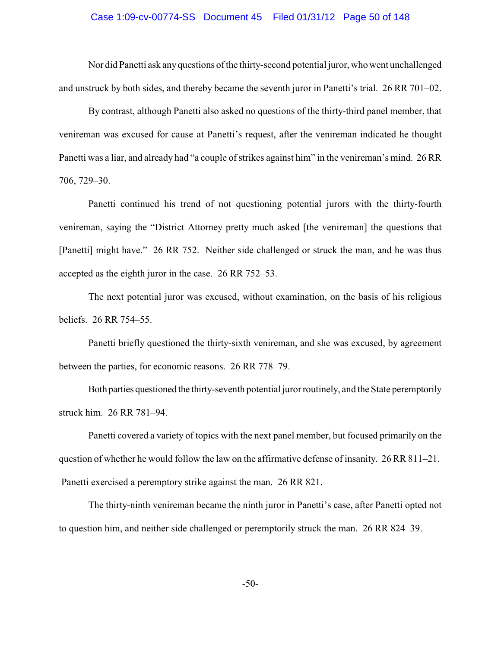#### Case 1:09-cv-00774-SS Document 45 Filed 01/31/12 Page 50 of 148

Nor did Panetti ask anyquestions of the thirty-second potential juror, who went unchallenged and unstruck by both sides, and thereby became the seventh juror in Panetti's trial. 26 RR 701–02.

By contrast, although Panetti also asked no questions of the thirty-third panel member, that venireman was excused for cause at Panetti's request, after the venireman indicated he thought Panetti was a liar, and already had "a couple of strikes against him" in the venireman's mind. 26 RR 706, 729–30.

Panetti continued his trend of not questioning potential jurors with the thirty-fourth venireman, saying the "District Attorney pretty much asked [the venireman] the questions that [Panetti] might have." 26 RR 752. Neither side challenged or struck the man, and he was thus accepted as the eighth juror in the case. 26 RR 752–53.

The next potential juror was excused, without examination, on the basis of his religious beliefs. 26 RR 754–55.

Panetti briefly questioned the thirty-sixth venireman, and she was excused, by agreement between the parties, for economic reasons. 26 RR 778–79.

Both parties questioned the thirty-seventh potential juror routinely, and the State peremptorily struck him. 26 RR 781–94.

Panetti covered a variety of topics with the next panel member, but focused primarily on the question of whether he would follow the law on the affirmative defense of insanity. 26 RR 811–21. Panetti exercised a peremptory strike against the man. 26 RR 821.

The thirty-ninth venireman became the ninth juror in Panetti's case, after Panetti opted not to question him, and neither side challenged or peremptorily struck the man. 26 RR 824–39.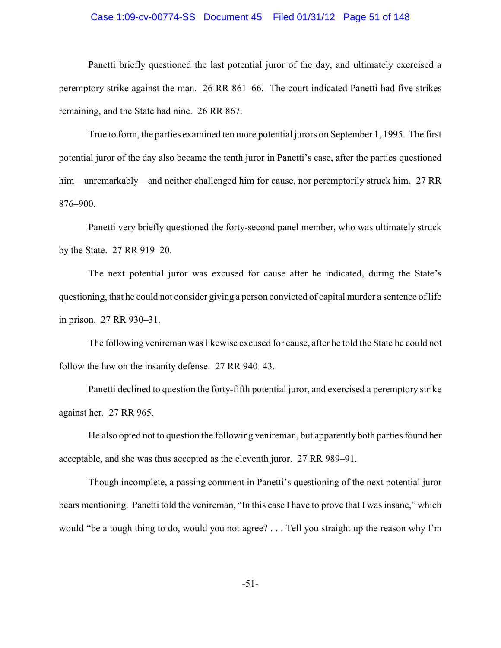#### Case 1:09-cv-00774-SS Document 45 Filed 01/31/12 Page 51 of 148

Panetti briefly questioned the last potential juror of the day, and ultimately exercised a peremptory strike against the man. 26 RR 861–66. The court indicated Panetti had five strikes remaining, and the State had nine. 26 RR 867.

True to form, the parties examined ten more potential jurors on September 1, 1995. The first potential juror of the day also became the tenth juror in Panetti's case, after the parties questioned him—unremarkably—and neither challenged him for cause, nor peremptorily struck him. 27 RR 876–900.

Panetti very briefly questioned the forty-second panel member, who was ultimately struck by the State. 27 RR 919–20.

The next potential juror was excused for cause after he indicated, during the State's questioning, that he could not consider giving a person convicted of capital murder a sentence of life in prison. 27 RR 930–31.

The following venireman was likewise excused for cause, after he told the State he could not follow the law on the insanity defense. 27 RR 940–43.

Panetti declined to question the forty-fifth potential juror, and exercised a peremptory strike against her. 27 RR 965.

He also opted not to question the following venireman, but apparently both parties found her acceptable, and she was thus accepted as the eleventh juror. 27 RR 989–91.

Though incomplete, a passing comment in Panetti's questioning of the next potential juror bears mentioning. Panetti told the venireman, "In this case I have to prove that I was insane," which would "be a tough thing to do, would you not agree? . . . Tell you straight up the reason why I'm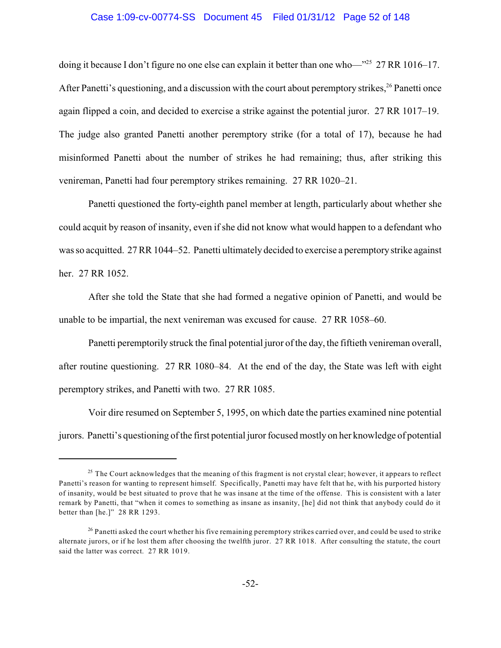#### Case 1:09-cv-00774-SS Document 45 Filed 01/31/12 Page 52 of 148

doing it because I don't figure no one else can explain it better than one who— $125$  27 RR 1016–17. After Panetti's questioning, and a discussion with the court about peremptory strikes, <sup>26</sup> Panetti once again flipped a coin, and decided to exercise a strike against the potential juror. 27 RR 1017–19. The judge also granted Panetti another peremptory strike (for a total of 17), because he had misinformed Panetti about the number of strikes he had remaining; thus, after striking this venireman, Panetti had four peremptory strikes remaining. 27 RR 1020–21.

Panetti questioned the forty-eighth panel member at length, particularly about whether she could acquit by reason of insanity, even if she did not know what would happen to a defendant who was so acquitted. 27 RR 1044–52. Panetti ultimately decided to exercise a peremptorystrike against her. 27 RR 1052.

After she told the State that she had formed a negative opinion of Panetti, and would be unable to be impartial, the next venireman was excused for cause. 27 RR 1058–60.

Panetti peremptorily struck the final potential juror of the day, the fiftieth venireman overall, after routine questioning. 27 RR 1080–84. At the end of the day, the State was left with eight peremptory strikes, and Panetti with two. 27 RR 1085.

Voir dire resumed on September 5, 1995, on which date the parties examined nine potential jurors. Panetti's questioning of the first potential juror focused mostly on her knowledge of potential

 $25$  The Court acknowledges that the meaning of this fragment is not crystal clear; however, it appears to reflect Panetti's reason for wanting to represent himself. Specifically, Panetti may have felt that he, with his purported history of insanity, would be best situated to prove that he was insane at the time of the offense. This is consistent with a later remark by Panetti, that "when it comes to something as insane as insanity, [he] did not think that anybody could do it better than [he.]" 28 RR 1293.

 $^{26}$  Panetti asked the court whether his five remaining peremptory strikes carried over, and could be used to strike alternate jurors, or if he lost them after choosing the twelfth juror. 27 RR 1018. After consulting the statute, the court said the latter was correct. 27 RR 1019.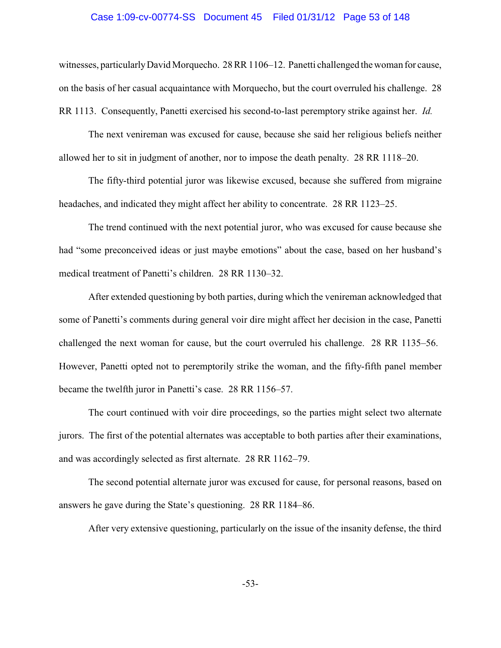#### Case 1:09-cv-00774-SS Document 45 Filed 01/31/12 Page 53 of 148

witnesses, particularly David Morquecho. 28 RR 1106–12. Panetti challenged the woman for cause, on the basis of her casual acquaintance with Morquecho, but the court overruled his challenge. 28 RR 1113. Consequently, Panetti exercised his second-to-last peremptory strike against her. *Id.*

The next venireman was excused for cause, because she said her religious beliefs neither allowed her to sit in judgment of another, nor to impose the death penalty. 28 RR 1118–20.

The fifty-third potential juror was likewise excused, because she suffered from migraine headaches, and indicated they might affect her ability to concentrate. 28 RR 1123–25.

The trend continued with the next potential juror, who was excused for cause because she had "some preconceived ideas or just maybe emotions" about the case, based on her husband's medical treatment of Panetti's children. 28 RR 1130–32.

After extended questioning by both parties, during which the venireman acknowledged that some of Panetti's comments during general voir dire might affect her decision in the case, Panetti challenged the next woman for cause, but the court overruled his challenge. 28 RR 1135–56. However, Panetti opted not to peremptorily strike the woman, and the fifty-fifth panel member became the twelfth juror in Panetti's case. 28 RR 1156–57.

The court continued with voir dire proceedings, so the parties might select two alternate jurors. The first of the potential alternates was acceptable to both parties after their examinations, and was accordingly selected as first alternate. 28 RR 1162–79.

The second potential alternate juror was excused for cause, for personal reasons, based on answers he gave during the State's questioning. 28 RR 1184–86.

After very extensive questioning, particularly on the issue of the insanity defense, the third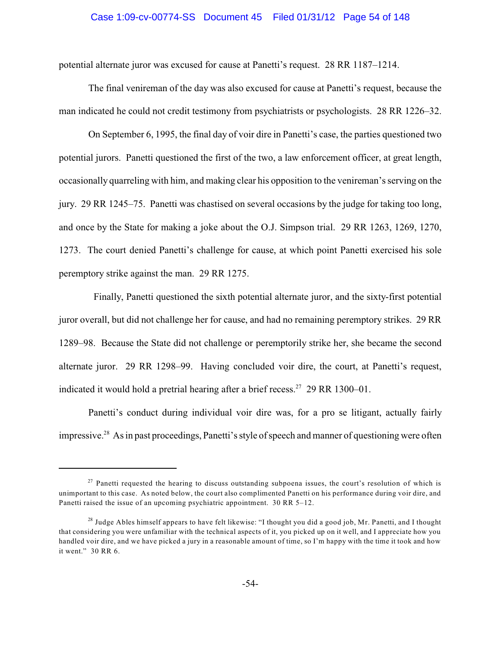#### Case 1:09-cv-00774-SS Document 45 Filed 01/31/12 Page 54 of 148

potential alternate juror was excused for cause at Panetti's request. 28 RR 1187–1214.

The final venireman of the day was also excused for cause at Panetti's request, because the man indicated he could not credit testimony from psychiatrists or psychologists. 28 RR 1226–32.

On September 6, 1995, the final day of voir dire in Panetti's case, the parties questioned two potential jurors. Panetti questioned the first of the two, a law enforcement officer, at great length, occasionally quarreling with him, and making clear his opposition to the venireman's serving on the jury. 29 RR 1245–75. Panetti was chastised on several occasions by the judge for taking too long, and once by the State for making a joke about the O.J. Simpson trial. 29 RR 1263, 1269, 1270, 1273. The court denied Panetti's challenge for cause, at which point Panetti exercised his sole peremptory strike against the man. 29 RR 1275.

Finally, Panetti questioned the sixth potential alternate juror, and the sixty-first potential juror overall, but did not challenge her for cause, and had no remaining peremptory strikes. 29 RR 1289–98. Because the State did not challenge or peremptorily strike her, she became the second alternate juror. 29 RR 1298–99. Having concluded voir dire, the court, at Panetti's request, indicated it would hold a pretrial hearing after a brief recess.<sup>27</sup> 29 RR 1300–01.

Panetti's conduct during individual voir dire was, for a pro se litigant, actually fairly impressive.<sup>28</sup> As in past proceedings, Panetti's style of speech and manner of questioning were often

 $2<sup>27</sup>$  Panetti requested the hearing to discuss outstanding subpoena issues, the court's resolution of which is unimportant to this case. As noted below, the court also complimented Panetti on his performance during voir dire, and Panetti raised the issue of an upcoming psychiatric appointment. 30 RR 5–12.

 $^{28}$  Judge Ables himself appears to have felt likewise: "I thought you did a good job, Mr. Panetti, and I thought that considering you were unfamiliar with the technical aspects of it, you picked up on it well, and I appreciate how you handled voir dire, and we have picked a jury in a reasonable amount of time, so I'm happy with the time it took and how it went." 30 RR 6.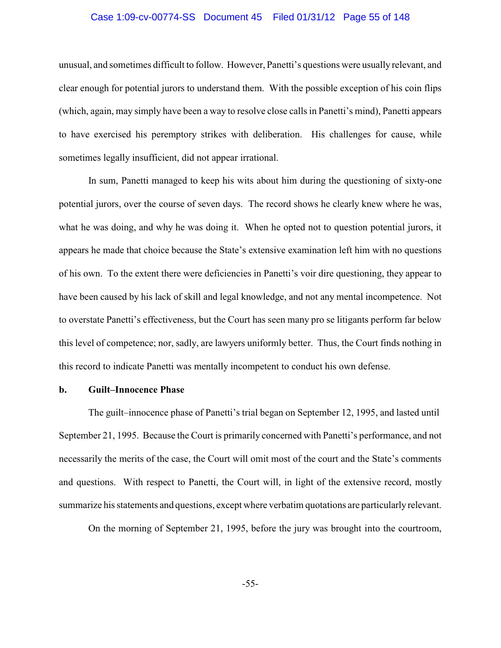#### Case 1:09-cv-00774-SS Document 45 Filed 01/31/12 Page 55 of 148

unusual, and sometimes difficult to follow. However, Panetti's questions were usually relevant, and clear enough for potential jurors to understand them. With the possible exception of his coin flips (which, again, may simply have been a way to resolve close calls in Panetti's mind), Panetti appears to have exercised his peremptory strikes with deliberation. His challenges for cause, while sometimes legally insufficient, did not appear irrational.

In sum, Panetti managed to keep his wits about him during the questioning of sixty-one potential jurors, over the course of seven days. The record shows he clearly knew where he was, what he was doing, and why he was doing it. When he opted not to question potential jurors, it appears he made that choice because the State's extensive examination left him with no questions of his own. To the extent there were deficiencies in Panetti's voir dire questioning, they appear to have been caused by his lack of skill and legal knowledge, and not any mental incompetence. Not to overstate Panetti's effectiveness, but the Court has seen many pro se litigants perform far below this level of competence; nor, sadly, are lawyers uniformly better. Thus, the Court finds nothing in this record to indicate Panetti was mentally incompetent to conduct his own defense.

#### **b. Guilt–Innocence Phase**

The guilt–innocence phase of Panetti's trial began on September 12, 1995, and lasted until September 21, 1995. Because the Court is primarily concerned with Panetti's performance, and not necessarily the merits of the case, the Court will omit most of the court and the State's comments and questions. With respect to Panetti, the Court will, in light of the extensive record, mostly summarize his statements and questions, except where verbatim quotations are particularly relevant.

On the morning of September 21, 1995, before the jury was brought into the courtroom,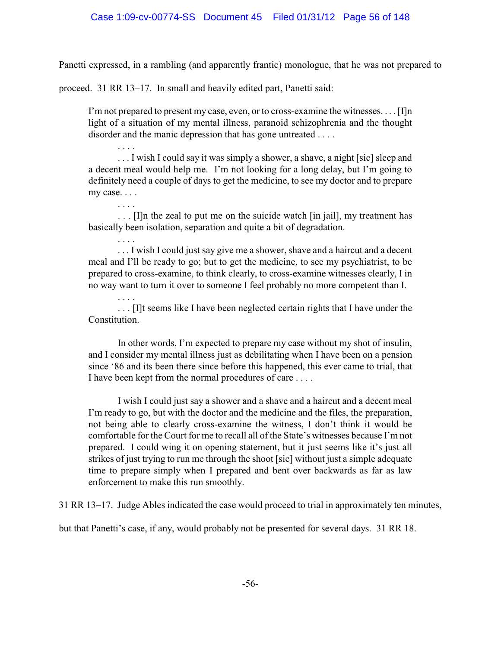Panetti expressed, in a rambling (and apparently frantic) monologue, that he was not prepared to

proceed. 31 RR 13–17. In small and heavily edited part, Panetti said:

. . . .

. . . .

I'm not prepared to present my case, even, or to cross-examine the witnesses. . . . [I]n light of a situation of my mental illness, paranoid schizophrenia and the thought disorder and the manic depression that has gone untreated . . . .

... I wish I could say it was simply a shower, a shave, a night [sic] sleep and a decent meal would help me. I'm not looking for a long delay, but I'm going to definitely need a couple of days to get the medicine, to see my doctor and to prepare my case. . . .

. . . . . . . [I]n the zeal to put me on the suicide watch [in jail], my treatment has basically been isolation, separation and quite a bit of degradation.

. . . . ... I wish I could just say give me a shower, shave and a haircut and a decent meal and I'll be ready to go; but to get the medicine, to see my psychiatrist, to be prepared to cross-examine, to think clearly, to cross-examine witnesses clearly, I in no way want to turn it over to someone I feel probably no more competent than I.

. . . [I]t seems like I have been neglected certain rights that I have under the Constitution.

In other words, I'm expected to prepare my case without my shot of insulin, and I consider my mental illness just as debilitating when I have been on a pension since '86 and its been there since before this happened, this ever came to trial, that I have been kept from the normal procedures of care . . . .

I wish I could just say a shower and a shave and a haircut and a decent meal I'm ready to go, but with the doctor and the medicine and the files, the preparation, not being able to clearly cross-examine the witness, I don't think it would be comfortable for the Court for me to recall all of the State's witnesses because I'm not prepared. I could wing it on opening statement, but it just seems like it's just all strikes of just trying to run me through the shoot [sic] without just a simple adequate time to prepare simply when I prepared and bent over backwards as far as law enforcement to make this run smoothly.

31 RR 13–17. Judge Ables indicated the case would proceed to trial in approximately ten minutes,

but that Panetti's case, if any, would probably not be presented for several days. 31 RR 18.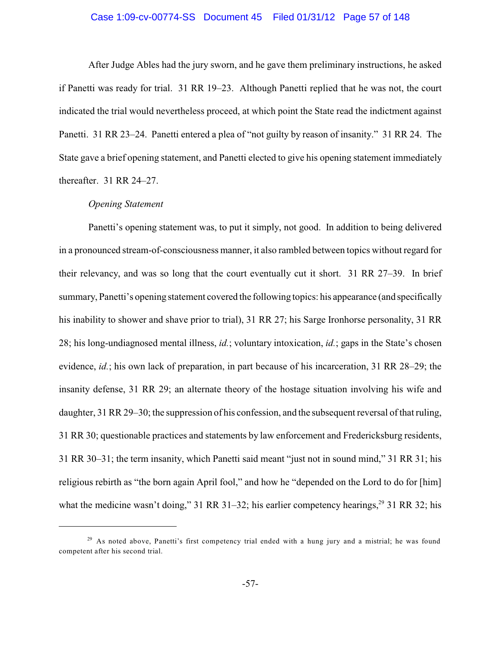#### Case 1:09-cv-00774-SS Document 45 Filed 01/31/12 Page 57 of 148

After Judge Ables had the jury sworn, and he gave them preliminary instructions, he asked if Panetti was ready for trial. 31 RR 19–23. Although Panetti replied that he was not, the court indicated the trial would nevertheless proceed, at which point the State read the indictment against Panetti. 31 RR 23–24. Panetti entered a plea of "not guilty by reason of insanity." 31 RR 24. The State gave a brief opening statement, and Panetti elected to give his opening statement immediately thereafter. 31 RR 24–27.

# *Opening Statement*

Panetti's opening statement was, to put it simply, not good. In addition to being delivered in a pronounced stream-of-consciousness manner, it also rambled between topics without regard for their relevancy, and was so long that the court eventually cut it short. 31 RR 27–39. In brief summary, Panetti's opening statement covered the following topics: his appearance (and specifically his inability to shower and shave prior to trial), 31 RR 27; his Sarge Ironhorse personality, 31 RR 28; his long-undiagnosed mental illness, *id.*; voluntary intoxication, *id.*; gaps in the State's chosen evidence, *id.*; his own lack of preparation, in part because of his incarceration, 31 RR 28–29; the insanity defense, 31 RR 29; an alternate theory of the hostage situation involving his wife and daughter, 31 RR 29–30; the suppression of his confession, and the subsequent reversal of that ruling, 31 RR 30; questionable practices and statements by law enforcement and Fredericksburg residents, 31 RR 30–31; the term insanity, which Panetti said meant "just not in sound mind," 31 RR 31; his religious rebirth as "the born again April fool," and how he "depended on the Lord to do for [him] what the medicine wasn't doing," 31 RR 31–32; his earlier competency hearings, $^{29}$  31 RR 32; his

<sup>&</sup>lt;sup>29</sup> As noted above, Panetti's first competency trial ended with a hung jury and a mistrial; he was found competent after his second trial.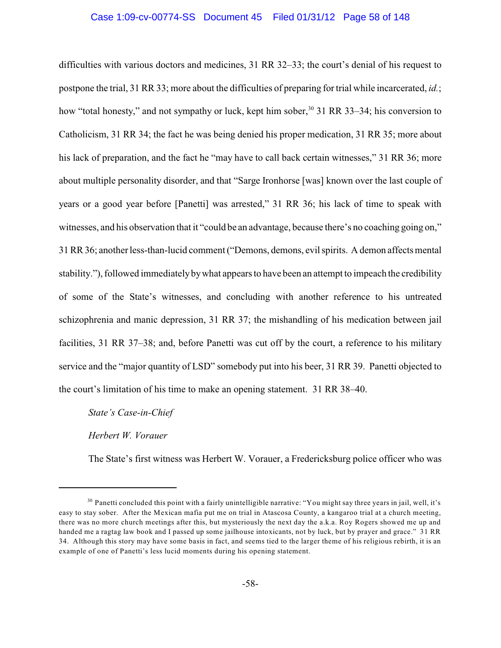### Case 1:09-cv-00774-SS Document 45 Filed 01/31/12 Page 58 of 148

difficulties with various doctors and medicines, 31 RR 32–33; the court's denial of his request to postpone the trial, 31 RR 33; more about the difficulties of preparing for trial while incarcerated, *id.*; how "total honesty," and not sympathy or luck, kept him sober,<sup>30</sup> 31 RR 33–34; his conversion to Catholicism, 31 RR 34; the fact he was being denied his proper medication, 31 RR 35; more about his lack of preparation, and the fact he "may have to call back certain witnesses," 31 RR 36; more about multiple personality disorder, and that "Sarge Ironhorse [was] known over the last couple of years or a good year before [Panetti] was arrested," 31 RR 36; his lack of time to speak with witnesses, and his observation that it "could be an advantage, because there's no coaching going on," 31 RR 36; anotherless-than-lucid comment ("Demons, demons, evil spirits. A demon affects mental stability."), followed immediatelybywhat appears to have been an attempt to impeach the credibility of some of the State's witnesses, and concluding with another reference to his untreated schizophrenia and manic depression, 31 RR 37; the mishandling of his medication between jail facilities, 31 RR 37–38; and, before Panetti was cut off by the court, a reference to his military service and the "major quantity of LSD" somebody put into his beer, 31 RR 39. Panetti objected to the court's limitation of his time to make an opening statement. 31 RR 38–40.

*State's Case-in-Chief*

*Herbert W. Vorauer*

The State's first witness was Herbert W. Vorauer, a Fredericksburg police officer who was

 $30$  Panetti concluded this point with a fairly unintelligible narrative: "You might say three years in jail, well, it's easy to stay sober. After the Mexican mafia put me on trial in Atascosa County, a kangaroo trial at a church meeting, there was no more church meetings after this, but mysteriously the next day the a.k.a. Roy Rogers showed me up and handed me a ragtag law book and I passed up some jailhouse intoxicants, not by luck, but by prayer and grace." 31 RR 34. Although this story may have some basis in fact, and seems tied to the larger theme of his religious rebirth, it is an example of one of Panetti's less lucid moments during his opening statement.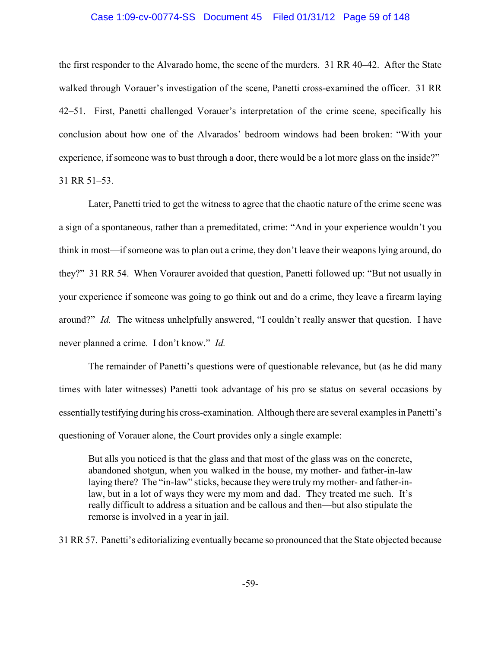#### Case 1:09-cv-00774-SS Document 45 Filed 01/31/12 Page 59 of 148

the first responder to the Alvarado home, the scene of the murders. 31 RR 40–42. After the State walked through Vorauer's investigation of the scene, Panetti cross-examined the officer. 31 RR 42–51. First, Panetti challenged Vorauer's interpretation of the crime scene, specifically his conclusion about how one of the Alvarados' bedroom windows had been broken: "With your experience, if someone was to bust through a door, there would be a lot more glass on the inside?" 31 RR 51–53.

Later, Panetti tried to get the witness to agree that the chaotic nature of the crime scene was a sign of a spontaneous, rather than a premeditated, crime: "And in your experience wouldn't you think in most—if someone was to plan out a crime, they don't leave their weapons lying around, do they?" 31 RR 54. When Voraurer avoided that question, Panetti followed up: "But not usually in your experience if someone was going to go think out and do a crime, they leave a firearm laying around?" *Id.* The witness unhelpfully answered, "I couldn't really answer that question. I have never planned a crime. I don't know." *Id.*

The remainder of Panetti's questions were of questionable relevance, but (as he did many times with later witnesses) Panetti took advantage of his pro se status on several occasions by essentiallytestifying during his cross-examination. Although there are several examples in Panetti's questioning of Vorauer alone, the Court provides only a single example:

But alls you noticed is that the glass and that most of the glass was on the concrete, abandoned shotgun, when you walked in the house, my mother- and father-in-law laying there? The "in-law" sticks, because they were truly my mother- and father-inlaw, but in a lot of ways they were my mom and dad. They treated me such. It's really difficult to address a situation and be callous and then—but also stipulate the remorse is involved in a year in jail.

31 RR 57. Panetti's editorializing eventually became so pronounced that the State objected because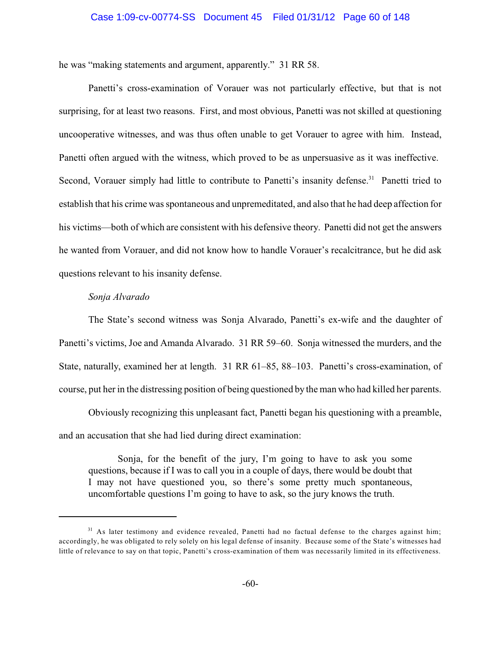### Case 1:09-cv-00774-SS Document 45 Filed 01/31/12 Page 60 of 148

he was "making statements and argument, apparently." 31 RR 58.

Panetti's cross-examination of Vorauer was not particularly effective, but that is not surprising, for at least two reasons. First, and most obvious, Panetti was not skilled at questioning uncooperative witnesses, and was thus often unable to get Vorauer to agree with him. Instead, Panetti often argued with the witness, which proved to be as unpersuasive as it was ineffective. Second, Vorauer simply had little to contribute to Panetti's insanity defense.<sup>31</sup> Panetti tried to establish that his crime was spontaneous and unpremeditated, and also that he had deep affection for his victims—both of which are consistent with his defensive theory. Panetti did not get the answers he wanted from Vorauer, and did not know how to handle Vorauer's recalcitrance, but he did ask questions relevant to his insanity defense.

## *Sonja Alvarado*

The State's second witness was Sonja Alvarado, Panetti's ex-wife and the daughter of Panetti's victims, Joe and Amanda Alvarado. 31 RR 59–60. Sonja witnessed the murders, and the State, naturally, examined her at length. 31 RR 61–85, 88–103. Panetti's cross-examination, of course, put her in the distressing position of being questioned by the man who had killed her parents.

Obviously recognizing this unpleasant fact, Panetti began his questioning with a preamble, and an accusation that she had lied during direct examination:

Sonja, for the benefit of the jury, I'm going to have to ask you some questions, because if I was to call you in a couple of days, there would be doubt that I may not have questioned you, so there's some pretty much spontaneous, uncomfortable questions I'm going to have to ask, so the jury knows the truth.

 $31$  As later testimony and evidence revealed, Panetti had no factual defense to the charges against him; accordingly, he was obligated to rely solely on his legal defense of insanity. Because some of the State's witnesses had little of relevance to say on that topic, Panetti's cross-examination of them was necessarily limited in its effectiveness.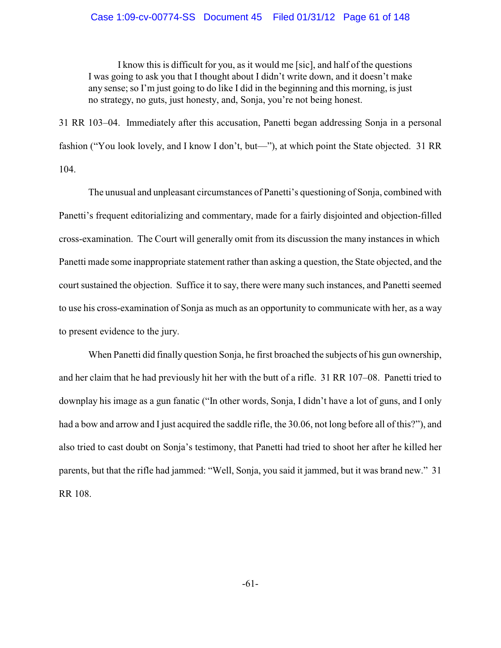# Case 1:09-cv-00774-SS Document 45 Filed 01/31/12 Page 61 of 148

I know this is difficult for you, as it would me [sic], and half of the questions I was going to ask you that I thought about I didn't write down, and it doesn't make any sense; so I'm just going to do like I did in the beginning and this morning, is just no strategy, no guts, just honesty, and, Sonja, you're not being honest.

31 RR 103–04. Immediately after this accusation, Panetti began addressing Sonja in a personal fashion ("You look lovely, and I know I don't, but—"), at which point the State objected. 31 RR 104.

The unusual and unpleasant circumstances of Panetti's questioning of Sonja, combined with Panetti's frequent editorializing and commentary, made for a fairly disjointed and objection-filled cross-examination. The Court will generally omit from its discussion the many instances in which Panetti made some inappropriate statement rather than asking a question, the State objected, and the court sustained the objection. Suffice it to say, there were many such instances, and Panetti seemed to use his cross-examination of Sonja as much as an opportunity to communicate with her, as a way to present evidence to the jury.

When Panetti did finally question Sonja, he first broached the subjects of his gun ownership, and her claim that he had previously hit her with the butt of a rifle. 31 RR 107–08. Panetti tried to downplay his image as a gun fanatic ("In other words, Sonja, I didn't have a lot of guns, and I only had a bow and arrow and I just acquired the saddle rifle, the 30.06, not long before all of this?"), and also tried to cast doubt on Sonja's testimony, that Panetti had tried to shoot her after he killed her parents, but that the rifle had jammed: "Well, Sonja, you said it jammed, but it was brand new." 31 RR 108.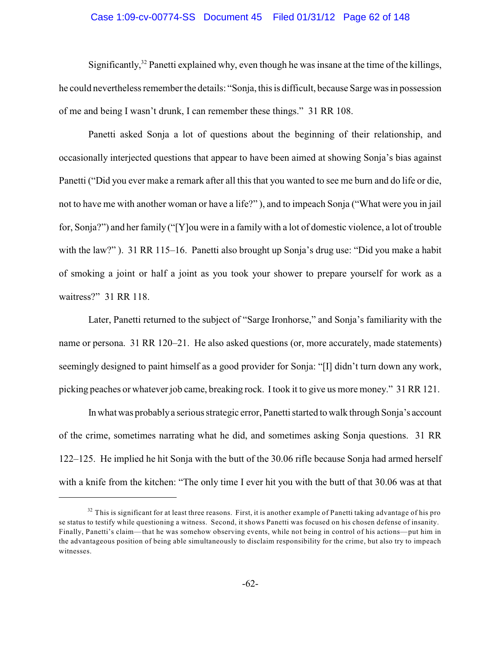#### Case 1:09-cv-00774-SS Document 45 Filed 01/31/12 Page 62 of 148

Significantly,  $32$  Panetti explained why, even though he was insane at the time of the killings, he could nevertheless remember the details: "Sonja, this is difficult, because Sarge was in possession of me and being I wasn't drunk, I can remember these things." 31 RR 108.

Panetti asked Sonja a lot of questions about the beginning of their relationship, and occasionally interjected questions that appear to have been aimed at showing Sonja's bias against Panetti ("Did you ever make a remark after all this that you wanted to see me burn and do life or die, not to have me with another woman or have a life?" ), and to impeach Sonja ("What were you in jail for, Sonja?") and her family ("[Y]ou were in a family with a lot of domestic violence, a lot of trouble with the law?"). 31 RR 115–16. Panetti also brought up Sonja's drug use: "Did you make a habit of smoking a joint or half a joint as you took your shower to prepare yourself for work as a waitress?" 31 RR 118.

Later, Panetti returned to the subject of "Sarge Ironhorse," and Sonja's familiarity with the name or persona. 31 RR 120–21. He also asked questions (or, more accurately, made statements) seemingly designed to paint himself as a good provider for Sonja: "[I] didn't turn down any work, picking peaches or whatever job came, breaking rock. Itook it to give us more money." 31 RR 121.

In what was probablya serious strategic error, Panetti started to walk through Sonja's account of the crime, sometimes narrating what he did, and sometimes asking Sonja questions. 31 RR 122–125. He implied he hit Sonja with the butt of the 30.06 rifle because Sonja had armed herself with a knife from the kitchen: "The only time I ever hit you with the butt of that 30.06 was at that

 $32$  This is significant for at least three reasons. First, it is another example of Panetti taking advantage of his pro se status to testify while questioning a witness. Second, it shows Panetti was focused on his chosen defense of insanity. Finally, Panetti's claim—that he was somehow observing events, while not being in control of his actions—put him in the advantageous position of being able simultaneously to disclaim responsibility for the crime, but also try to impeach witnesses.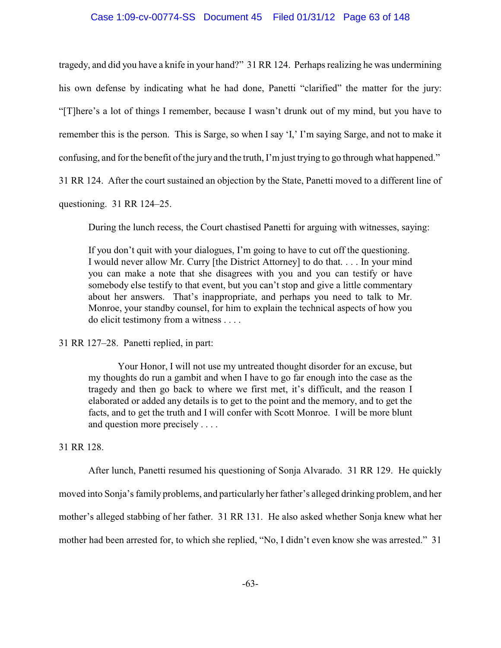## Case 1:09-cv-00774-SS Document 45 Filed 01/31/12 Page 63 of 148

tragedy, and did you have a knife in your hand?" 31 RR 124. Perhaps realizing he was undermining his own defense by indicating what he had done, Panetti "clarified" the matter for the jury: "[T]here's a lot of things I remember, because I wasn't drunk out of my mind, but you have to remember this is the person. This is Sarge, so when I say 'I,' I'm saying Sarge, and not to make it confusing, and for the benefit of the jury and the truth, I'm just trying to go through what happened."

31 RR 124. After the court sustained an objection by the State, Panetti moved to a different line of

questioning. 31 RR 124–25.

During the lunch recess, the Court chastised Panetti for arguing with witnesses, saying:

If you don't quit with your dialogues, I'm going to have to cut off the questioning. I would never allow Mr. Curry [the District Attorney] to do that. . . . In your mind you can make a note that she disagrees with you and you can testify or have somebody else testify to that event, but you can't stop and give a little commentary about her answers. That's inappropriate, and perhaps you need to talk to Mr. Monroe, your standby counsel, for him to explain the technical aspects of how you do elicit testimony from a witness . . . .

31 RR 127–28. Panetti replied, in part:

Your Honor, I will not use my untreated thought disorder for an excuse, but my thoughts do run a gambit and when I have to go far enough into the case as the tragedy and then go back to where we first met, it's difficult, and the reason I elaborated or added any details is to get to the point and the memory, and to get the facts, and to get the truth and I will confer with Scott Monroe. I will be more blunt and question more precisely . . . .

# 31 RR 128.

After lunch, Panetti resumed his questioning of Sonja Alvarado. 31 RR 129. He quickly moved into Sonja's family problems, and particularly her father's alleged drinking problem, and her mother's alleged stabbing of her father. 31 RR 131. He also asked whether Sonja knew what her mother had been arrested for, to which she replied, "No, I didn't even know she was arrested." 31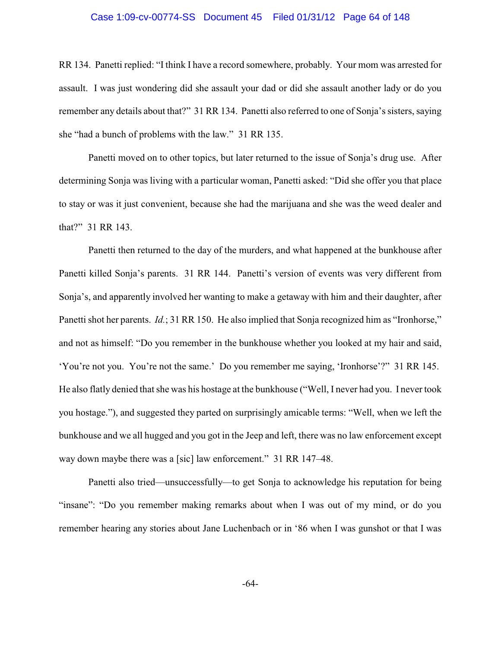#### Case 1:09-cv-00774-SS Document 45 Filed 01/31/12 Page 64 of 148

RR 134. Panetti replied: "I think I have a record somewhere, probably. Your mom was arrested for assault. I was just wondering did she assault your dad or did she assault another lady or do you remember any details about that?" 31 RR 134. Panetti also referred to one of Sonja's sisters, saying she "had a bunch of problems with the law." 31 RR 135.

Panetti moved on to other topics, but later returned to the issue of Sonja's drug use. After determining Sonja was living with a particular woman, Panetti asked: "Did she offer you that place to stay or was it just convenient, because she had the marijuana and she was the weed dealer and that?" 31 RR 143.

Panetti then returned to the day of the murders, and what happened at the bunkhouse after Panetti killed Sonja's parents. 31 RR 144. Panetti's version of events was very different from Sonja's, and apparently involved her wanting to make a getaway with him and their daughter, after Panetti shot her parents. *Id.*; 31 RR 150. He also implied that Sonja recognized him as "Ironhorse," and not as himself: "Do you remember in the bunkhouse whether you looked at my hair and said, 'You're not you. You're not the same.' Do you remember me saying, 'Ironhorse'?" 31 RR 145. He also flatly denied that she was his hostage at the bunkhouse ("Well, I never had you. I never took you hostage."), and suggested they parted on surprisingly amicable terms: "Well, when we left the bunkhouse and we all hugged and you got in the Jeep and left, there was no law enforcement except way down maybe there was a [sic] law enforcement." 31 RR 147-48.

Panetti also tried—unsuccessfully—to get Sonja to acknowledge his reputation for being "insane": "Do you remember making remarks about when I was out of my mind, or do you remember hearing any stories about Jane Luchenbach or in '86 when I was gunshot or that I was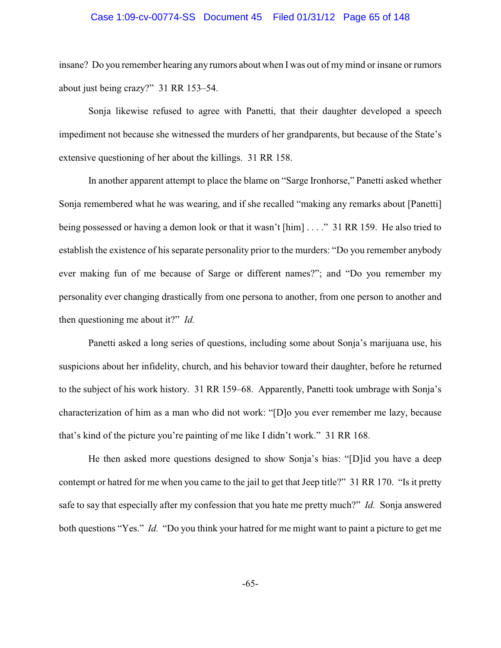#### Case 1:09-cv-00774-SS Document 45 Filed 01/31/12 Page 65 of 148

insane? Do you remember hearing any rumors about when I was out of mymind or insane or rumors about just being crazy?" 31 RR 153–54.

Sonja likewise refused to agree with Panetti, that their daughter developed a speech impediment not because she witnessed the murders of her grandparents, but because of the State's extensive questioning of her about the killings. 31 RR 158.

In another apparent attempt to place the blame on "Sarge Ironhorse," Panetti asked whether Sonja remembered what he was wearing, and if she recalled "making any remarks about [Panetti] being possessed or having a demon look or that it wasn't [him] . . . ." 31 RR 159. He also tried to establish the existence of his separate personality prior to the murders: "Do you remember anybody ever making fun of me because of Sarge or different names?"; and "Do you remember my personality ever changing drastically from one persona to another, from one person to another and then questioning me about it?" *Id.*

Panetti asked a long series of questions, including some about Sonja's marijuana use, his suspicions about her infidelity, church, and his behavior toward their daughter, before he returned to the subject of his work history. 31 RR 159–68. Apparently, Panetti took umbrage with Sonja's characterization of him as a man who did not work: "[D]o you ever remember me lazy, because that's kind of the picture you're painting of me like I didn't work." 31 RR 168.

He then asked more questions designed to show Sonja's bias: "[D]id you have a deep contempt or hatred for me when you came to the jail to get that Jeep title?" 31 RR 170. "Is it pretty safe to say that especially after my confession that you hate me pretty much?" *Id.* Sonja answered both questions "Yes." *Id.* "Do you think your hatred for me might want to paint a picture to get me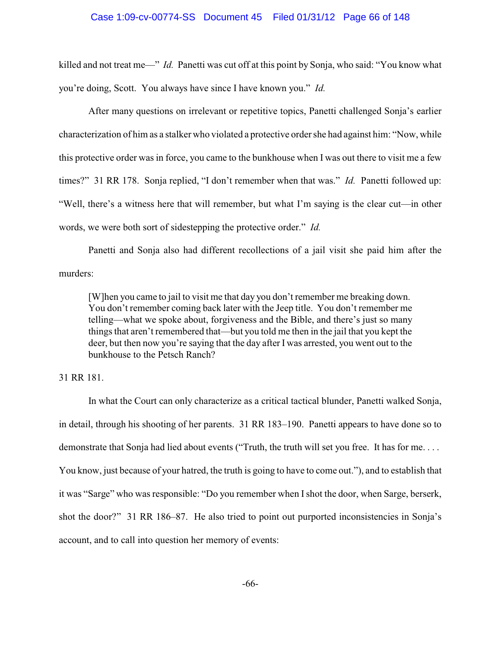#### Case 1:09-cv-00774-SS Document 45 Filed 01/31/12 Page 66 of 148

killed and not treat me—" *Id.* Panetti was cut off at this point by Sonja, who said: "You know what you're doing, Scott. You always have since I have known you." *Id.*

After many questions on irrelevant or repetitive topics, Panetti challenged Sonja's earlier characterization of him as a stalker who violated a protective ordershe had against him: "Now, while this protective order was in force, you came to the bunkhouse when I was out there to visit me a few times?" 31 RR 178. Sonja replied, "I don't remember when that was." *Id.* Panetti followed up: "Well, there's a witness here that will remember, but what I'm saying is the clear cut—in other words, we were both sort of sidestepping the protective order." *Id.*

Panetti and Sonja also had different recollections of a jail visit she paid him after the murders:

[W]hen you came to jail to visit me that day you don't remember me breaking down. You don't remember coming back later with the Jeep title. You don't remember me telling—what we spoke about, forgiveness and the Bible, and there's just so many things that aren't remembered that—but you told me then in the jail that you kept the deer, but then now you're saying that the day after I was arrested, you went out to the bunkhouse to the Petsch Ranch?

# 31 RR 181.

In what the Court can only characterize as a critical tactical blunder, Panetti walked Sonja, in detail, through his shooting of her parents. 31 RR 183–190. Panetti appears to have done so to demonstrate that Sonja had lied about events ("Truth, the truth will set you free. It has for me. . . . You know, just because of your hatred, the truth is going to have to come out."), and to establish that it was "Sarge" who was responsible: "Do you remember when Ishot the door, when Sarge, berserk, shot the door?" 31 RR 186–87. He also tried to point out purported inconsistencies in Sonja's account, and to call into question her memory of events: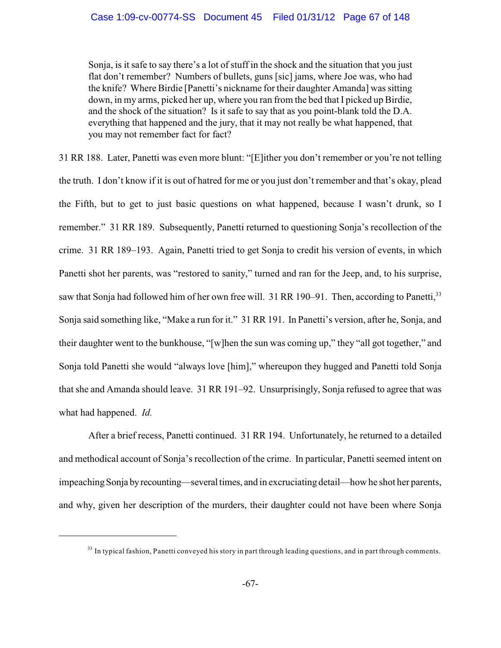Sonja, is it safe to say there's a lot of stuff in the shock and the situation that you just flat don't remember? Numbers of bullets, guns [sic] jams, where Joe was, who had the knife? Where Birdie [Panetti's nickname for their daughter Amanda] was sitting down, in my arms, picked her up, where you ran from the bed that I picked up Birdie, and the shock of the situation? Is it safe to say that as you point-blank told the D.A. everything that happened and the jury, that it may not really be what happened, that you may not remember fact for fact?

31 RR 188. Later, Panetti was even more blunt: "[E]ither you don't remember or you're not telling the truth. I don't know if it is out of hatred for me or you just don't remember and that's okay, plead the Fifth, but to get to just basic questions on what happened, because I wasn't drunk, so I remember." 31 RR 189. Subsequently, Panetti returned to questioning Sonja's recollection of the crime. 31 RR 189–193. Again, Panetti tried to get Sonja to credit his version of events, in which Panetti shot her parents, was "restored to sanity," turned and ran for the Jeep, and, to his surprise, saw that Sonja had followed him of her own free will. 31 RR 190-91. Then, according to Panetti,<sup>33</sup> Sonja said something like, "Make a run for it." 31 RR 191. In Panetti's version, after he, Sonja, and their daughter went to the bunkhouse, "[w]hen the sun was coming up," they "all got together," and Sonja told Panetti she would "always love [him]," whereupon they hugged and Panetti told Sonja that she and Amanda should leave. 31 RR 191–92. Unsurprisingly, Sonja refused to agree that was what had happened. *Id.*

After a brief recess, Panetti continued. 31 RR 194. Unfortunately, he returned to a detailed and methodical account of Sonja's recollection of the crime. In particular, Panetti seemed intent on impeaching Sonja by recounting—several times, and in excruciating detail—how he shot her parents, and why, given her description of the murders, their daughter could not have been where Sonja

 $33$  In typical fashion, Panetti conveyed his story in part through leading questions, and in part through comments.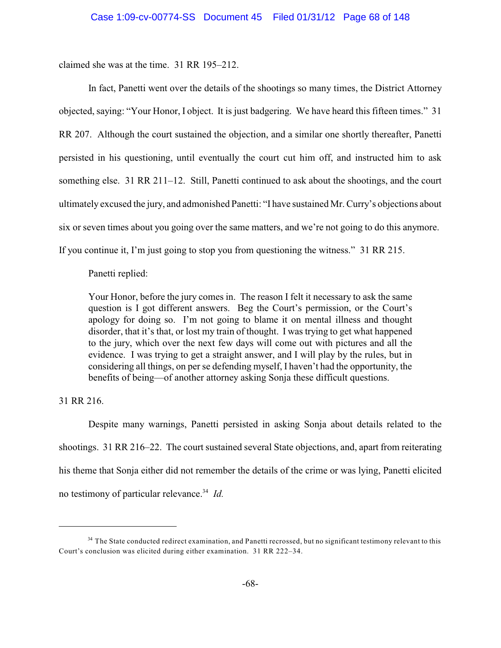claimed she was at the time. 31 RR 195–212.

In fact, Panetti went over the details of the shootings so many times, the District Attorney objected, saying: "Your Honor, I object. It is just badgering. We have heard this fifteen times." 31 RR 207. Although the court sustained the objection, and a similar one shortly thereafter, Panetti persisted in his questioning, until eventually the court cut him off, and instructed him to ask something else. 31 RR 211–12. Still, Panetti continued to ask about the shootings, and the court ultimately excused the jury, and admonished Panetti: "I have sustained Mr. Curry's objections about six or seven times about you going over the same matters, and we're not going to do this anymore. If you continue it, I'm just going to stop you from questioning the witness." 31 RR 215.

Panetti replied:

Your Honor, before the jury comes in. The reason I felt it necessary to ask the same question is I got different answers. Beg the Court's permission, or the Court's apology for doing so. I'm not going to blame it on mental illness and thought disorder, that it's that, or lost my train of thought. I was trying to get what happened to the jury, which over the next few days will come out with pictures and all the evidence. I was trying to get a straight answer, and I will play by the rules, but in considering all things, on per se defending myself, I haven't had the opportunity, the benefits of being—of another attorney asking Sonja these difficult questions.

31 RR 216.

Despite many warnings, Panetti persisted in asking Sonja about details related to the shootings. 31 RR 216–22. The court sustained several State objections, and, apart from reiterating his theme that Sonja either did not remember the details of the crime or was lying, Panetti elicited no testimony of particular relevance.<sup>34</sup> Id.

<sup>&</sup>lt;sup>34</sup> The State conducted redirect examination, and Panetti recrossed, but no significant testimony relevant to this Court's conclusion was elicited during either examination. 31 RR 222–34.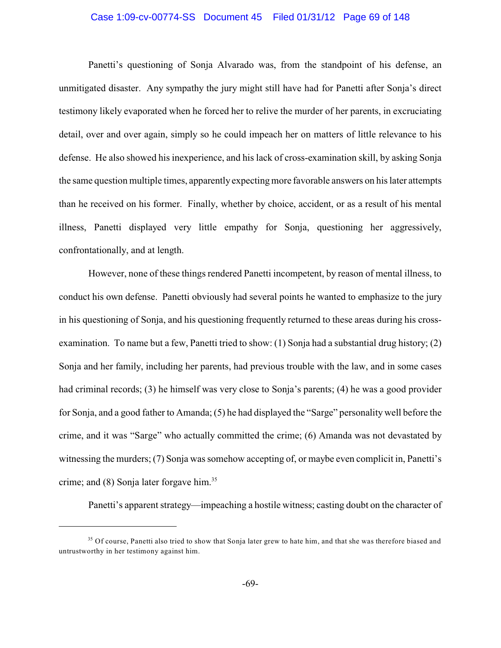#### Case 1:09-cv-00774-SS Document 45 Filed 01/31/12 Page 69 of 148

Panetti's questioning of Sonja Alvarado was, from the standpoint of his defense, an unmitigated disaster. Any sympathy the jury might still have had for Panetti after Sonja's direct testimony likely evaporated when he forced her to relive the murder of her parents, in excruciating detail, over and over again, simply so he could impeach her on matters of little relevance to his defense. He also showed his inexperience, and his lack of cross-examination skill, by asking Sonja the same question multiple times, apparently expecting more favorable answers on his later attempts than he received on his former. Finally, whether by choice, accident, or as a result of his mental illness, Panetti displayed very little empathy for Sonja, questioning her aggressively, confrontationally, and at length.

However, none of these things rendered Panetti incompetent, by reason of mental illness, to conduct his own defense. Panetti obviously had several points he wanted to emphasize to the jury in his questioning of Sonja, and his questioning frequently returned to these areas during his crossexamination. To name but a few, Panetti tried to show: (1) Sonja had a substantial drug history; (2) Sonja and her family, including her parents, had previous trouble with the law, and in some cases had criminal records; (3) he himself was very close to Sonja's parents; (4) he was a good provider for Sonja, and a good father to Amanda; (5) he had displayed the "Sarge" personality well before the crime, and it was "Sarge" who actually committed the crime; (6) Amanda was not devastated by witnessing the murders; (7) Sonja was somehow accepting of, or maybe even complicit in, Panetti's crime; and (8) Sonja later forgave him.<sup>35</sup>

Panetti's apparent strategy—impeaching a hostile witness; casting doubt on the character of

<sup>&</sup>lt;sup>35</sup> Of course, Panetti also tried to show that Sonja later grew to hate him, and that she was therefore biased and untrustworthy in her testimony against him.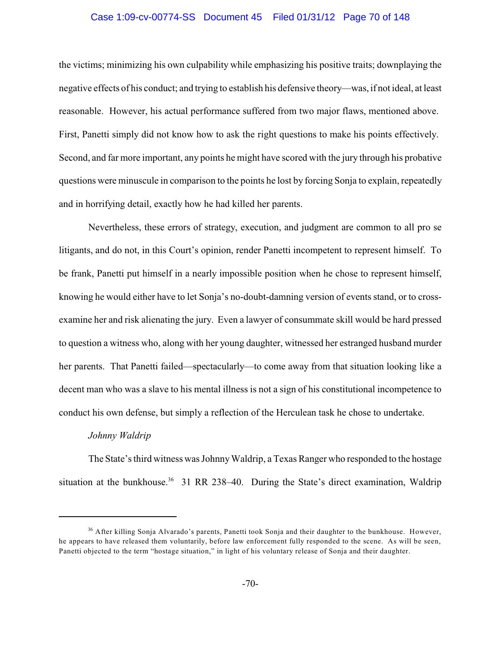#### Case 1:09-cv-00774-SS Document 45 Filed 01/31/12 Page 70 of 148

the victims; minimizing his own culpability while emphasizing his positive traits; downplaying the negative effects of his conduct; and trying to establish his defensive theory—was, if not ideal, at least reasonable. However, his actual performance suffered from two major flaws, mentioned above. First, Panetti simply did not know how to ask the right questions to make his points effectively. Second, and far more important, any points he might have scored with the jury through his probative questions were minuscule in comparison to the points he lost by forcing Sonja to explain, repeatedly and in horrifying detail, exactly how he had killed her parents.

Nevertheless, these errors of strategy, execution, and judgment are common to all pro se litigants, and do not, in this Court's opinion, render Panetti incompetent to represent himself. To be frank, Panetti put himself in a nearly impossible position when he chose to represent himself, knowing he would either have to let Sonja's no-doubt-damning version of events stand, or to crossexamine her and risk alienating the jury. Even a lawyer of consummate skill would be hard pressed to question a witness who, along with her young daughter, witnessed her estranged husband murder her parents. That Panetti failed—spectacularly—to come away from that situation looking like a decent man who was a slave to his mental illness is not a sign of his constitutional incompetence to conduct his own defense, but simply a reflection of the Herculean task he chose to undertake.

# *Johnny Waldrip*

The State's third witness was Johnny Waldrip, a Texas Ranger who responded to the hostage situation at the bunkhouse.<sup>36</sup> 31 RR 238–40. During the State's direct examination, Waldrip

<sup>&</sup>lt;sup>36</sup> After killing Sonja Alvarado's parents, Panetti took Sonja and their daughter to the bunkhouse. However, he appears to have released them voluntarily, before law enforcement fully responded to the scene. As will be seen, Panetti objected to the term "hostage situation," in light of his voluntary release of Sonja and their daughter.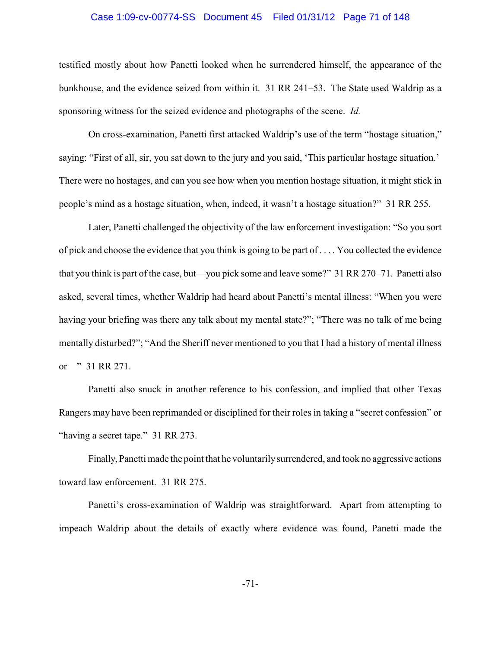#### Case 1:09-cv-00774-SS Document 45 Filed 01/31/12 Page 71 of 148

testified mostly about how Panetti looked when he surrendered himself, the appearance of the bunkhouse, and the evidence seized from within it. 31 RR 241–53. The State used Waldrip as a sponsoring witness for the seized evidence and photographs of the scene. *Id.*

On cross-examination, Panetti first attacked Waldrip's use of the term "hostage situation," saying: "First of all, sir, you sat down to the jury and you said, 'This particular hostage situation.' There were no hostages, and can you see how when you mention hostage situation, it might stick in people's mind as a hostage situation, when, indeed, it wasn't a hostage situation?" 31 RR 255.

Later, Panetti challenged the objectivity of the law enforcement investigation: "So you sort of pick and choose the evidence that you think is going to be part of . . . . You collected the evidence that you think is part of the case, but—you pick some and leave some?" 31 RR 270–71. Panetti also asked, several times, whether Waldrip had heard about Panetti's mental illness: "When you were having your briefing was there any talk about my mental state?"; "There was no talk of me being mentally disturbed?"; "And the Sheriff never mentioned to you that I had a history of mental illness or—" 31 RR 271.

Panetti also snuck in another reference to his confession, and implied that other Texas Rangers may have been reprimanded or disciplined for their roles in taking a "secret confession" or "having a secret tape." 31 RR 273.

Finally, Panetti made the point that he voluntarilysurrendered, and took no aggressive actions toward law enforcement. 31 RR 275.

Panetti's cross-examination of Waldrip was straightforward. Apart from attempting to impeach Waldrip about the details of exactly where evidence was found, Panetti made the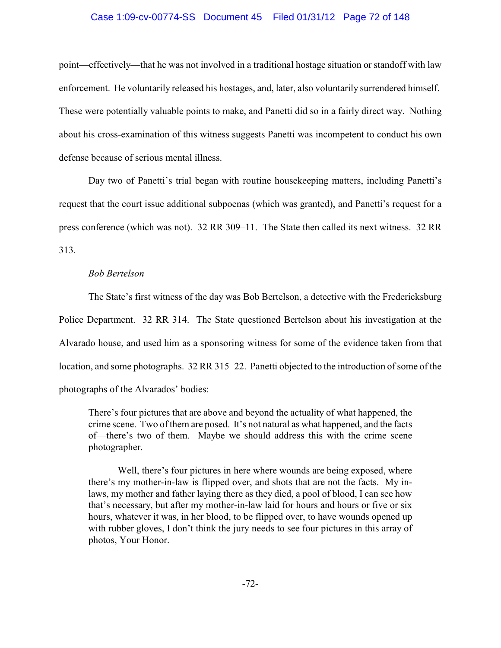# Case 1:09-cv-00774-SS Document 45 Filed 01/31/12 Page 72 of 148

point—effectively—that he was not involved in a traditional hostage situation or standoff with law enforcement. He voluntarily released his hostages, and, later, also voluntarily surrendered himself. These were potentially valuable points to make, and Panetti did so in a fairly direct way. Nothing about his cross-examination of this witness suggests Panetti was incompetent to conduct his own defense because of serious mental illness.

Day two of Panetti's trial began with routine housekeeping matters, including Panetti's request that the court issue additional subpoenas (which was granted), and Panetti's request for a press conference (which was not). 32 RR 309–11. The State then called its next witness. 32 RR 313.

## *Bob Bertelson*

The State's first witness of the day was Bob Bertelson, a detective with the Fredericksburg Police Department. 32 RR 314. The State questioned Bertelson about his investigation at the Alvarado house, and used him as a sponsoring witness for some of the evidence taken from that location, and some photographs. 32 RR 315–22. Panetti objected to the introduction of some of the photographs of the Alvarados' bodies:

There's four pictures that are above and beyond the actuality of what happened, the crime scene. Two of them are posed. It's not natural as what happened, and the facts of—there's two of them. Maybe we should address this with the crime scene photographer.

Well, there's four pictures in here where wounds are being exposed, where there's my mother-in-law is flipped over, and shots that are not the facts. My inlaws, my mother and father laying there as they died, a pool of blood, I can see how that's necessary, but after my mother-in-law laid for hours and hours or five or six hours, whatever it was, in her blood, to be flipped over, to have wounds opened up with rubber gloves, I don't think the jury needs to see four pictures in this array of photos, Your Honor.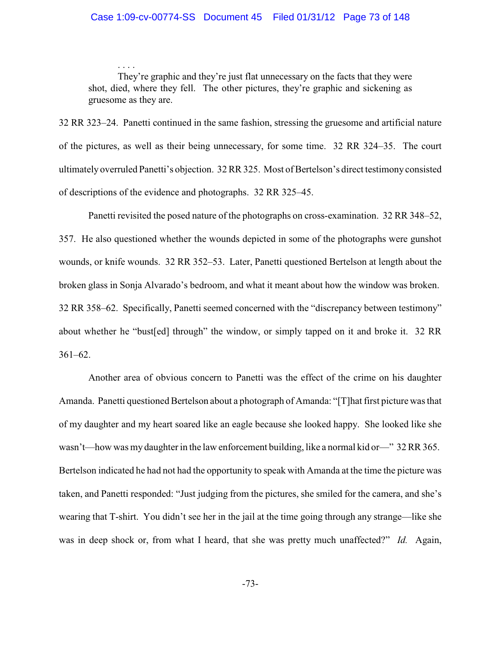### Case 1:09-cv-00774-SS Document 45 Filed 01/31/12 Page 73 of 148

They're graphic and they're just flat unnecessary on the facts that they were shot, died, where they fell. The other pictures, they're graphic and sickening as gruesome as they are.

. . . .

32 RR 323–24. Panetti continued in the same fashion, stressing the gruesome and artificial nature of the pictures, as well as their being unnecessary, for some time. 32 RR 324–35. The court ultimately overruled Panetti's objection. 32 RR 325. Most of Bertelson's direct testimony consisted of descriptions of the evidence and photographs. 32 RR 325–45.

Panetti revisited the posed nature of the photographs on cross-examination. 32 RR 348–52, 357. He also questioned whether the wounds depicted in some of the photographs were gunshot wounds, or knife wounds. 32 RR 352–53. Later, Panetti questioned Bertelson at length about the broken glass in Sonja Alvarado's bedroom, and what it meant about how the window was broken. 32 RR 358–62. Specifically, Panetti seemed concerned with the "discrepancy between testimony" about whether he "bust[ed] through" the window, or simply tapped on it and broke it. 32 RR 361–62.

Another area of obvious concern to Panetti was the effect of the crime on his daughter Amanda. Panetti questioned Bertelson about a photograph of Amanda: "[T]hat first picture was that of my daughter and my heart soared like an eagle because she looked happy. She looked like she wasn't—how was my daughter in the law enforcement building, like a normal kid or—" 32 RR 365. Bertelson indicated he had not had the opportunity to speak with Amanda at the time the picture was taken, and Panetti responded: "Just judging from the pictures, she smiled for the camera, and she's wearing that T-shirt. You didn't see her in the jail at the time going through any strange—like she was in deep shock or, from what I heard, that she was pretty much unaffected?" *Id.* Again,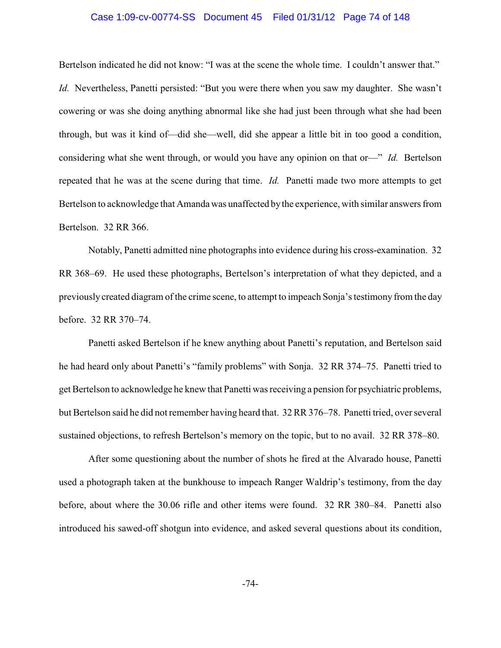#### Case 1:09-cv-00774-SS Document 45 Filed 01/31/12 Page 74 of 148

Bertelson indicated he did not know: "I was at the scene the whole time. I couldn't answer that." *Id.* Nevertheless, Panetti persisted: "But you were there when you saw my daughter. She wasn't cowering or was she doing anything abnormal like she had just been through what she had been through, but was it kind of—did she—well, did she appear a little bit in too good a condition, considering what she went through, or would you have any opinion on that or—" *Id.* Bertelson repeated that he was at the scene during that time. *Id.* Panetti made two more attempts to get Bertelson to acknowledge that Amanda was unaffected bythe experience, with similar answers from Bertelson. 32 RR 366.

Notably, Panetti admitted nine photographs into evidence during his cross-examination. 32 RR 368–69. He used these photographs, Bertelson's interpretation of what they depicted, and a previously created diagram of the crime scene, to attempt to impeach Sonja's testimony from the day before. 32 RR 370–74.

Panetti asked Bertelson if he knew anything about Panetti's reputation, and Bertelson said he had heard only about Panetti's "family problems" with Sonja. 32 RR 374–75. Panetti tried to get Bertelson to acknowledge he knew that Panetti was receiving a pension for psychiatric problems, but Bertelson said he did not remember having heard that. 32 RR 376–78. Panetti tried, over several sustained objections, to refresh Bertelson's memory on the topic, but to no avail. 32 RR 378–80.

After some questioning about the number of shots he fired at the Alvarado house, Panetti used a photograph taken at the bunkhouse to impeach Ranger Waldrip's testimony, from the day before, about where the 30.06 rifle and other items were found. 32 RR 380–84. Panetti also introduced his sawed-off shotgun into evidence, and asked several questions about its condition,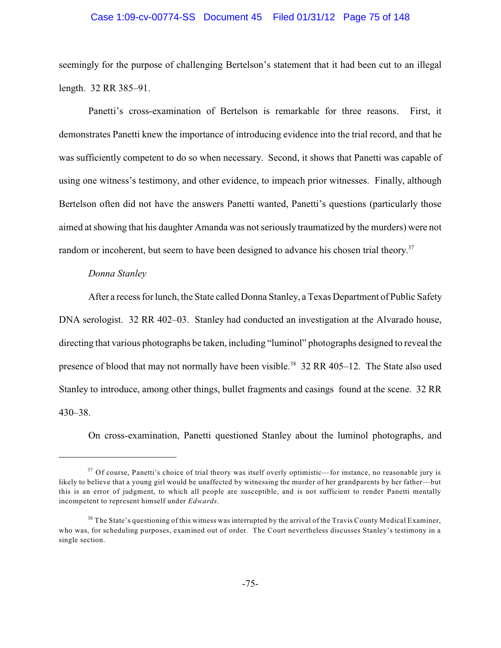#### Case 1:09-cv-00774-SS Document 45 Filed 01/31/12 Page 75 of 148

seemingly for the purpose of challenging Bertelson's statement that it had been cut to an illegal length. 32 RR 385–91.

Panetti's cross-examination of Bertelson is remarkable for three reasons. First, it demonstrates Panetti knew the importance of introducing evidence into the trial record, and that he was sufficiently competent to do so when necessary. Second, it shows that Panetti was capable of using one witness's testimony, and other evidence, to impeach prior witnesses. Finally, although Bertelson often did not have the answers Panetti wanted, Panetti's questions (particularly those aimed at showing that his daughter Amanda was not seriously traumatized by the murders) were not random or incoherent, but seem to have been designed to advance his chosen trial theory.<sup>37</sup>

#### *Donna Stanley*

After a recess for lunch, the State called Donna Stanley, a Texas Department of Public Safety DNA serologist. 32 RR 402–03. Stanley had conducted an investigation at the Alvarado house, directing that various photographs be taken, including "luminol" photographs designed to reveal the presence of blood that may not normally have been visible.<sup>38</sup> 32 RR 405–12. The State also used Stanley to introduce, among other things, bullet fragments and casings found at the scene. 32 RR 430–38.

On cross-examination, Panetti questioned Stanley about the luminol photographs, and

 $37$  Of course, Panetti's choice of trial theory was itself overly optimistic—for instance, no reasonable jury is likely to believe that a young girl would be unaffected by witnessing the murder of her grandparents by her father—but this is an error of judgment, to which all people are susceptible, and is not sufficient to render Panetti mentally incompetent to represent himself under *Edwards*.

 $38$  The State's questioning of this witness was interrupted by the arrival of the Travis County Medical Examiner, who was, for scheduling purposes, examined out of order. The Court nevertheless discusses Stanley's testimony in a single section.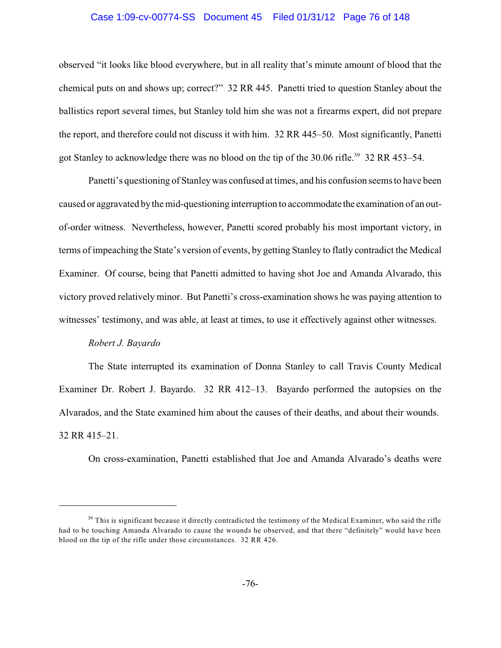#### Case 1:09-cv-00774-SS Document 45 Filed 01/31/12 Page 76 of 148

observed "it looks like blood everywhere, but in all reality that's minute amount of blood that the chemical puts on and shows up; correct?" 32 RR 445. Panetti tried to question Stanley about the ballistics report several times, but Stanley told him she was not a firearms expert, did not prepare the report, and therefore could not discuss it with him. 32 RR 445–50. Most significantly, Panetti got Stanley to acknowledge there was no blood on the tip of the 30.06 rifle.<sup>39</sup> 32 RR 453–54.

Panetti's questioning of Stanleywas confused at times, and his confusion seems to have been caused or aggravated bythe mid-questioning interruption to accommodate the examination of an outof-order witness. Nevertheless, however, Panetti scored probably his most important victory, in terms of impeaching the State's version of events, by getting Stanley to flatly contradict the Medical Examiner. Of course, being that Panetti admitted to having shot Joe and Amanda Alvarado, this victory proved relatively minor. But Panetti's cross-examination shows he was paying attention to witnesses' testimony, and was able, at least at times, to use it effectively against other witnesses.

### *Robert J. Bayardo*

The State interrupted its examination of Donna Stanley to call Travis County Medical Examiner Dr. Robert J. Bayardo. 32 RR 412–13. Bayardo performed the autopsies on the Alvarados, and the State examined him about the causes of their deaths, and about their wounds. 32 RR 415–21.

On cross-examination, Panetti established that Joe and Amanda Alvarado's deaths were

 $39$  This is significant because it directly contradicted the testimony of the Medical Examiner, who said the rifle had to be touching Amanda Alvarado to cause the wounds he observed, and that there "definitely" would have been blood on the tip of the rifle under those circumstances. 32 RR 426.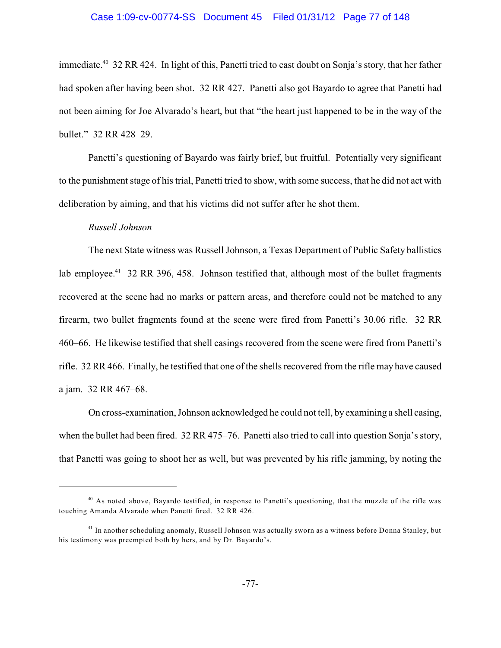# Case 1:09-cv-00774-SS Document 45 Filed 01/31/12 Page 77 of 148

immediate.<sup>40</sup> 32 RR 424. In light of this, Panetti tried to cast doubt on Sonja's story, that her father had spoken after having been shot. 32 RR 427. Panetti also got Bayardo to agree that Panetti had not been aiming for Joe Alvarado's heart, but that "the heart just happened to be in the way of the bullet." 32 RR 428–29.

Panetti's questioning of Bayardo was fairly brief, but fruitful. Potentially very significant to the punishment stage of his trial, Panetti tried to show, with some success, that he did not act with deliberation by aiming, and that his victims did not suffer after he shot them.

#### *Russell Johnson*

The next State witness was Russell Johnson, a Texas Department of Public Safety ballistics lab employee.<sup>41</sup> 32 RR 396, 458. Johnson testified that, although most of the bullet fragments recovered at the scene had no marks or pattern areas, and therefore could not be matched to any firearm, two bullet fragments found at the scene were fired from Panetti's 30.06 rifle. 32 RR 460–66. He likewise testified that shell casings recovered from the scene were fired from Panetti's rifle. 32 RR 466. Finally, he testified that one of the shells recovered from the rifle may have caused a jam. 32 RR 467–68.

On cross-examination, Johnson acknowledged he could not tell, by examining a shell casing, when the bullet had been fired. 32 RR 475–76. Panetti also tried to call into question Sonja's story, that Panetti was going to shoot her as well, but was prevented by his rifle jamming, by noting the

<sup>&</sup>lt;sup>40</sup> As noted above, Bayardo testified, in response to Panetti's questioning, that the muzzle of the rifle was touching Amanda Alvarado when Panetti fired. 32 RR 426.

<sup>&</sup>lt;sup>41</sup> In another scheduling anomaly, Russell Johnson was actually sworn as a witness before Donna Stanley, but his testimony was preempted both by hers, and by Dr. Bayardo's.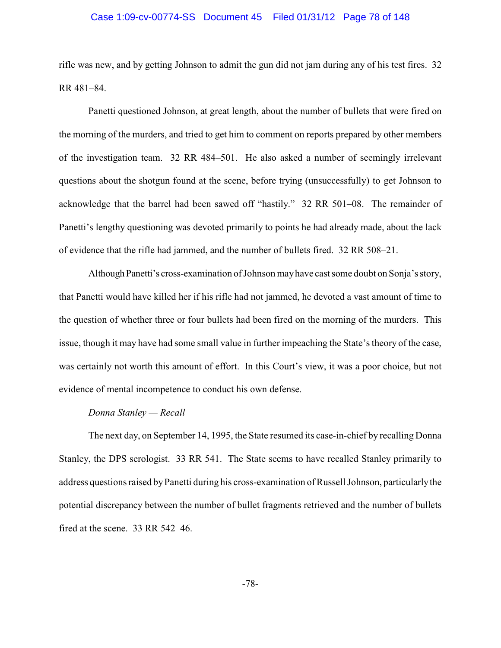#### Case 1:09-cv-00774-SS Document 45 Filed 01/31/12 Page 78 of 148

rifle was new, and by getting Johnson to admit the gun did not jam during any of his test fires. 32 RR 481–84.

Panetti questioned Johnson, at great length, about the number of bullets that were fired on the morning of the murders, and tried to get him to comment on reports prepared by other members of the investigation team. 32 RR 484–501. He also asked a number of seemingly irrelevant questions about the shotgun found at the scene, before trying (unsuccessfully) to get Johnson to acknowledge that the barrel had been sawed off "hastily." 32 RR 501–08. The remainder of Panetti's lengthy questioning was devoted primarily to points he had already made, about the lack of evidence that the rifle had jammed, and the number of bullets fired. 32 RR 508–21.

Although Panetti's cross-examination of Johnson may have cast some doubt on Sonja's story, that Panetti would have killed her if his rifle had not jammed, he devoted a vast amount of time to the question of whether three or four bullets had been fired on the morning of the murders. This issue, though it may have had some small value in further impeaching the State's theory of the case, was certainly not worth this amount of effort. In this Court's view, it was a poor choice, but not evidence of mental incompetence to conduct his own defense.

#### *Donna Stanley — Recall*

The next day, on September 14, 1995, the State resumed its case-in-chief by recalling Donna Stanley, the DPS serologist. 33 RR 541. The State seems to have recalled Stanley primarily to address questions raised byPanetti during his cross-examination of Russell Johnson, particularlythe potential discrepancy between the number of bullet fragments retrieved and the number of bullets fired at the scene. 33 RR 542–46.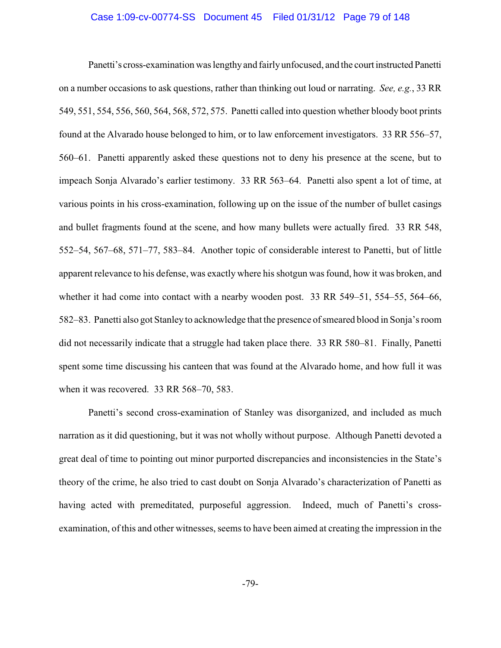#### Case 1:09-cv-00774-SS Document 45 Filed 01/31/12 Page 79 of 148

Panetti's cross-examination was lengthyand fairlyunfocused, and the court instructed Panetti on a number occasions to ask questions, rather than thinking out loud or narrating. *See, e.g.*, 33 RR 549, 551, 554, 556, 560, 564, 568, 572, 575. Panetti called into question whether bloody boot prints found at the Alvarado house belonged to him, or to law enforcement investigators. 33 RR 556–57, 560–61. Panetti apparently asked these questions not to deny his presence at the scene, but to impeach Sonja Alvarado's earlier testimony. 33 RR 563–64. Panetti also spent a lot of time, at various points in his cross-examination, following up on the issue of the number of bullet casings and bullet fragments found at the scene, and how many bullets were actually fired. 33 RR 548, 552–54, 567–68, 571–77, 583–84. Another topic of considerable interest to Panetti, but of little apparent relevance to his defense, was exactly where his shotgun was found, how it was broken, and whether it had come into contact with a nearby wooden post. 33 RR 549–51, 554–55, 564–66, 582–83. Panetti also got Stanleyto acknowledge that the presence of smeared blood in Sonja's room did not necessarily indicate that a struggle had taken place there. 33 RR 580–81. Finally, Panetti spent some time discussing his canteen that was found at the Alvarado home, and how full it was when it was recovered. 33 RR 568–70, 583.

Panetti's second cross-examination of Stanley was disorganized, and included as much narration as it did questioning, but it was not wholly without purpose. Although Panetti devoted a great deal of time to pointing out minor purported discrepancies and inconsistencies in the State's theory of the crime, he also tried to cast doubt on Sonja Alvarado's characterization of Panetti as having acted with premeditated, purposeful aggression. Indeed, much of Panetti's crossexamination, of this and other witnesses, seems to have been aimed at creating the impression in the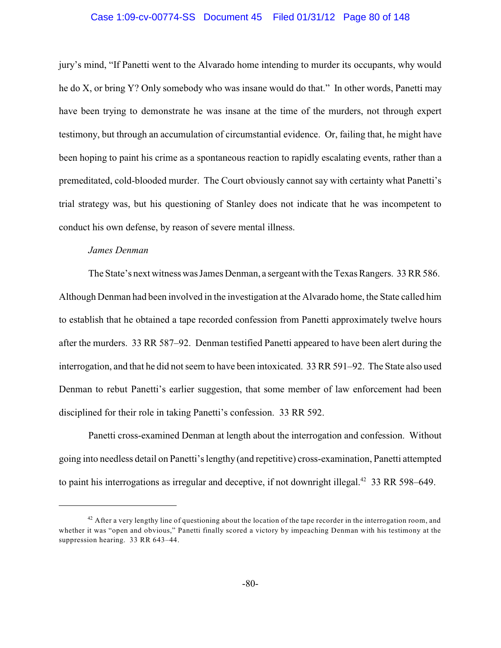#### Case 1:09-cv-00774-SS Document 45 Filed 01/31/12 Page 80 of 148

jury's mind, "If Panetti went to the Alvarado home intending to murder its occupants, why would he do X, or bring Y? Only somebody who was insane would do that." In other words, Panetti may have been trying to demonstrate he was insane at the time of the murders, not through expert testimony, but through an accumulation of circumstantial evidence. Or, failing that, he might have been hoping to paint his crime as a spontaneous reaction to rapidly escalating events, rather than a premeditated, cold-blooded murder. The Court obviously cannot say with certainty what Panetti's trial strategy was, but his questioning of Stanley does not indicate that he was incompetent to conduct his own defense, by reason of severe mental illness.

#### *James Denman*

The State's next witness was James Denman, a sergeant with the Texas Rangers. 33 RR 586. Although Denman had been involved in the investigation at the Alvarado home, the State called him to establish that he obtained a tape recorded confession from Panetti approximately twelve hours after the murders. 33 RR 587–92. Denman testified Panetti appeared to have been alert during the interrogation, and that he did not seem to have been intoxicated. 33 RR 591–92. The State also used Denman to rebut Panetti's earlier suggestion, that some member of law enforcement had been disciplined for their role in taking Panetti's confession. 33 RR 592.

Panetti cross-examined Denman at length about the interrogation and confession. Without going into needless detail on Panetti's lengthy (and repetitive) cross-examination, Panetti attempted to paint his interrogations as irregular and deceptive, if not downright illegal.<sup> $42$ </sup> 33 RR 598–649.

 $42$  After a very lengthy line of questioning about the location of the tape recorder in the interrogation room, and whether it was "open and obvious," Panetti finally scored a victory by impeaching Denman with his testimony at the suppression hearing. 33 RR 643–44.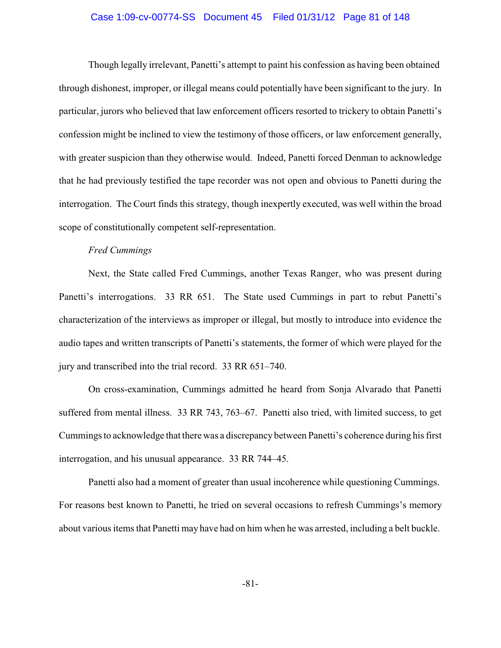#### Case 1:09-cv-00774-SS Document 45 Filed 01/31/12 Page 81 of 148

Though legally irrelevant, Panetti's attempt to paint his confession as having been obtained through dishonest, improper, or illegal means could potentially have been significant to the jury. In particular, jurors who believed that law enforcement officers resorted to trickery to obtain Panetti's confession might be inclined to view the testimony of those officers, or law enforcement generally, with greater suspicion than they otherwise would. Indeed, Panetti forced Denman to acknowledge that he had previously testified the tape recorder was not open and obvious to Panetti during the interrogation. The Court finds this strategy, though inexpertly executed, was well within the broad scope of constitutionally competent self-representation.

# *Fred Cummings*

Next, the State called Fred Cummings, another Texas Ranger, who was present during Panetti's interrogations. 33 RR 651. The State used Cummings in part to rebut Panetti's characterization of the interviews as improper or illegal, but mostly to introduce into evidence the audio tapes and written transcripts of Panetti's statements, the former of which were played for the jury and transcribed into the trial record. 33 RR 651–740.

On cross-examination, Cummings admitted he heard from Sonja Alvarado that Panetti suffered from mental illness. 33 RR 743, 763–67. Panetti also tried, with limited success, to get Cummings to acknowledge that there was a discrepancy between Panetti's coherence during his first interrogation, and his unusual appearance. 33 RR 744–45.

Panetti also had a moment of greater than usual incoherence while questioning Cummings. For reasons best known to Panetti, he tried on several occasions to refresh Cummings's memory about various items that Panetti may have had on him when he was arrested, including a belt buckle.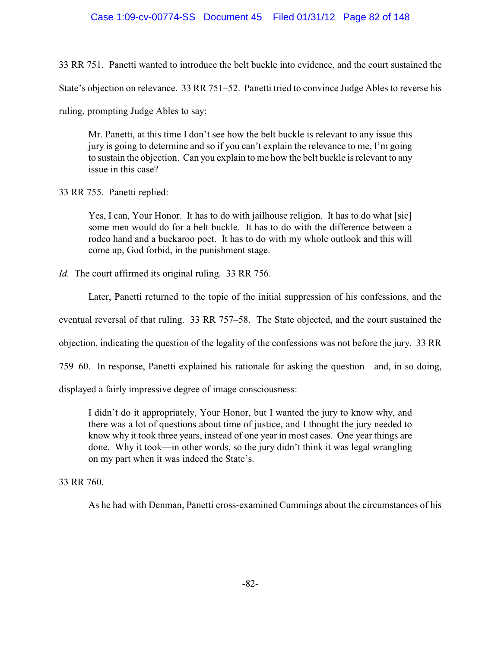# Case 1:09-cv-00774-SS Document 45 Filed 01/31/12 Page 82 of 148

33 RR 751. Panetti wanted to introduce the belt buckle into evidence, and the court sustained the

State's objection on relevance. 33 RR 751–52. Panetti tried to convince Judge Ables to reverse his

ruling, prompting Judge Ables to say:

Mr. Panetti, at this time I don't see how the belt buckle is relevant to any issue this jury is going to determine and so if you can't explain the relevance to me, I'm going to sustain the objection. Can you explain to me how the belt buckle is relevant to any issue in this case?

33 RR 755. Panetti replied:

Yes, I can, Your Honor. It has to do with jailhouse religion. It has to do what [sic] some men would do for a belt buckle. It has to do with the difference between a rodeo hand and a buckaroo poet. It has to do with my whole outlook and this will come up, God forbid, in the punishment stage.

*Id.* The court affirmed its original ruling. 33 RR 756.

Later, Panetti returned to the topic of the initial suppression of his confessions, and the

eventual reversal of that ruling. 33 RR 757–58. The State objected, and the court sustained the

objection, indicating the question of the legality of the confessions was not before the jury. 33 RR

759–60. In response, Panetti explained his rationale for asking the question—and, in so doing,

displayed a fairly impressive degree of image consciousness:

I didn't do it appropriately, Your Honor, but I wanted the jury to know why, and there was a lot of questions about time of justice, and I thought the jury needed to know why it took three years, instead of one year in most cases. One year things are done. Why it took—in other words, so the jury didn't think it was legal wrangling on my part when it was indeed the State's.

33 RR 760.

As he had with Denman, Panetti cross-examined Cummings about the circumstances of his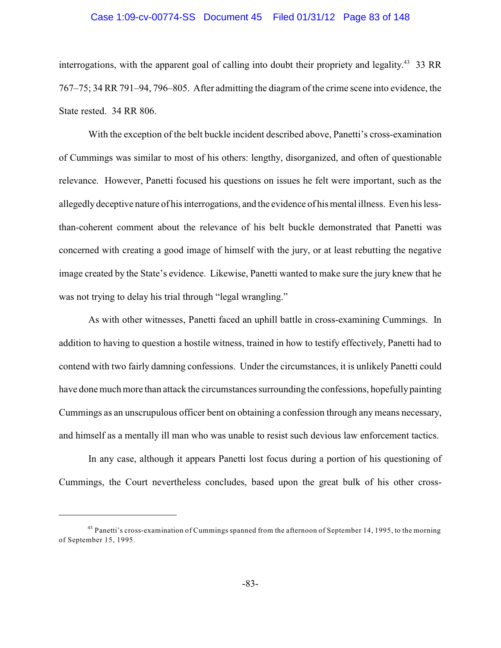#### Case 1:09-cv-00774-SS Document 45 Filed 01/31/12 Page 83 of 148

interrogations, with the apparent goal of calling into doubt their propriety and legality.<sup>43</sup> 33 RR 767–75; 34 RR 791–94, 796–805. After admitting the diagram of the crime scene into evidence, the State rested. 34 RR 806.

With the exception of the belt buckle incident described above, Panetti's cross-examination of Cummings was similar to most of his others: lengthy, disorganized, and often of questionable relevance. However, Panetti focused his questions on issues he felt were important, such as the allegedly deceptive nature of his interrogations, and the evidence of his mental illness. Even his lessthan-coherent comment about the relevance of his belt buckle demonstrated that Panetti was concerned with creating a good image of himself with the jury, or at least rebutting the negative image created by the State's evidence. Likewise, Panetti wanted to make sure the jury knew that he was not trying to delay his trial through "legal wrangling."

As with other witnesses, Panetti faced an uphill battle in cross-examining Cummings. In addition to having to question a hostile witness, trained in how to testify effectively, Panetti had to contend with two fairly damning confessions. Under the circumstances, it is unlikely Panetti could have done much more than attack the circumstances surrounding the confessions, hopefully painting Cummings as an unscrupulous officer bent on obtaining a confession through any means necessary, and himself as a mentally ill man who was unable to resist such devious law enforcement tactics.

In any case, although it appears Panetti lost focus during a portion of his questioning of Cummings, the Court nevertheless concludes, based upon the great bulk of his other cross-

<sup>&</sup>lt;sup>43</sup> Panetti's cross-examination of Cummings spanned from the afternoon of September 14, 1995, to the morning of September 15, 1995.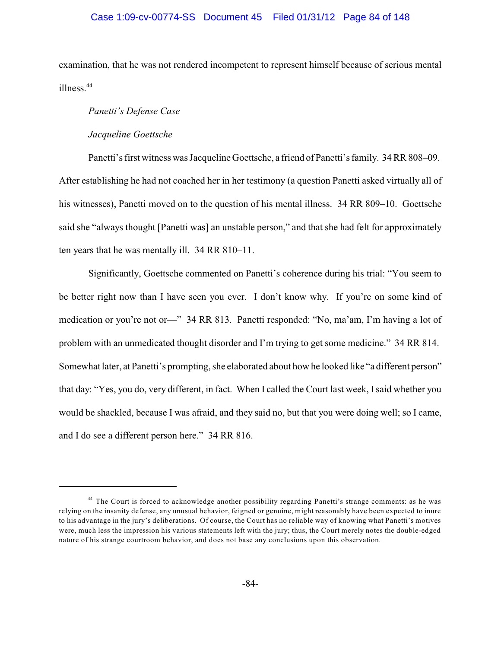### Case 1:09-cv-00774-SS Document 45 Filed 01/31/12 Page 84 of 148

examination, that he was not rendered incompetent to represent himself because of serious mental illness.<sup>44</sup>

#### *Panetti's Defense Case*

#### *Jacqueline Goettsche*

Panetti's first witness was Jacqueline Goettsche, a friend of Panetti's family. 34 RR 808–09. After establishing he had not coached her in her testimony (a question Panetti asked virtually all of his witnesses), Panetti moved on to the question of his mental illness. 34 RR 809–10. Goettsche said she "always thought [Panetti was] an unstable person," and that she had felt for approximately ten years that he was mentally ill. 34 RR 810–11.

Significantly, Goettsche commented on Panetti's coherence during his trial: "You seem to be better right now than I have seen you ever. I don't know why. If you're on some kind of medication or you're not or—" 34 RR 813. Panetti responded: "No, ma'am, I'm having a lot of problem with an unmedicated thought disorder and I'm trying to get some medicine." 34 RR 814. Somewhat later, at Panetti's prompting, she elaborated about how he looked like "a different person" that day: "Yes, you do, very different, in fact. When I called the Court last week, Isaid whether you would be shackled, because I was afraid, and they said no, but that you were doing well; so I came, and I do see a different person here." 34 RR 816.

<sup>&</sup>lt;sup>44</sup> The Court is forced to acknowledge another possibility regarding Panetti's strange comments: as he was relying on the insanity defense, any unusual behavior, feigned or genuine, might reasonably have been expected to inure to his advantage in the jury's deliberations. Of course, the Court has no reliable way of knowing what Panetti's motives were, much less the impression his various statements left with the jury; thus, the Court merely notes the double-edged nature of his strange courtroom behavior, and does not base any conclusions upon this observation.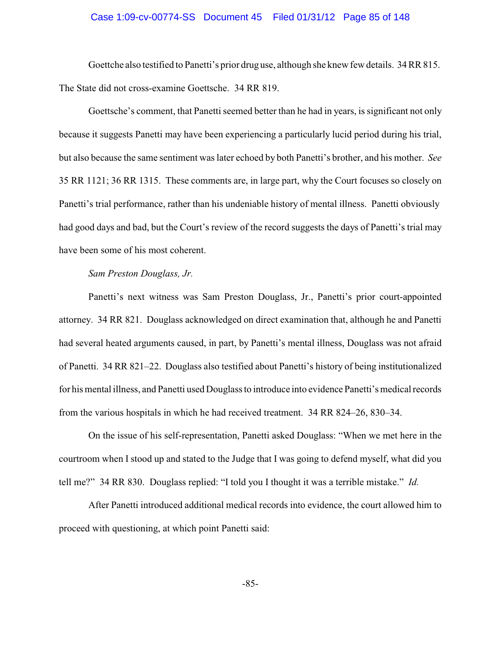#### Case 1:09-cv-00774-SS Document 45 Filed 01/31/12 Page 85 of 148

Goettche also testified to Panetti's prior drug use, although she knew fewdetails. 34 RR 815. The State did not cross-examine Goettsche. 34 RR 819.

Goettsche's comment, that Panetti seemed better than he had in years, is significant not only because it suggests Panetti may have been experiencing a particularly lucid period during his trial, but also because the same sentiment was later echoed by both Panetti's brother, and his mother. *See* 35 RR 1121; 36 RR 1315. These comments are, in large part, why the Court focuses so closely on Panetti's trial performance, rather than his undeniable history of mental illness. Panetti obviously had good days and bad, but the Court's review of the record suggests the days of Panetti's trial may have been some of his most coherent.

## *Sam Preston Douglass, Jr.*

Panetti's next witness was Sam Preston Douglass, Jr., Panetti's prior court-appointed attorney. 34 RR 821. Douglass acknowledged on direct examination that, although he and Panetti had several heated arguments caused, in part, by Panetti's mental illness, Douglass was not afraid of Panetti. 34 RR 821–22. Douglass also testified about Panetti's history of being institutionalized for his mental illness, and Panetti used Douglass to introduce into evidence Panetti's medical records from the various hospitals in which he had received treatment. 34 RR 824–26, 830–34.

On the issue of his self-representation, Panetti asked Douglass: "When we met here in the courtroom when I stood up and stated to the Judge that I was going to defend myself, what did you tell me?" 34 RR 830. Douglass replied: "I told you I thought it was a terrible mistake." *Id.*

After Panetti introduced additional medical records into evidence, the court allowed him to proceed with questioning, at which point Panetti said: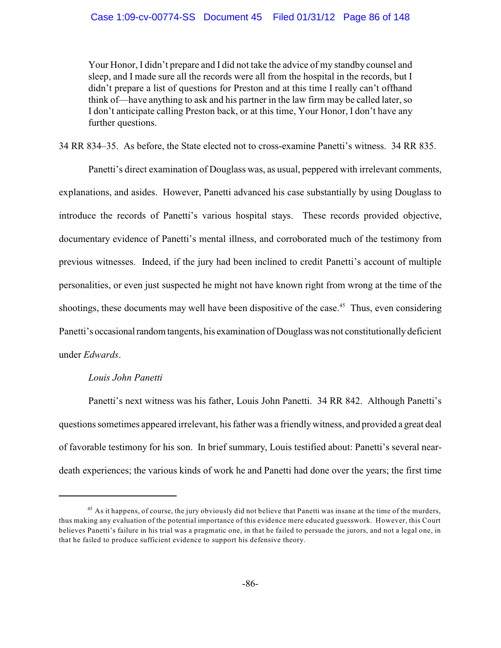Your Honor, I didn't prepare and I did not take the advice of my standby counsel and sleep, and I made sure all the records were all from the hospital in the records, but I didn't prepare a list of questions for Preston and at this time I really can't offhand think of—have anything to ask and his partner in the law firm may be called later, so I don't anticipate calling Preston back, or at this time, Your Honor, I don't have any further questions.

34 RR 834–35. As before, the State elected not to cross-examine Panetti's witness. 34 RR 835.

Panetti's direct examination of Douglass was, as usual, peppered with irrelevant comments, explanations, and asides. However, Panetti advanced his case substantially by using Douglass to introduce the records of Panetti's various hospital stays. These records provided objective, documentary evidence of Panetti's mental illness, and corroborated much of the testimony from previous witnesses. Indeed, if the jury had been inclined to credit Panetti's account of multiple personalities, or even just suspected he might not have known right from wrong at the time of the shootings, these documents may well have been dispositive of the case.<sup> $45$ </sup> Thus, even considering Panetti's occasional random tangents, his examination of Douglass was not constitutionally deficient under *Edwards*.

# *Louis John Panetti*

Panetti's next witness was his father, Louis John Panetti. 34 RR 842. Although Panetti's questions sometimes appeared irrelevant, his father was a friendlywitness, and provided a great deal of favorable testimony for his son. In brief summary, Louis testified about: Panetti's several neardeath experiences; the various kinds of work he and Panetti had done over the years; the first time

<sup>&</sup>lt;sup>45</sup> As it happens, of course, the jury obviously did not believe that Panetti was insane at the time of the murders, thus making any evaluation of the potential importance of this evidence mere educated guesswork. However, this Court believes Panetti's failure in his trial was a pragmatic one, in that he failed to persuade the jurors, and not a legal one, in that he failed to produce sufficient evidence to support his defensive theory.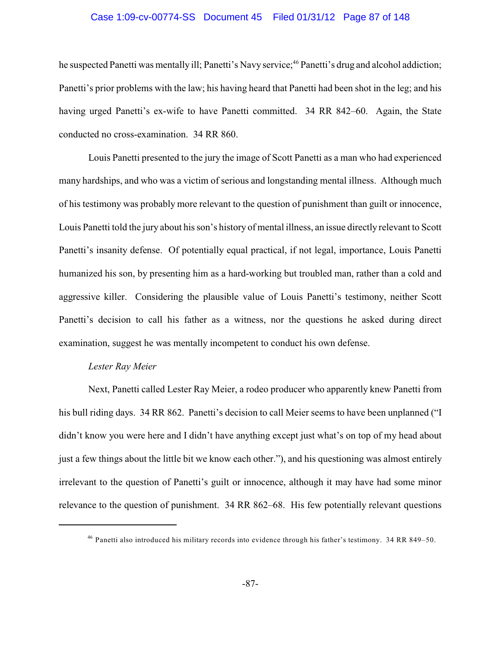#### Case 1:09-cv-00774-SS Document 45 Filed 01/31/12 Page 87 of 148

he suspected Panetti was mentally ill; Panetti's Navy service;<sup>46</sup> Panetti's drug and alcohol addiction; Panetti's prior problems with the law; his having heard that Panetti had been shot in the leg; and his having urged Panetti's ex-wife to have Panetti committed. 34 RR 842–60. Again, the State conducted no cross-examination. 34 RR 860.

Louis Panetti presented to the jury the image of Scott Panetti as a man who had experienced many hardships, and who was a victim of serious and longstanding mental illness. Although much of his testimony was probably more relevant to the question of punishment than guilt or innocence, Louis Panetti told the jury about his son's history of mental illness, an issue directly relevant to Scott Panetti's insanity defense. Of potentially equal practical, if not legal, importance, Louis Panetti humanized his son, by presenting him as a hard-working but troubled man, rather than a cold and aggressive killer. Considering the plausible value of Louis Panetti's testimony, neither Scott Panetti's decision to call his father as a witness, nor the questions he asked during direct examination, suggest he was mentally incompetent to conduct his own defense.

# *Lester Ray Meier*

Next, Panetti called Lester Ray Meier, a rodeo producer who apparently knew Panetti from his bull riding days. 34 RR 862. Panetti's decision to call Meier seems to have been unplanned ("I didn't know you were here and I didn't have anything except just what's on top of my head about just a few things about the little bit we know each other."), and his questioning was almost entirely irrelevant to the question of Panetti's guilt or innocence, although it may have had some minor relevance to the question of punishment. 34 RR 862–68. His few potentially relevant questions

<sup>&</sup>lt;sup>46</sup> Panetti also introduced his military records into evidence through his father's testimony. 34 RR 849-50.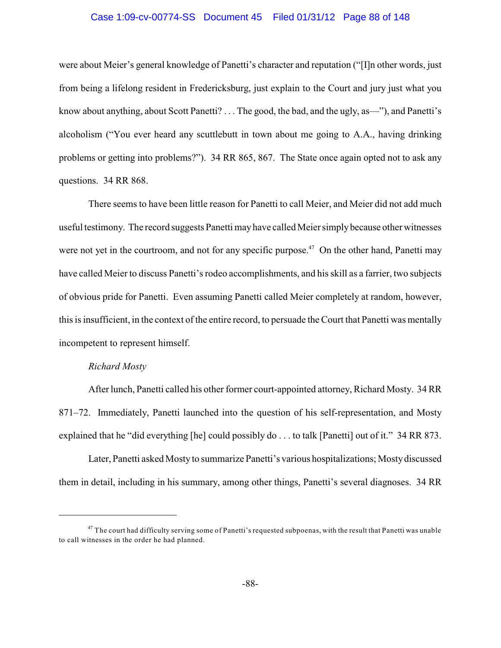#### Case 1:09-cv-00774-SS Document 45 Filed 01/31/12 Page 88 of 148

were about Meier's general knowledge of Panetti's character and reputation ("[I]n other words, just from being a lifelong resident in Fredericksburg, just explain to the Court and jury just what you know about anything, about Scott Panetti? . . . The good, the bad, and the ugly, as—"), and Panetti's alcoholism ("You ever heard any scuttlebutt in town about me going to A.A., having drinking problems or getting into problems?"). 34 RR 865, 867. The State once again opted not to ask any questions. 34 RR 868.

There seems to have been little reason for Panetti to call Meier, and Meier did not add much useful testimony. The record suggests Panetti mayhave called Meier simply because other witnesses were not yet in the courtroom, and not for any specific purpose.<sup> $47$ </sup> On the other hand, Panetti may have called Meier to discuss Panetti's rodeo accomplishments, and his skill as a farrier, two subjects of obvious pride for Panetti. Even assuming Panetti called Meier completely at random, however, this is insufficient, in the context of the entire record, to persuade the Court that Panetti was mentally incompetent to represent himself.

# *Richard Mosty*

After lunch, Panetti called his other former court-appointed attorney, Richard Mosty. 34 RR 871–72. Immediately, Panetti launched into the question of his self-representation, and Mosty explained that he "did everything [he] could possibly do . . . to talk [Panetti] out of it." 34 RR 873.

Later, Panetti asked Mosty to summarize Panetti's various hospitalizations; Mostydiscussed them in detail, including in his summary, among other things, Panetti's several diagnoses. 34 RR

 $^{47}$  The court had difficulty serving some of Panetti's requested subpoenas, with the result that Panetti was unable to call witnesses in the order he had planned.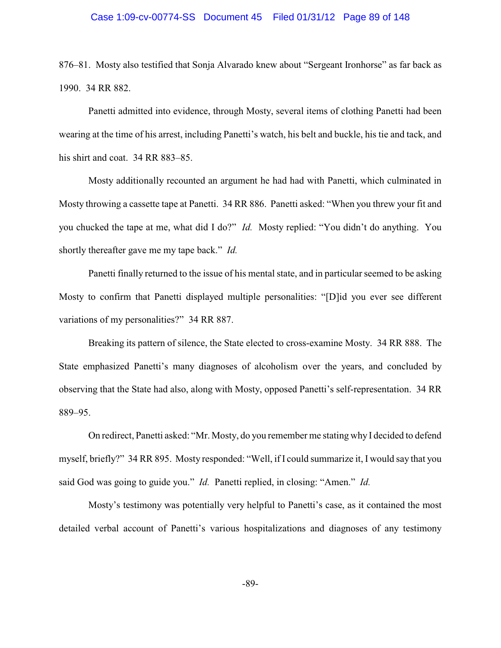#### Case 1:09-cv-00774-SS Document 45 Filed 01/31/12 Page 89 of 148

876–81. Mosty also testified that Sonja Alvarado knew about "Sergeant Ironhorse" as far back as 1990. 34 RR 882.

Panetti admitted into evidence, through Mosty, several items of clothing Panetti had been wearing at the time of his arrest, including Panetti's watch, his belt and buckle, his tie and tack, and his shirt and coat. 34 RR 883–85.

Mosty additionally recounted an argument he had had with Panetti, which culminated in Mosty throwing a cassette tape at Panetti. 34 RR 886. Panetti asked: "When you threw your fit and you chucked the tape at me, what did I do?" *Id.* Mosty replied: "You didn't do anything. You shortly thereafter gave me my tape back." *Id.* 

Panetti finally returned to the issue of his mental state, and in particular seemed to be asking Mosty to confirm that Panetti displayed multiple personalities: "[D]id you ever see different variations of my personalities?" 34 RR 887.

Breaking its pattern of silence, the State elected to cross-examine Mosty. 34 RR 888. The State emphasized Panetti's many diagnoses of alcoholism over the years, and concluded by observing that the State had also, along with Mosty, opposed Panetti's self-representation. 34 RR 889–95.

On redirect, Panetti asked: "Mr. Mosty, do you remember me stating why I decided to defend myself, briefly?" 34 RR 895. Mosty responded: "Well, if I could summarize it, I would say that you said God was going to guide you." *Id.* Panetti replied, in closing: "Amen." *Id.*

Mosty's testimony was potentially very helpful to Panetti's case, as it contained the most detailed verbal account of Panetti's various hospitalizations and diagnoses of any testimony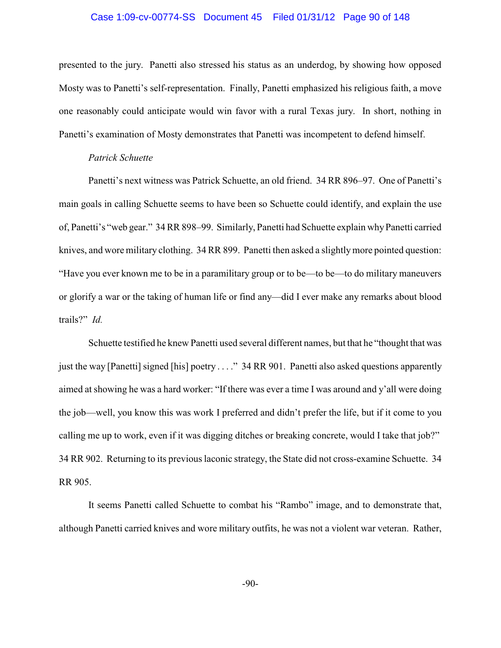#### Case 1:09-cv-00774-SS Document 45 Filed 01/31/12 Page 90 of 148

presented to the jury. Panetti also stressed his status as an underdog, by showing how opposed Mosty was to Panetti's self-representation. Finally, Panetti emphasized his religious faith, a move one reasonably could anticipate would win favor with a rural Texas jury. In short, nothing in Panetti's examination of Mosty demonstrates that Panetti was incompetent to defend himself.

#### *Patrick Schuette*

Panetti's next witness was Patrick Schuette, an old friend. 34 RR 896–97. One of Panetti's main goals in calling Schuette seems to have been so Schuette could identify, and explain the use of, Panetti's "web gear." 34 RR 898–99. Similarly, Panetti had Schuette explain whyPanetti carried knives, and wore military clothing. 34 RR 899. Panetti then asked a slightly more pointed question: "Have you ever known me to be in a paramilitary group or to be—to be—to do military maneuvers or glorify a war or the taking of human life or find any—did I ever make any remarks about blood trails?" *Id.*

Schuette testified he knew Panetti used several different names, but that he "thought that was just the way [Panetti] signed [his] poetry . . . ." 34 RR 901. Panetti also asked questions apparently aimed at showing he was a hard worker: "If there was ever a time I was around and y'all were doing the job—well, you know this was work I preferred and didn't prefer the life, but if it come to you calling me up to work, even if it was digging ditches or breaking concrete, would I take that job?" 34 RR 902. Returning to its previous laconic strategy, the State did not cross-examine Schuette. 34 RR 905.

It seems Panetti called Schuette to combat his "Rambo" image, and to demonstrate that, although Panetti carried knives and wore military outfits, he was not a violent war veteran. Rather,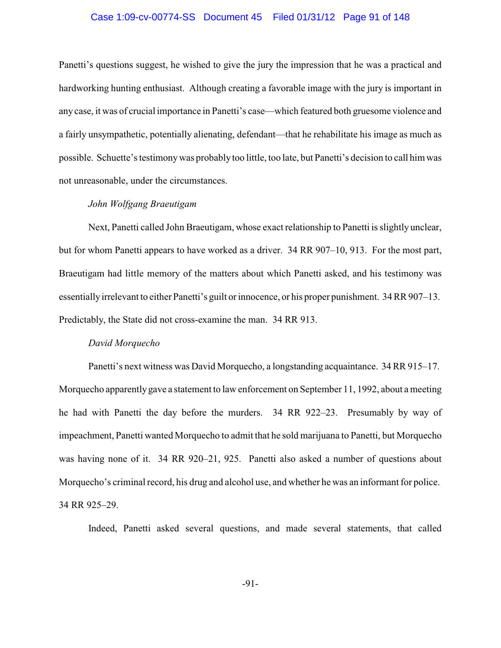#### Case 1:09-cv-00774-SS Document 45 Filed 01/31/12 Page 91 of 148

Panetti's questions suggest, he wished to give the jury the impression that he was a practical and hardworking hunting enthusiast. Although creating a favorable image with the jury is important in any case, it was of crucial importance in Panetti's case—which featured both gruesome violence and a fairly unsympathetic, potentially alienating, defendant—that he rehabilitate his image as much as possible. Schuette's testimonywas probably too little, too late, but Panetti's decision to call him was not unreasonable, under the circumstances.

# *John Wolfgang Braeutigam*

Next, Panetti called John Braeutigam, whose exact relationship to Panetti is slightly unclear, but for whom Panetti appears to have worked as a driver. 34 RR 907–10, 913. For the most part, Braeutigam had little memory of the matters about which Panetti asked, and his testimony was essentiallyirrelevant to either Panetti's guilt or innocence, or his proper punishment. 34 RR 907–13. Predictably, the State did not cross-examine the man. 34 RR 913.

#### *David Morquecho*

Panetti's next witness was David Morquecho, a longstanding acquaintance. 34 RR 915–17. Morquecho apparentlygave a statement to law enforcement on September 11, 1992, about a meeting he had with Panetti the day before the murders. 34 RR 922–23. Presumably by way of impeachment, Panetti wanted Morquecho to admit that he sold marijuana to Panetti, but Morquecho was having none of it. 34 RR 920–21, 925. Panetti also asked a number of questions about Morquecho's criminal record, his drug and alcohol use, and whether he was an informant for police. 34 RR 925–29.

Indeed, Panetti asked several questions, and made several statements, that called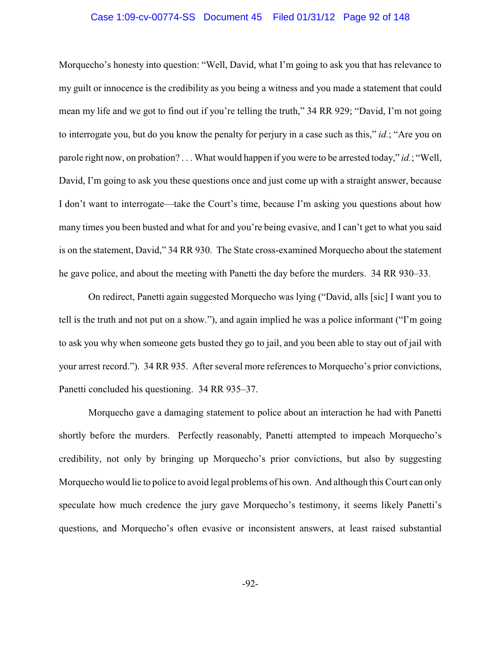#### Case 1:09-cv-00774-SS Document 45 Filed 01/31/12 Page 92 of 148

Morquecho's honesty into question: "Well, David, what I'm going to ask you that has relevance to my guilt or innocence is the credibility as you being a witness and you made a statement that could mean my life and we got to find out if you're telling the truth," 34 RR 929; "David, I'm not going to interrogate you, but do you know the penalty for perjury in a case such as this," *id.*; "Are you on parole right now, on probation? . . . What would happen if you were to be arrested today," *id.*; "Well, David, I'm going to ask you these questions once and just come up with a straight answer, because I don't want to interrogate—take the Court's time, because I'm asking you questions about how many times you been busted and what for and you're being evasive, and I can't get to what you said is on the statement, David," 34 RR 930. The State cross-examined Morquecho about the statement he gave police, and about the meeting with Panetti the day before the murders. 34 RR 930–33.

On redirect, Panetti again suggested Morquecho was lying ("David, alls [sic] I want you to tell is the truth and not put on a show."), and again implied he was a police informant ("I'm going to ask you why when someone gets busted they go to jail, and you been able to stay out of jail with your arrest record."). 34 RR 935. After several more references to Morquecho's prior convictions, Panetti concluded his questioning. 34 RR 935–37.

Morquecho gave a damaging statement to police about an interaction he had with Panetti shortly before the murders. Perfectly reasonably, Panetti attempted to impeach Morquecho's credibility, not only by bringing up Morquecho's prior convictions, but also by suggesting Morquecho would lie to police to avoid legal problems of his own. And although this Court can only speculate how much credence the jury gave Morquecho's testimony, it seems likely Panetti's questions, and Morquecho's often evasive or inconsistent answers, at least raised substantial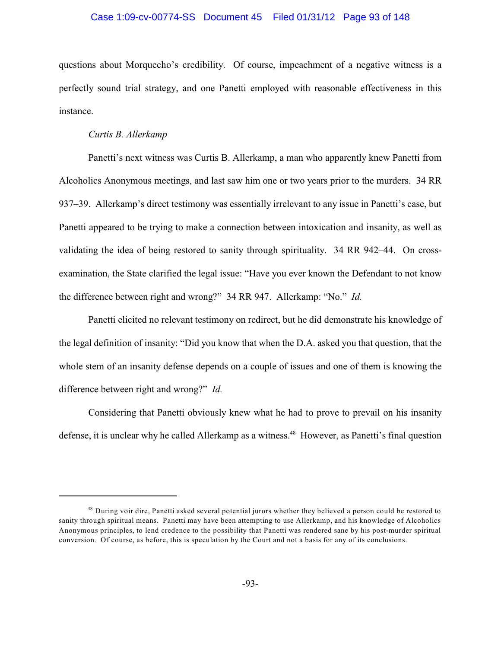#### Case 1:09-cv-00774-SS Document 45 Filed 01/31/12 Page 93 of 148

questions about Morquecho's credibility. Of course, impeachment of a negative witness is a perfectly sound trial strategy, and one Panetti employed with reasonable effectiveness in this instance.

#### *Curtis B. Allerkamp*

Panetti's next witness was Curtis B. Allerkamp, a man who apparently knew Panetti from Alcoholics Anonymous meetings, and last saw him one or two years prior to the murders. 34 RR 937–39. Allerkamp's direct testimony was essentially irrelevant to any issue in Panetti's case, but Panetti appeared to be trying to make a connection between intoxication and insanity, as well as validating the idea of being restored to sanity through spirituality. 34 RR 942–44. On crossexamination, the State clarified the legal issue: "Have you ever known the Defendant to not know the difference between right and wrong?" 34 RR 947. Allerkamp: "No." *Id.*

Panetti elicited no relevant testimony on redirect, but he did demonstrate his knowledge of the legal definition of insanity: "Did you know that when the D.A. asked you that question, that the whole stem of an insanity defense depends on a couple of issues and one of them is knowing the difference between right and wrong?" *Id.*

Considering that Panetti obviously knew what he had to prove to prevail on his insanity defense, it is unclear why he called Allerkamp as a witness.<sup>48</sup> However, as Panetti's final question

<sup>&</sup>lt;sup>48</sup> During voir dire, Panetti asked several potential jurors whether they believed a person could be restored to sanity through spiritual means. Panetti may have been attempting to use Allerkamp, and his knowledge of Alcoholics Anonymous principles, to lend credence to the possibility that Panetti was rendered sane by his post-murder spiritual conversion. Of course, as before, this is speculation by the Court and not a basis for any of its conclusions.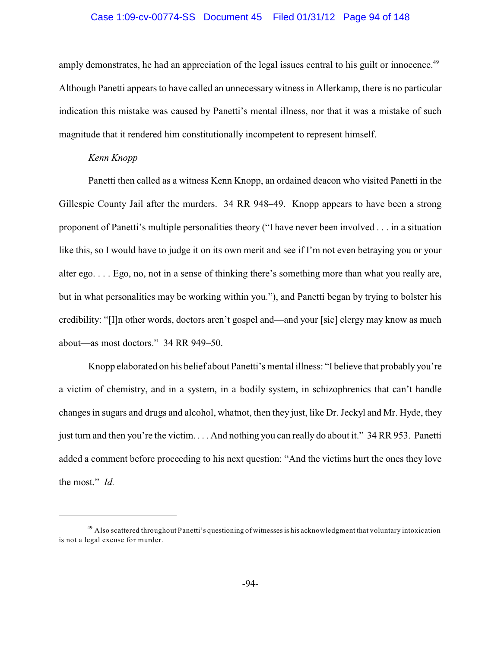#### Case 1:09-cv-00774-SS Document 45 Filed 01/31/12 Page 94 of 148

amply demonstrates, he had an appreciation of the legal issues central to his guilt or innocence.<sup>49</sup> Although Panetti appears to have called an unnecessary witness in Allerkamp, there is no particular indication this mistake was caused by Panetti's mental illness, nor that it was a mistake of such magnitude that it rendered him constitutionally incompetent to represent himself.

### *Kenn Knopp*

Panetti then called as a witness Kenn Knopp, an ordained deacon who visited Panetti in the Gillespie County Jail after the murders. 34 RR 948–49. Knopp appears to have been a strong proponent of Panetti's multiple personalities theory ("I have never been involved . . . in a situation like this, so I would have to judge it on its own merit and see if I'm not even betraying you or your alter ego. . . . Ego, no, not in a sense of thinking there's something more than what you really are, but in what personalities may be working within you."), and Panetti began by trying to bolster his credibility: "[I]n other words, doctors aren't gospel and—and your [sic] clergy may know as much about—as most doctors." 34 RR 949–50.

Knopp elaborated on his belief about Panetti's mental illness: "I believe that probably you're a victim of chemistry, and in a system, in a bodily system, in schizophrenics that can't handle changes in sugars and drugs and alcohol, whatnot, then they just, like Dr. Jeckyl and Mr. Hyde, they just turn and then you're the victim. . . . And nothing you can really do about it." 34 RR 953. Panetti added a comment before proceeding to his next question: "And the victims hurt the ones they love the most." *Id.*

<sup>&</sup>lt;sup>49</sup> Also scattered throughout Panetti's questioning of witnesses is his acknowledgment that voluntary intoxication is not a legal excuse for murder.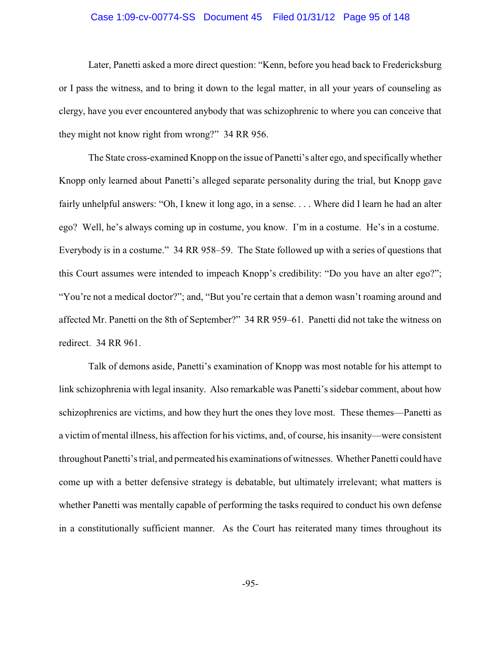#### Case 1:09-cv-00774-SS Document 45 Filed 01/31/12 Page 95 of 148

Later, Panetti asked a more direct question: "Kenn, before you head back to Fredericksburg or I pass the witness, and to bring it down to the legal matter, in all your years of counseling as clergy, have you ever encountered anybody that was schizophrenic to where you can conceive that they might not know right from wrong?" 34 RR 956.

The State cross-examined Knopp on the issue of Panetti's alter ego, and specifically whether Knopp only learned about Panetti's alleged separate personality during the trial, but Knopp gave fairly unhelpful answers: "Oh, I knew it long ago, in a sense. . . . Where did I learn he had an alter ego? Well, he's always coming up in costume, you know. I'm in a costume. He's in a costume. Everybody is in a costume." 34 RR 958–59. The State followed up with a series of questions that this Court assumes were intended to impeach Knopp's credibility: "Do you have an alter ego?"; "You're not a medical doctor?"; and, "But you're certain that a demon wasn't roaming around and affected Mr. Panetti on the 8th of September?" 34 RR 959–61. Panetti did not take the witness on redirect. 34 RR 961.

Talk of demons aside, Panetti's examination of Knopp was most notable for his attempt to link schizophrenia with legal insanity. Also remarkable was Panetti's sidebar comment, about how schizophrenics are victims, and how they hurt the ones they love most. These themes—Panetti as a victim of mental illness, his affection for his victims, and, of course, his insanity—were consistent throughout Panetti's trial, and permeated his examinations of witnesses. Whether Panetti could have come up with a better defensive strategy is debatable, but ultimately irrelevant; what matters is whether Panetti was mentally capable of performing the tasks required to conduct his own defense in a constitutionally sufficient manner. As the Court has reiterated many times throughout its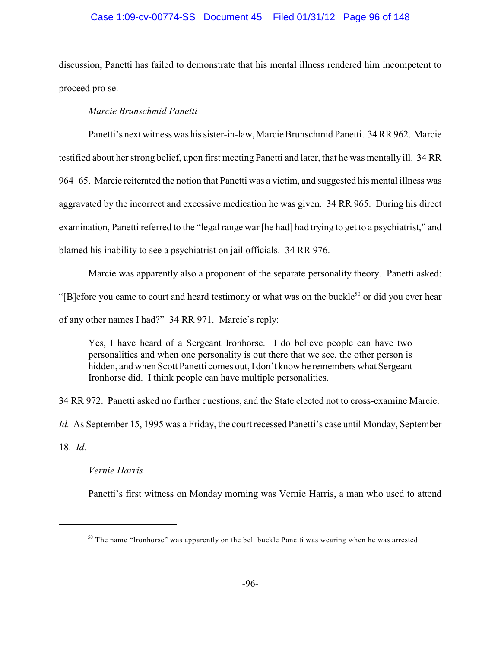# Case 1:09-cv-00774-SS Document 45 Filed 01/31/12 Page 96 of 148

discussion, Panetti has failed to demonstrate that his mental illness rendered him incompetent to proceed pro se.

# *Marcie Brunschmid Panetti*

Panetti's next witness was his sister-in-law, Marcie Brunschmid Panetti. 34 RR 962. Marcie testified about her strong belief, upon first meeting Panetti and later, that he was mentally ill. 34 RR 964–65. Marcie reiterated the notion that Panetti was a victim, and suggested his mental illness was aggravated by the incorrect and excessive medication he was given. 34 RR 965. During his direct examination, Panetti referred to the "legal range war [he had] had trying to get to a psychiatrist," and blamed his inability to see a psychiatrist on jail officials. 34 RR 976.

Marcie was apparently also a proponent of the separate personality theory. Panetti asked: "[B]efore you came to court and heard testimony or what was on the buckle<sup>50</sup> or did you ever hear of any other names I had?" 34 RR 971. Marcie's reply:

Yes, I have heard of a Sergeant Ironhorse. I do believe people can have two personalities and when one personality is out there that we see, the other person is hidden, and when Scott Panetti comes out, I don't know he remembers what Sergeant Ironhorse did. I think people can have multiple personalities.

34 RR 972. Panetti asked no further questions, and the State elected not to cross-examine Marcie.

*Id.* As September 15, 1995 was a Friday, the court recessed Panetti's case until Monday, September

18. *Id.*

*Vernie Harris*

Panetti's first witness on Monday morning was Vernie Harris, a man who used to attend

 $50$  The name "Ironhorse" was apparently on the belt buckle Panetti was wearing when he was arrested.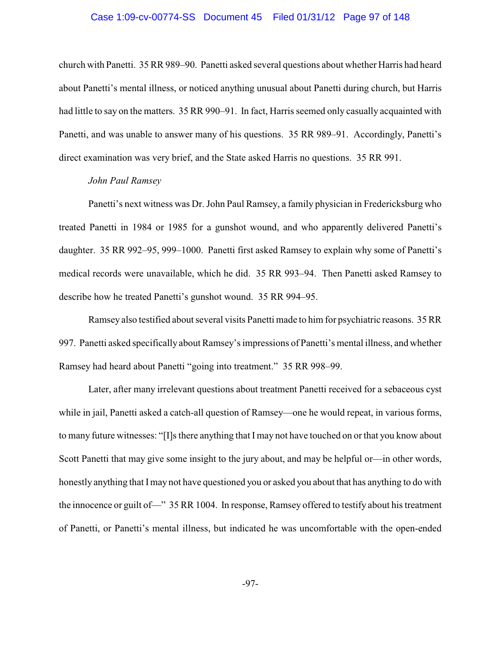#### Case 1:09-cv-00774-SS Document 45 Filed 01/31/12 Page 97 of 148

church with Panetti. 35 RR 989–90. Panetti asked several questions about whether Harris had heard about Panetti's mental illness, or noticed anything unusual about Panetti during church, but Harris had little to say on the matters. 35 RR 990–91. In fact, Harris seemed only casually acquainted with Panetti, and was unable to answer many of his questions. 35 RR 989–91. Accordingly, Panetti's direct examination was very brief, and the State asked Harris no questions. 35 RR 991.

# *John Paul Ramsey*

Panetti's next witness was Dr. John Paul Ramsey, a family physician in Fredericksburg who treated Panetti in 1984 or 1985 for a gunshot wound, and who apparently delivered Panetti's daughter. 35 RR 992–95, 999–1000. Panetti first asked Ramsey to explain why some of Panetti's medical records were unavailable, which he did. 35 RR 993–94. Then Panetti asked Ramsey to describe how he treated Panetti's gunshot wound. 35 RR 994–95.

Ramsey also testified about several visits Panetti made to him for psychiatric reasons. 35 RR 997. Panetti asked specifically about Ramsey's impressions of Panetti's mental illness, and whether Ramsey had heard about Panetti "going into treatment." 35 RR 998–99.

Later, after many irrelevant questions about treatment Panetti received for a sebaceous cyst while in jail, Panetti asked a catch-all question of Ramsey—one he would repeat, in various forms, to many future witnesses: "[I]s there anything that I may not have touched on or that you know about Scott Panetti that may give some insight to the jury about, and may be helpful or—in other words, honestly anything that Imay not have questioned you or asked you about that has anything to do with the innocence or guilt of—" 35 RR 1004. In response, Ramsey offered to testify about his treatment of Panetti, or Panetti's mental illness, but indicated he was uncomfortable with the open-ended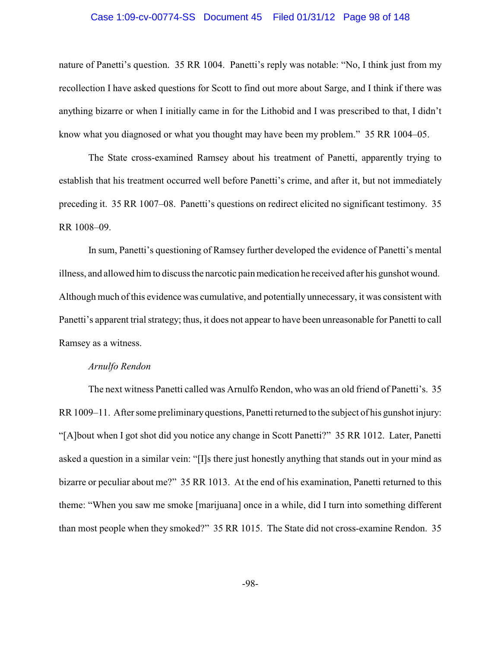# Case 1:09-cv-00774-SS Document 45 Filed 01/31/12 Page 98 of 148

nature of Panetti's question. 35 RR 1004. Panetti's reply was notable: "No, I think just from my recollection I have asked questions for Scott to find out more about Sarge, and I think if there was anything bizarre or when I initially came in for the Lithobid and I was prescribed to that, I didn't know what you diagnosed or what you thought may have been my problem." 35 RR 1004–05.

The State cross-examined Ramsey about his treatment of Panetti, apparently trying to establish that his treatment occurred well before Panetti's crime, and after it, but not immediately preceding it. 35 RR 1007–08. Panetti's questions on redirect elicited no significant testimony. 35 RR 1008–09.

In sum, Panetti's questioning of Ramsey further developed the evidence of Panetti's mental illness, and allowed him to discuss the narcotic painmedication he received after his gunshot wound. Although much of this evidence was cumulative, and potentially unnecessary, it was consistent with Panetti's apparent trial strategy; thus, it does not appear to have been unreasonable for Panetti to call Ramsey as a witness.

### *Arnulfo Rendon*

The next witness Panetti called was Arnulfo Rendon, who was an old friend of Panetti's. 35 RR 1009–11. After some preliminary questions, Panetti returned to the subject of his gunshot injury: "[A]bout when I got shot did you notice any change in Scott Panetti?" 35 RR 1012. Later, Panetti asked a question in a similar vein: "[I]s there just honestly anything that stands out in your mind as bizarre or peculiar about me?" 35 RR 1013. At the end of his examination, Panetti returned to this theme: "When you saw me smoke [marijuana] once in a while, did I turn into something different than most people when they smoked?" 35 RR 1015. The State did not cross-examine Rendon. 35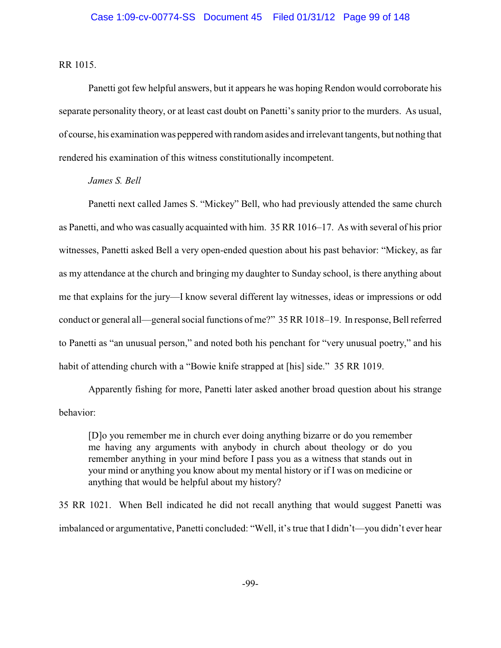RR 1015.

Panetti got few helpful answers, but it appears he was hoping Rendon would corroborate his separate personality theory, or at least cast doubt on Panetti's sanity prior to the murders. As usual, of course, his examination was peppered with random asides and irrelevant tangents, but nothing that rendered his examination of this witness constitutionally incompetent.

# *James S. Bell*

Panetti next called James S. "Mickey" Bell, who had previously attended the same church as Panetti, and who was casually acquainted with him. 35 RR 1016–17. As with several of his prior witnesses, Panetti asked Bell a very open-ended question about his past behavior: "Mickey, as far as my attendance at the church and bringing my daughter to Sunday school, is there anything about me that explains for the jury—I know several different lay witnesses, ideas or impressions or odd conduct or general all—general social functions of me?" 35 RR 1018–19. In response, Bell referred to Panetti as "an unusual person," and noted both his penchant for "very unusual poetry," and his habit of attending church with a "Bowie knife strapped at [his] side." 35 RR 1019.

Apparently fishing for more, Panetti later asked another broad question about his strange behavior:

[D]o you remember me in church ever doing anything bizarre or do you remember me having any arguments with anybody in church about theology or do you remember anything in your mind before I pass you as a witness that stands out in your mind or anything you know about my mental history or if I was on medicine or anything that would be helpful about my history?

35 RR 1021. When Bell indicated he did not recall anything that would suggest Panetti was imbalanced or argumentative, Panetti concluded: "Well, it's true that I didn't—you didn't ever hear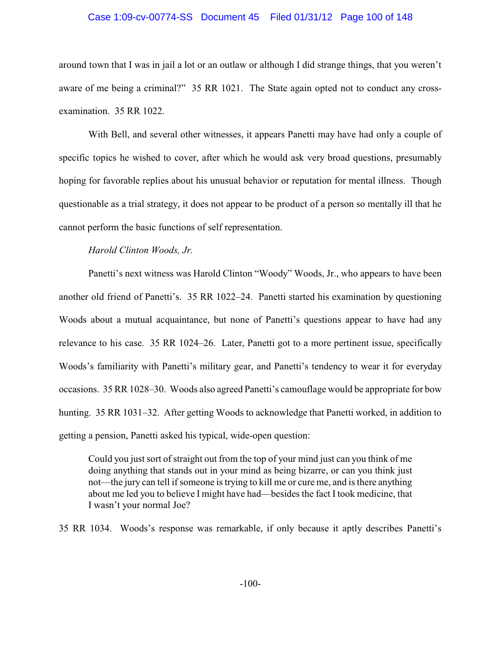#### Case 1:09-cv-00774-SS Document 45 Filed 01/31/12 Page 100 of 148

around town that I was in jail a lot or an outlaw or although I did strange things, that you weren't aware of me being a criminal?" 35 RR 1021. The State again opted not to conduct any crossexamination. 35 RR 1022.

With Bell, and several other witnesses, it appears Panetti may have had only a couple of specific topics he wished to cover, after which he would ask very broad questions, presumably hoping for favorable replies about his unusual behavior or reputation for mental illness. Though questionable as a trial strategy, it does not appear to be product of a person so mentally ill that he cannot perform the basic functions of self representation.

#### *Harold Clinton Woods, Jr.*

Panetti's next witness was Harold Clinton "Woody" Woods, Jr., who appears to have been another old friend of Panetti's. 35 RR 1022–24. Panetti started his examination by questioning Woods about a mutual acquaintance, but none of Panetti's questions appear to have had any relevance to his case. 35 RR 1024–26. Later, Panetti got to a more pertinent issue, specifically Woods's familiarity with Panetti's military gear, and Panetti's tendency to wear it for everyday occasions. 35 RR 1028–30. Woods also agreed Panetti's camouflage would be appropriate for bow hunting. 35 RR 1031–32. After getting Woods to acknowledge that Panetti worked, in addition to getting a pension, Panetti asked his typical, wide-open question:

Could you just sort of straight out from the top of your mind just can you think of me doing anything that stands out in your mind as being bizarre, or can you think just not—the jury can tell if someone is trying to kill me or cure me, and is there anything about me led you to believe I might have had—besides the fact I took medicine, that I wasn't your normal Joe?

35 RR 1034. Woods's response was remarkable, if only because it aptly describes Panetti's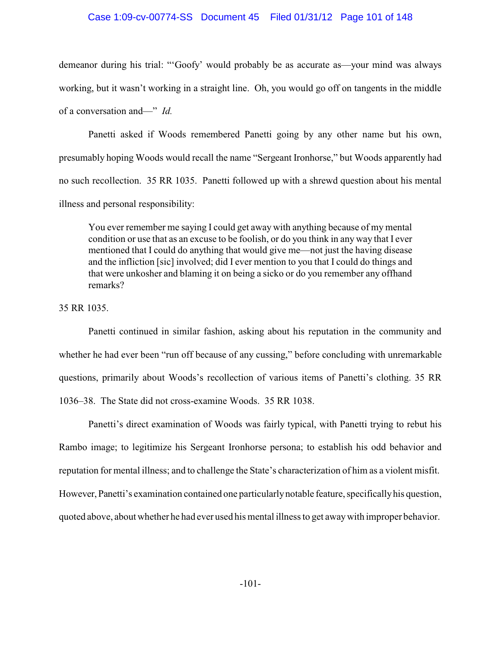### Case 1:09-cv-00774-SS Document 45 Filed 01/31/12 Page 101 of 148

demeanor during his trial: "'Goofy' would probably be as accurate as—your mind was always working, but it wasn't working in a straight line. Oh, you would go off on tangents in the middle of a conversation and—" *Id.*

Panetti asked if Woods remembered Panetti going by any other name but his own, presumably hoping Woods would recall the name "Sergeant Ironhorse," but Woods apparently had no such recollection. 35 RR 1035. Panetti followed up with a shrewd question about his mental illness and personal responsibility:

You ever remember me saying I could get away with anything because of my mental condition or use that as an excuse to be foolish, or do you think in any way that I ever mentioned that I could do anything that would give me—not just the having disease and the infliction [sic] involved; did I ever mention to you that I could do things and that were unkosher and blaming it on being a sicko or do you remember any offhand remarks?

35 RR 1035.

Panetti continued in similar fashion, asking about his reputation in the community and whether he had ever been "run off because of any cussing," before concluding with unremarkable questions, primarily about Woods's recollection of various items of Panetti's clothing. 35 RR 1036–38. The State did not cross-examine Woods. 35 RR 1038.

Panetti's direct examination of Woods was fairly typical, with Panetti trying to rebut his Rambo image; to legitimize his Sergeant Ironhorse persona; to establish his odd behavior and reputation for mental illness; and to challenge the State's characterization of him as a violent misfit. However, Panetti's examination contained one particularlynotable feature, specificallyhis question, quoted above, about whether he had ever used his mental illness to get awaywith improper behavior.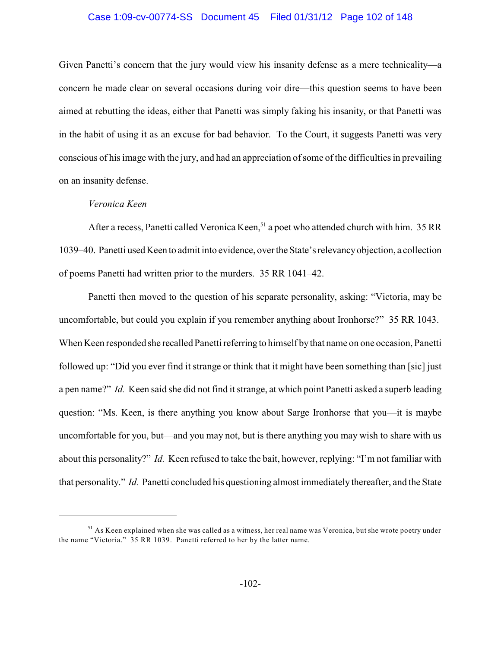# Case 1:09-cv-00774-SS Document 45 Filed 01/31/12 Page 102 of 148

Given Panetti's concern that the jury would view his insanity defense as a mere technicality—a concern he made clear on several occasions during voir dire—this question seems to have been aimed at rebutting the ideas, either that Panetti was simply faking his insanity, or that Panetti was in the habit of using it as an excuse for bad behavior. To the Court, it suggests Panetti was very conscious of his image with the jury, and had an appreciation of some of the difficulties in prevailing on an insanity defense.

# *Veronica Keen*

After a recess, Panetti called Veronica Keen,<sup>51</sup> a poet who attended church with him. 35 RR 1039–40. Panetti usedKeen to admit into evidence, over the State's relevancyobjection, a collection of poems Panetti had written prior to the murders. 35 RR 1041–42.

Panetti then moved to the question of his separate personality, asking: "Victoria, may be uncomfortable, but could you explain if you remember anything about Ironhorse?" 35 RR 1043. When Keen responded she recalled Panetti referring to himself bythat name on one occasion, Panetti followed up: "Did you ever find it strange or think that it might have been something than [sic] just a pen name?" *Id.* Keen said she did not find it strange, at which point Panetti asked a superb leading question: "Ms. Keen, is there anything you know about Sarge Ironhorse that you—it is maybe uncomfortable for you, but—and you may not, but is there anything you may wish to share with us about this personality?" *Id.* Keen refused to take the bait, however, replying: "I'm not familiar with that personality." *Id.* Panetti concluded his questioning almost immediately thereafter, and the State

<sup>&</sup>lt;sup>51</sup> As Keen explained when she was called as a witness, her real name was Veronica, but she wrote poetry under the name "Victoria." 35 RR 1039. Panetti referred to her by the latter name.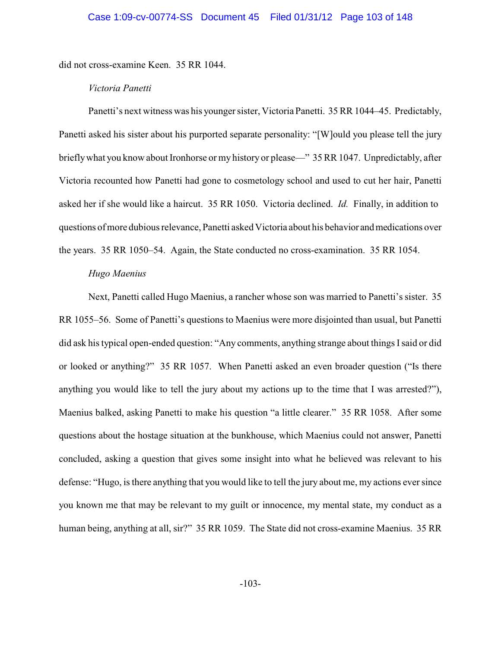did not cross-examine Keen. 35 RR 1044.

### *Victoria Panetti*

Panetti's next witness was his younger sister, Victoria Panetti. 35 RR 1044–45. Predictably, Panetti asked his sister about his purported separate personality: "[W]ould you please tell the jury brieflywhat you know about Ironhorse or my history or please—" 35 RR 1047. Unpredictably, after Victoria recounted how Panetti had gone to cosmetology school and used to cut her hair, Panetti asked her if she would like a haircut. 35 RR 1050. Victoria declined. *Id.* Finally, in addition to questions of more dubious relevance, Panetti asked Victoria about his behavior andmedications over the years. 35 RR 1050–54. Again, the State conducted no cross-examination. 35 RR 1054.

### *Hugo Maenius*

Next, Panetti called Hugo Maenius, a rancher whose son was married to Panetti's sister. 35 RR 1055–56. Some of Panetti's questions to Maenius were more disjointed than usual, but Panetti did ask his typical open-ended question: "Any comments, anything strange about things Isaid or did or looked or anything?" 35 RR 1057. When Panetti asked an even broader question ("Is there anything you would like to tell the jury about my actions up to the time that I was arrested?"), Maenius balked, asking Panetti to make his question "a little clearer." 35 RR 1058. After some questions about the hostage situation at the bunkhouse, which Maenius could not answer, Panetti concluded, asking a question that gives some insight into what he believed was relevant to his defense: "Hugo, is there anything that you would like to tell the jury about me, my actions eversince you known me that may be relevant to my guilt or innocence, my mental state, my conduct as a human being, anything at all, sir?" 35 RR 1059. The State did not cross-examine Maenius. 35 RR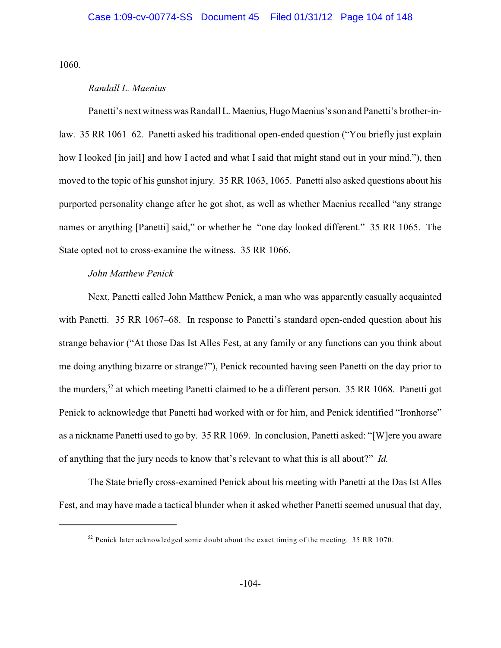1060.

### *Randall L. Maenius*

Panetti's next witness was Randall L. Maenius, Hugo Maenius's son and Panetti's brother-inlaw. 35 RR 1061–62. Panetti asked his traditional open-ended question ("You briefly just explain how I looked [in jail] and how I acted and what I said that might stand out in your mind."), then moved to the topic of his gunshot injury. 35 RR 1063, 1065. Panetti also asked questions about his purported personality change after he got shot, as well as whether Maenius recalled "any strange names or anything [Panetti] said," or whether he "one day looked different." 35 RR 1065. The State opted not to cross-examine the witness. 35 RR 1066.

### *John Matthew Penick*

Next, Panetti called John Matthew Penick, a man who was apparently casually acquainted with Panetti. 35 RR 1067–68. In response to Panetti's standard open-ended question about his strange behavior ("At those Das Ist Alles Fest, at any family or any functions can you think about me doing anything bizarre or strange?"), Penick recounted having seen Panetti on the day prior to the murders,  $52$  at which meeting Panetti claimed to be a different person. 35 RR 1068. Panetti got Penick to acknowledge that Panetti had worked with or for him, and Penick identified "Ironhorse" as a nickname Panetti used to go by. 35 RR 1069. In conclusion, Panetti asked: "[W]ere you aware of anything that the jury needs to know that's relevant to what this is all about?" *Id.*

The State briefly cross-examined Penick about his meeting with Panetti at the Das Ist Alles Fest, and may have made a tactical blunder when it asked whether Panetti seemed unusual that day,

 $52$  Penick later acknowledged some doubt about the exact timing of the meeting. 35 RR 1070.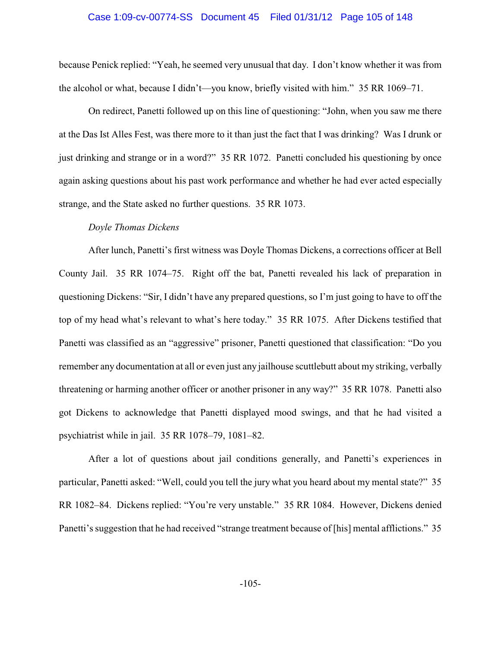# Case 1:09-cv-00774-SS Document 45 Filed 01/31/12 Page 105 of 148

because Penick replied: "Yeah, he seemed very unusual that day. I don't know whether it was from the alcohol or what, because I didn't—you know, briefly visited with him." 35 RR 1069–71.

On redirect, Panetti followed up on this line of questioning: "John, when you saw me there at the Das Ist Alles Fest, was there more to it than just the fact that I was drinking? Was I drunk or just drinking and strange or in a word?" 35 RR 1072. Panetti concluded his questioning by once again asking questions about his past work performance and whether he had ever acted especially strange, and the State asked no further questions. 35 RR 1073.

# *Doyle Thomas Dickens*

After lunch, Panetti's first witness was Doyle Thomas Dickens, a corrections officer at Bell County Jail. 35 RR 1074–75. Right off the bat, Panetti revealed his lack of preparation in questioning Dickens: "Sir, I didn't have any prepared questions, so I'm just going to have to off the top of my head what's relevant to what's here today." 35 RR 1075. After Dickens testified that Panetti was classified as an "aggressive" prisoner, Panetti questioned that classification: "Do you remember any documentation at all or even just any jailhouse scuttlebutt about my striking, verbally threatening or harming another officer or another prisoner in any way?" 35 RR 1078. Panetti also got Dickens to acknowledge that Panetti displayed mood swings, and that he had visited a psychiatrist while in jail. 35 RR 1078–79, 1081–82.

After a lot of questions about jail conditions generally, and Panetti's experiences in particular, Panetti asked: "Well, could you tell the jury what you heard about my mental state?" 35 RR 1082–84. Dickens replied: "You're very unstable." 35 RR 1084. However, Dickens denied Panetti's suggestion that he had received "strange treatment because of [his] mental afflictions." 35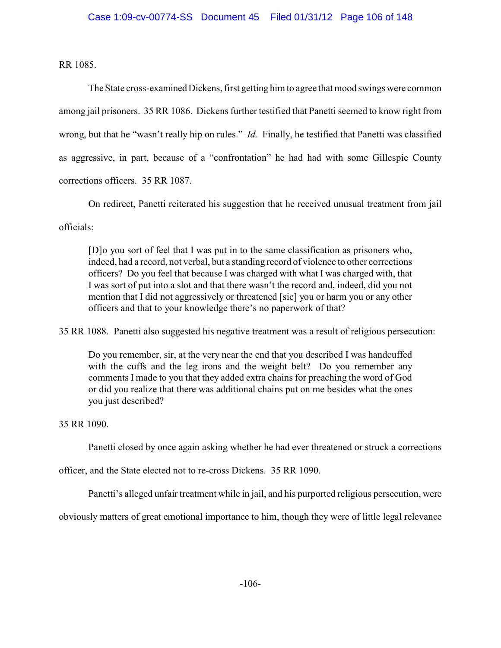RR 1085.

The State cross-examined Dickens, first getting him to agree that mood swings were common among jail prisoners. 35 RR 1086. Dickens further testified that Panetti seemed to know right from wrong, but that he "wasn't really hip on rules." *Id.* Finally, he testified that Panetti was classified as aggressive, in part, because of a "confrontation" he had had with some Gillespie County corrections officers. 35 RR 1087.

On redirect, Panetti reiterated his suggestion that he received unusual treatment from jail

officials:

[D]o you sort of feel that I was put in to the same classification as prisoners who, indeed, had a record, not verbal, but a standing record of violence to other corrections officers? Do you feel that because I was charged with what I was charged with, that I was sort of put into a slot and that there wasn't the record and, indeed, did you not mention that I did not aggressively or threatened [sic] you or harm you or any other officers and that to your knowledge there's no paperwork of that?

35 RR 1088. Panetti also suggested his negative treatment was a result of religious persecution:

Do you remember, sir, at the very near the end that you described I was handcuffed with the cuffs and the leg irons and the weight belt? Do you remember any comments I made to you that they added extra chains for preaching the word of God or did you realize that there was additional chains put on me besides what the ones you just described?

35 RR 1090.

Panetti closed by once again asking whether he had ever threatened or struck a corrections

officer, and the State elected not to re-cross Dickens. 35 RR 1090.

Panetti's alleged unfair treatment while in jail, and his purported religious persecution, were

obviously matters of great emotional importance to him, though they were of little legal relevance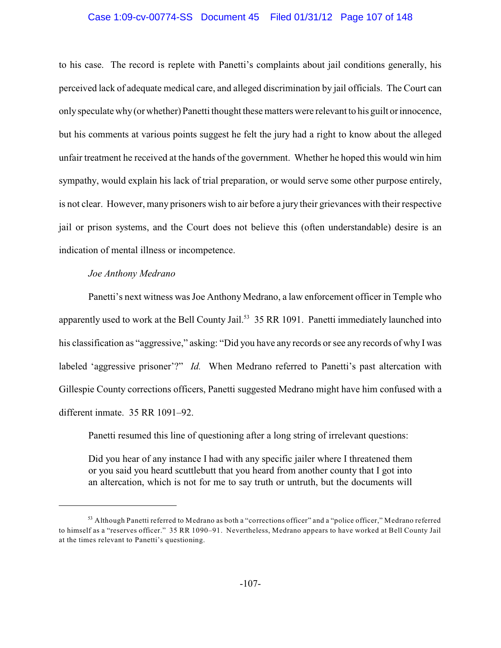# Case 1:09-cv-00774-SS Document 45 Filed 01/31/12 Page 107 of 148

to his case. The record is replete with Panetti's complaints about jail conditions generally, his perceived lack of adequate medical care, and alleged discrimination by jail officials. The Court can onlyspeculate why(or whether) Panetti thought these matters were relevant to his guilt or innocence, but his comments at various points suggest he felt the jury had a right to know about the alleged unfair treatment he received at the hands of the government. Whether he hoped this would win him sympathy, would explain his lack of trial preparation, or would serve some other purpose entirely, is not clear. However, many prisoners wish to air before a jury their grievances with their respective jail or prison systems, and the Court does not believe this (often understandable) desire is an indication of mental illness or incompetence.

### *Joe Anthony Medrano*

Panetti's next witness was Joe Anthony Medrano, a law enforcement officer in Temple who apparently used to work at the Bell County Jail.<sup>53</sup> 35 RR 1091. Panetti immediately launched into his classification as "aggressive," asking: "Did you have any records or see any records of why I was labeled 'aggressive prisoner'?" *Id.* When Medrano referred to Panetti's past altercation with Gillespie County corrections officers, Panetti suggested Medrano might have him confused with a different inmate. 35 RR 1091–92.

Panetti resumed this line of questioning after a long string of irrelevant questions:

Did you hear of any instance I had with any specific jailer where I threatened them or you said you heard scuttlebutt that you heard from another county that I got into an altercation, which is not for me to say truth or untruth, but the documents will

 $53$  Although Panetti referred to Medrano as both a "corrections officer" and a "police officer," Medrano referred to himself as a "reserves officer." 35 RR 1090–91. Nevertheless, Medrano appears to have worked at Bell County Jail at the times relevant to Panetti's questioning.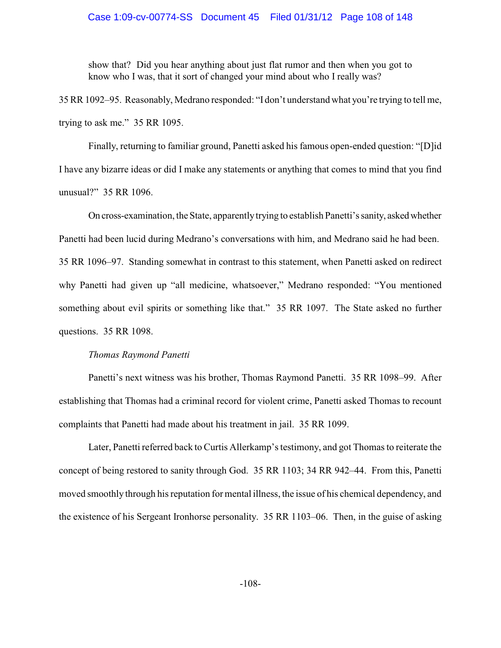show that? Did you hear anything about just flat rumor and then when you got to know who I was, that it sort of changed your mind about who I really was?

35 RR 1092–95. Reasonably, Medrano responded: "I don't understand what you're trying to tell me, trying to ask me." 35 RR 1095.

Finally, returning to familiar ground, Panetti asked his famous open-ended question: "[D]id I have any bizarre ideas or did I make any statements or anything that comes to mind that you find unusual?" 35 RR 1096.

On cross-examination, the State, apparently trying to establish Panetti's sanity, asked whether Panetti had been lucid during Medrano's conversations with him, and Medrano said he had been. 35 RR 1096–97. Standing somewhat in contrast to this statement, when Panetti asked on redirect why Panetti had given up "all medicine, whatsoever," Medrano responded: "You mentioned something about evil spirits or something like that." 35 RR 1097. The State asked no further questions. 35 RR 1098.

#### *Thomas Raymond Panetti*

Panetti's next witness was his brother, Thomas Raymond Panetti. 35 RR 1098–99. After establishing that Thomas had a criminal record for violent crime, Panetti asked Thomas to recount complaints that Panetti had made about his treatment in jail. 35 RR 1099.

Later, Panetti referred back to Curtis Allerkamp's testimony, and got Thomas to reiterate the concept of being restored to sanity through God. 35 RR 1103; 34 RR 942–44. From this, Panetti moved smoothly through his reputation for mental illness, the issue of his chemical dependency, and the existence of his Sergeant Ironhorse personality. 35 RR 1103–06. Then, in the guise of asking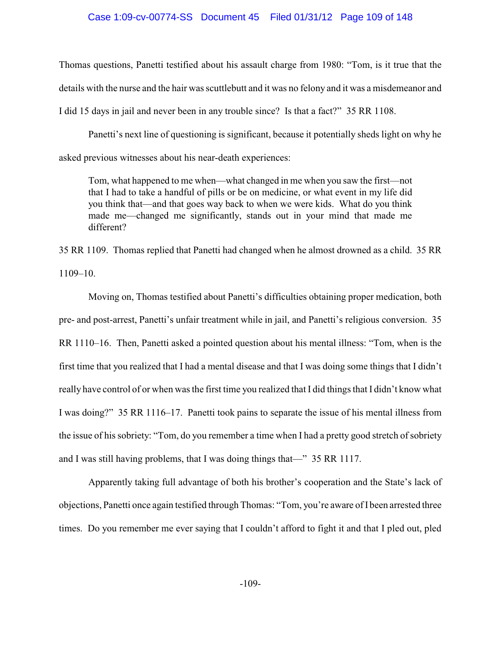### Case 1:09-cv-00774-SS Document 45 Filed 01/31/12 Page 109 of 148

Thomas questions, Panetti testified about his assault charge from 1980: "Tom, is it true that the details with the nurse and the hair was scuttlebutt and it was no felony and it was a misdemeanor and I did 15 days in jail and never been in any trouble since? Is that a fact?" 35 RR 1108.

Panetti's next line of questioning is significant, because it potentially sheds light on why he asked previous witnesses about his near-death experiences:

Tom, what happened to me when—what changed in me when you saw the first—not that I had to take a handful of pills or be on medicine, or what event in my life did you think that—and that goes way back to when we were kids. What do you think made me—changed me significantly, stands out in your mind that made me different?

35 RR 1109. Thomas replied that Panetti had changed when he almost drowned as a child. 35 RR 1109–10.

Moving on, Thomas testified about Panetti's difficulties obtaining proper medication, both pre- and post-arrest, Panetti's unfair treatment while in jail, and Panetti's religious conversion. 35 RR 1110–16. Then, Panetti asked a pointed question about his mental illness: "Tom, when is the first time that you realized that I had a mental disease and that I was doing some things that I didn't really have control of or when was the first time you realized that I did things that I didn't know what I was doing?" 35 RR 1116–17. Panetti took pains to separate the issue of his mental illness from the issue of his sobriety: "Tom, do you remember a time when I had a pretty good stretch of sobriety and I was still having problems, that I was doing things that—" 35 RR 1117.

Apparently taking full advantage of both his brother's cooperation and the State's lack of objections, Panetti once again testified through Thomas: "Tom, you're aware of I been arrested three times. Do you remember me ever saying that I couldn't afford to fight it and that I pled out, pled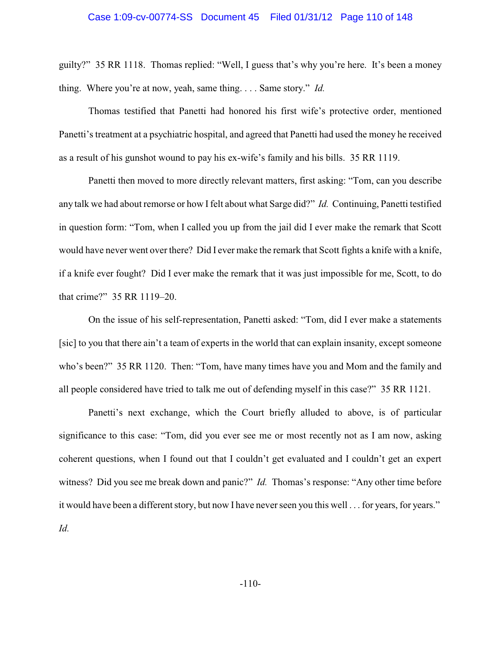## Case 1:09-cv-00774-SS Document 45 Filed 01/31/12 Page 110 of 148

guilty?" 35 RR 1118. Thomas replied: "Well, I guess that's why you're here. It's been a money thing. Where you're at now, yeah, same thing. . . . Same story." *Id.*

Thomas testified that Panetti had honored his first wife's protective order, mentioned Panetti's treatment at a psychiatric hospital, and agreed that Panetti had used the money he received as a result of his gunshot wound to pay his ex-wife's family and his bills. 35 RR 1119.

Panetti then moved to more directly relevant matters, first asking: "Tom, can you describe any talk we had about remorse or how I felt about what Sarge did?" *Id.* Continuing, Panetti testified in question form: "Tom, when I called you up from the jail did I ever make the remark that Scott would have never went over there? Did I ever make the remark that Scott fights a knife with a knife, if a knife ever fought? Did I ever make the remark that it was just impossible for me, Scott, to do that crime?" 35 RR 1119–20.

On the issue of his self-representation, Panetti asked: "Tom, did I ever make a statements [sic] to you that there ain't a team of experts in the world that can explain insanity, except someone who's been?" 35 RR 1120. Then: "Tom, have many times have you and Mom and the family and all people considered have tried to talk me out of defending myself in this case?" 35 RR 1121.

Panetti's next exchange, which the Court briefly alluded to above, is of particular significance to this case: "Tom, did you ever see me or most recently not as I am now, asking coherent questions, when I found out that I couldn't get evaluated and I couldn't get an expert witness? Did you see me break down and panic?" *Id.* Thomas's response: "Any other time before it would have been a different story, but now I have neverseen you this well . . . for years, for years." *Id.*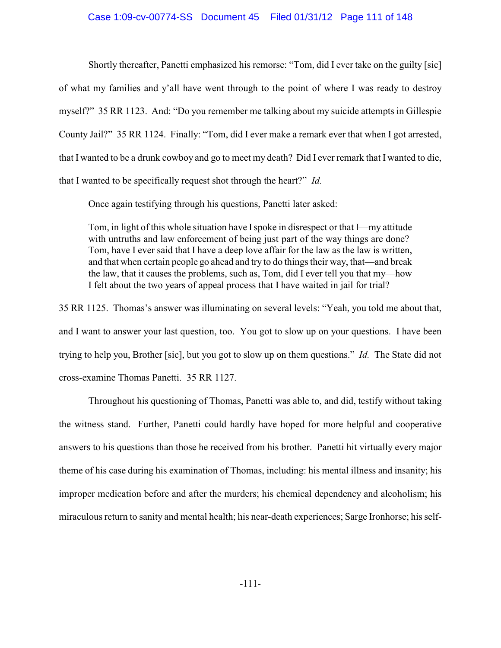### Case 1:09-cv-00774-SS Document 45 Filed 01/31/12 Page 111 of 148

Shortly thereafter, Panetti emphasized his remorse: "Tom, did I ever take on the guilty [sic] of what my families and y'all have went through to the point of where I was ready to destroy myself?" 35 RR 1123. And: "Do you remember me talking about my suicide attempts in Gillespie County Jail?" 35 RR 1124. Finally: "Tom, did I ever make a remark ever that when I got arrested, that I wanted to be a drunk cowboy and go to meet my death? Did I ever remark that I wanted to die, that I wanted to be specifically request shot through the heart?" *Id.*

Once again testifying through his questions, Panetti later asked:

Tom, in light of this whole situation have Ispoke in disrespect or that I—my attitude with untruths and law enforcement of being just part of the way things are done? Tom, have I ever said that I have a deep love affair for the law as the law is written, and that when certain people go ahead and try to do things their way, that—and break the law, that it causes the problems, such as, Tom, did I ever tell you that my—how I felt about the two years of appeal process that I have waited in jail for trial?

35 RR 1125. Thomas's answer was illuminating on several levels: "Yeah, you told me about that, and I want to answer your last question, too. You got to slow up on your questions. I have been trying to help you, Brother [sic], but you got to slow up on them questions." *Id.* The State did not cross-examine Thomas Panetti. 35 RR 1127.

Throughout his questioning of Thomas, Panetti was able to, and did, testify without taking the witness stand. Further, Panetti could hardly have hoped for more helpful and cooperative answers to his questions than those he received from his brother. Panetti hit virtually every major theme of his case during his examination of Thomas, including: his mental illness and insanity; his improper medication before and after the murders; his chemical dependency and alcoholism; his miraculous return to sanity and mental health; his near-death experiences; Sarge Ironhorse; his self-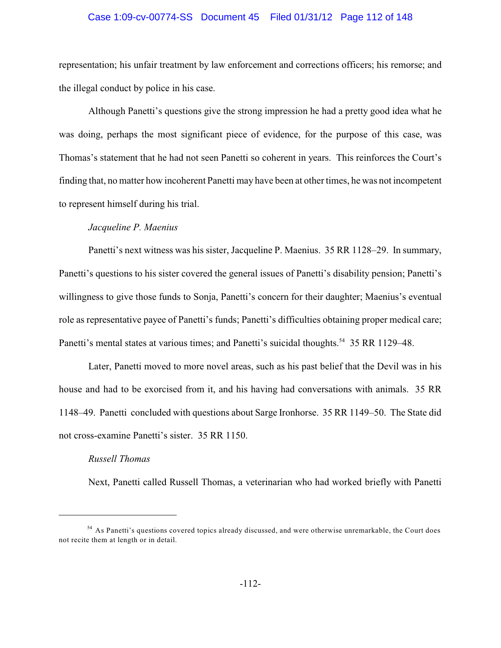## Case 1:09-cv-00774-SS Document 45 Filed 01/31/12 Page 112 of 148

representation; his unfair treatment by law enforcement and corrections officers; his remorse; and the illegal conduct by police in his case.

Although Panetti's questions give the strong impression he had a pretty good idea what he was doing, perhaps the most significant piece of evidence, for the purpose of this case, was Thomas's statement that he had not seen Panetti so coherent in years. This reinforces the Court's finding that, no matter how incoherent Panetti may have been at other times, he was not incompetent to represent himself during his trial.

### *Jacqueline P. Maenius*

Panetti's next witness was his sister, Jacqueline P. Maenius. 35 RR 1128–29. In summary, Panetti's questions to his sister covered the general issues of Panetti's disability pension; Panetti's willingness to give those funds to Sonja, Panetti's concern for their daughter; Maenius's eventual role as representative payee of Panetti's funds; Panetti's difficulties obtaining proper medical care; Panetti's mental states at various times; and Panetti's suicidal thoughts.<sup>54</sup> 35 RR 1129–48.

Later, Panetti moved to more novel areas, such as his past belief that the Devil was in his house and had to be exorcised from it, and his having had conversations with animals. 35 RR 1148–49. Panetti concluded with questions about Sarge Ironhorse. 35 RR 1149–50. The State did not cross-examine Panetti's sister. 35 RR 1150.

## *Russell Thomas*

Next, Panetti called Russell Thomas, a veterinarian who had worked briefly with Panetti

<sup>&</sup>lt;sup>54</sup> As Panetti's questions covered topics already discussed, and were otherwise unremarkable, the Court does not recite them at length or in detail.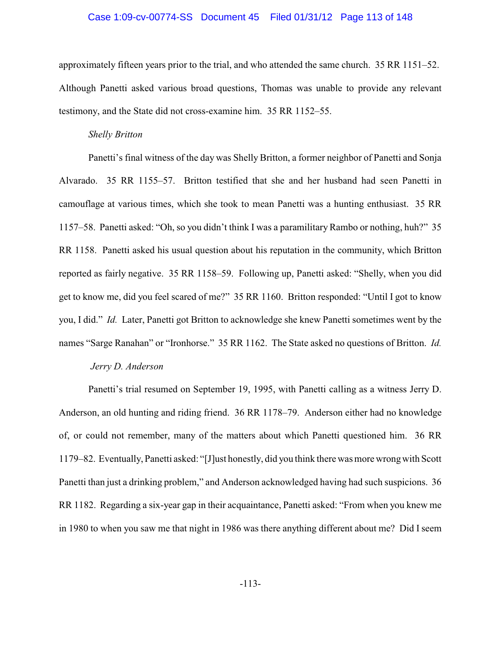### Case 1:09-cv-00774-SS Document 45 Filed 01/31/12 Page 113 of 148

approximately fifteen years prior to the trial, and who attended the same church. 35 RR 1151–52. Although Panetti asked various broad questions, Thomas was unable to provide any relevant testimony, and the State did not cross-examine him. 35 RR 1152–55.

#### *Shelly Britton*

Panetti's final witness of the day was Shelly Britton, a former neighbor of Panetti and Sonja Alvarado. 35 RR 1155–57. Britton testified that she and her husband had seen Panetti in camouflage at various times, which she took to mean Panetti was a hunting enthusiast. 35 RR 1157–58. Panetti asked: "Oh, so you didn't think I was a paramilitaryRambo or nothing, huh?" 35 RR 1158. Panetti asked his usual question about his reputation in the community, which Britton reported as fairly negative. 35 RR 1158–59. Following up, Panetti asked: "Shelly, when you did get to know me, did you feel scared of me?" 35 RR 1160. Britton responded: "Until I got to know you, I did." *Id.* Later, Panetti got Britton to acknowledge she knew Panetti sometimes went by the names "Sarge Ranahan" or "Ironhorse." 35 RR 1162. The State asked no questions of Britton. *Id.*

### *Jerry D. Anderson*

Panetti's trial resumed on September 19, 1995, with Panetti calling as a witness Jerry D. Anderson, an old hunting and riding friend. 36 RR 1178–79. Anderson either had no knowledge of, or could not remember, many of the matters about which Panetti questioned him. 36 RR 1179–82. Eventually, Panetti asked: "[J]ust honestly, did you think there was more wrongwith Scott Panetti than just a drinking problem," and Anderson acknowledged having had such suspicions. 36 RR 1182. Regarding a six-year gap in their acquaintance, Panetti asked: "From when you knew me in 1980 to when you saw me that night in 1986 was there anything different about me? Did I seem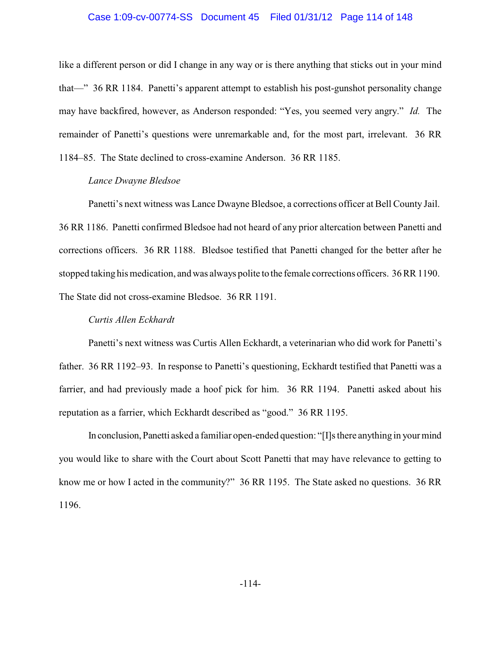### Case 1:09-cv-00774-SS Document 45 Filed 01/31/12 Page 114 of 148

like a different person or did I change in any way or is there anything that sticks out in your mind that—" 36 RR 1184. Panetti's apparent attempt to establish his post-gunshot personality change may have backfired, however, as Anderson responded: "Yes, you seemed very angry." *Id.* The remainder of Panetti's questions were unremarkable and, for the most part, irrelevant. 36 RR 1184–85. The State declined to cross-examine Anderson. 36 RR 1185.

### *Lance Dwayne Bledsoe*

Panetti's next witness was Lance Dwayne Bledsoe, a corrections officer at Bell County Jail. 36 RR 1186. Panetti confirmed Bledsoe had not heard of any prior altercation between Panetti and corrections officers. 36 RR 1188. Bledsoe testified that Panetti changed for the better after he stopped taking his medication, and was always polite to the female corrections officers. 36 RR 1190. The State did not cross-examine Bledsoe. 36 RR 1191.

### *Curtis Allen Eckhardt*

Panetti's next witness was Curtis Allen Eckhardt, a veterinarian who did work for Panetti's father. 36 RR 1192–93. In response to Panetti's questioning, Eckhardt testified that Panetti was a farrier, and had previously made a hoof pick for him. 36 RR 1194. Panetti asked about his reputation as a farrier, which Eckhardt described as "good." 36 RR 1195.

In conclusion, Panetti asked a familiar open-ended question: "[I]s there anything in yourmind you would like to share with the Court about Scott Panetti that may have relevance to getting to know me or how I acted in the community?" 36 RR 1195. The State asked no questions. 36 RR 1196.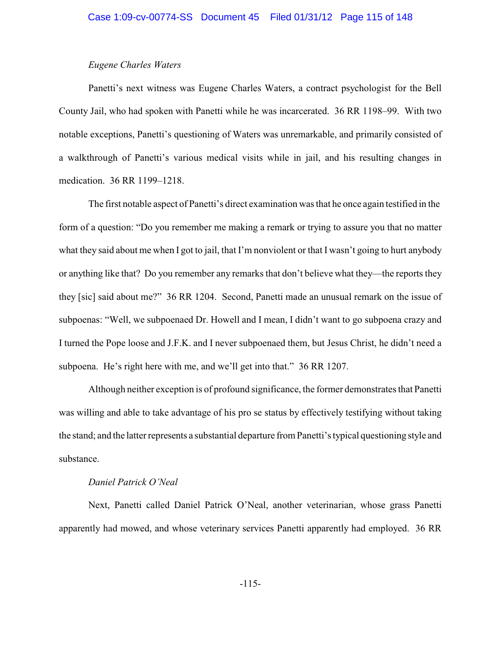### *Eugene Charles Waters*

Panetti's next witness was Eugene Charles Waters, a contract psychologist for the Bell County Jail, who had spoken with Panetti while he was incarcerated. 36 RR 1198–99. With two notable exceptions, Panetti's questioning of Waters was unremarkable, and primarily consisted of a walkthrough of Panetti's various medical visits while in jail, and his resulting changes in medication. 36 RR 1199–1218.

The first notable aspect of Panetti's direct examination was that he once again testified in the form of a question: "Do you remember me making a remark or trying to assure you that no matter what they said about me when I got to jail, that I'm nonviolent or that I wasn't going to hurt anybody or anything like that? Do you remember any remarks that don't believe what they—the reports they they [sic] said about me?" 36 RR 1204. Second, Panetti made an unusual remark on the issue of subpoenas: "Well, we subpoenaed Dr. Howell and I mean, I didn't want to go subpoena crazy and I turned the Pope loose and J.F.K. and I never subpoenaed them, but Jesus Christ, he didn't need a subpoena. He's right here with me, and we'll get into that." 36 RR 1207.

Although neither exception is of profound significance, the former demonstrates that Panetti was willing and able to take advantage of his pro se status by effectively testifying without taking the stand; and the latter represents a substantial departure from Panetti's typical questioning style and substance.

### *Daniel Patrick O'Neal*

Next, Panetti called Daniel Patrick O'Neal, another veterinarian, whose grass Panetti apparently had mowed, and whose veterinary services Panetti apparently had employed. 36 RR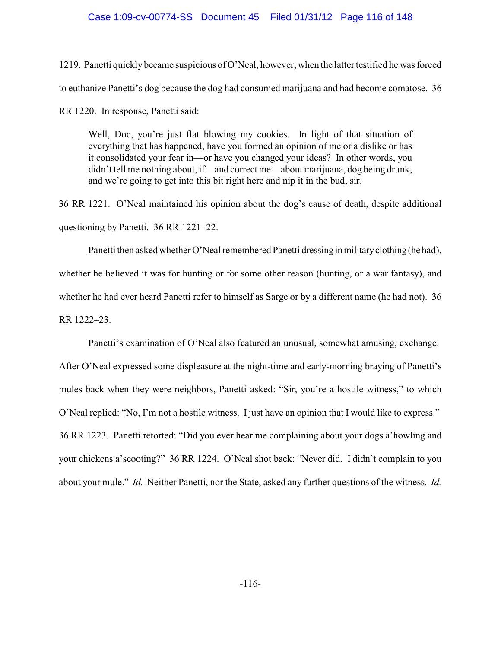### Case 1:09-cv-00774-SS Document 45 Filed 01/31/12 Page 116 of 148

1219. Panetti quickly became suspicious of O'Neal, however, when the latter testified he was forced to euthanize Panetti's dog because the dog had consumed marijuana and had become comatose. 36

RR 1220. In response, Panetti said:

Well, Doc, you're just flat blowing my cookies. In light of that situation of everything that has happened, have you formed an opinion of me or a dislike or has it consolidated your fear in—or have you changed your ideas? In other words, you didn't tell me nothing about, if—and correct me—about marijuana, dog being drunk, and we're going to get into this bit right here and nip it in the bud, sir.

36 RR 1221. O'Neal maintained his opinion about the dog's cause of death, despite additional questioning by Panetti. 36 RR 1221–22.

Panetti then asked whether O'Neal remembered Panetti dressing in military clothing (he had), whether he believed it was for hunting or for some other reason (hunting, or a war fantasy), and whether he had ever heard Panetti refer to himself as Sarge or by a different name (he had not). 36 RR 1222–23.

Panetti's examination of O'Neal also featured an unusual, somewhat amusing, exchange.

After O'Neal expressed some displeasure at the night-time and early-morning braying of Panetti's mules back when they were neighbors, Panetti asked: "Sir, you're a hostile witness," to which O'Neal replied: "No, I'm not a hostile witness. I just have an opinion that I would like to express." 36 RR 1223. Panetti retorted: "Did you ever hear me complaining about your dogs a'howling and your chickens a'scooting?" 36 RR 1224. O'Neal shot back: "Never did. I didn't complain to you about your mule." *Id.* Neither Panetti, nor the State, asked any further questions of the witness. *Id.*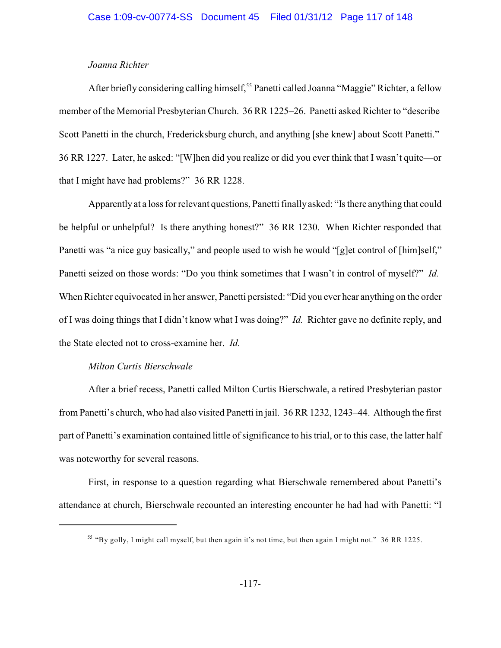## *Joanna Richter*

After briefly considering calling himself,<sup>55</sup> Panetti called Joanna "Maggie" Richter, a fellow member of the Memorial Presbyterian Church. 36 RR 1225–26. Panetti asked Richter to "describe Scott Panetti in the church, Fredericksburg church, and anything [she knew] about Scott Panetti." 36 RR 1227. Later, he asked: "[W]hen did you realize or did you ever think that I wasn't quite—or that I might have had problems?" 36 RR 1228.

Apparentlyat a loss for relevant questions, Panetti finallyasked: "Is there anything that could be helpful or unhelpful? Is there anything honest?" 36 RR 1230. When Richter responded that Panetti was "a nice guy basically," and people used to wish he would "[g]et control of [him]self," Panetti seized on those words: "Do you think sometimes that I wasn't in control of myself?" *Id.* When Richter equivocated in her answer, Panetti persisted: "Did you ever hear anything on the order of I was doing things that I didn't know what I was doing?" *Id.* Richter gave no definite reply, and the State elected not to cross-examine her. *Id.*

### *Milton Curtis Bierschwale*

After a brief recess, Panetti called Milton Curtis Bierschwale, a retired Presbyterian pastor from Panetti's church, who had also visited Panetti in jail. 36 RR 1232, 1243–44. Although the first part of Panetti's examination contained little of significance to his trial, or to this case, the latter half was noteworthy for several reasons.

First, in response to a question regarding what Bierschwale remembered about Panetti's attendance at church, Bierschwale recounted an interesting encounter he had had with Panetti: "I

<sup>&</sup>lt;sup>55</sup> "By golly, I might call myself, but then again it's not time, but then again I might not." 36 RR 1225.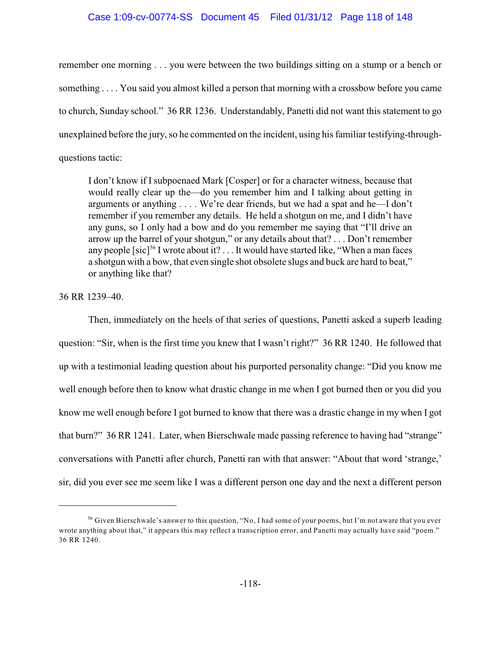## Case 1:09-cv-00774-SS Document 45 Filed 01/31/12 Page 118 of 148

remember one morning . . . you were between the two buildings sitting on a stump or a bench or something . . . . You said you almost killed a person that morning with a crossbow before you came to church, Sunday school." 36 RR 1236. Understandably, Panetti did not want this statement to go unexplained before the jury, so he commented on the incident, using his familiar testifying-throughquestions tactic:

I don't know if I subpoenaed Mark [Cosper] or for a character witness, because that would really clear up the—do you remember him and I talking about getting in arguments or anything . . . . We're dear friends, but we had a spat and he—I don't remember if you remember any details. He held a shotgun on me, and I didn't have any guns, so I only had a bow and do you remember me saying that "I'll drive an arrow up the barrel of your shotgun," or any details about that? . . . Don't remember any people [sic]<sup>56</sup> I wrote about it?  $\dots$  It would have started like, "When a man faces" a shotgun with a bow, that even single shot obsolete slugs and buck are hard to beat," or anything like that?

36 RR 1239–40.

Then, immediately on the heels of that series of questions, Panetti asked a superb leading question: "Sir, when is the first time you knew that I wasn't right?" 36 RR 1240. He followed that up with a testimonial leading question about his purported personality change: "Did you know me well enough before then to know what drastic change in me when I got burned then or you did you know me well enough before I got burned to know that there was a drastic change in my when I got that burn?" 36 RR 1241. Later, when Bierschwale made passing reference to having had "strange" conversations with Panetti after church, Panetti ran with that answer: "About that word 'strange,' sir, did you ever see me seem like I was a different person one day and the next a different person

<sup>&</sup>lt;sup>56</sup> Given Bierschwale's answer to this question, "No, I had some of your poems, but I'm not aware that you ever wrote anything about that," it appears this may reflect a transcription error, and Panetti may actually have said "poem." 36 RR 1240.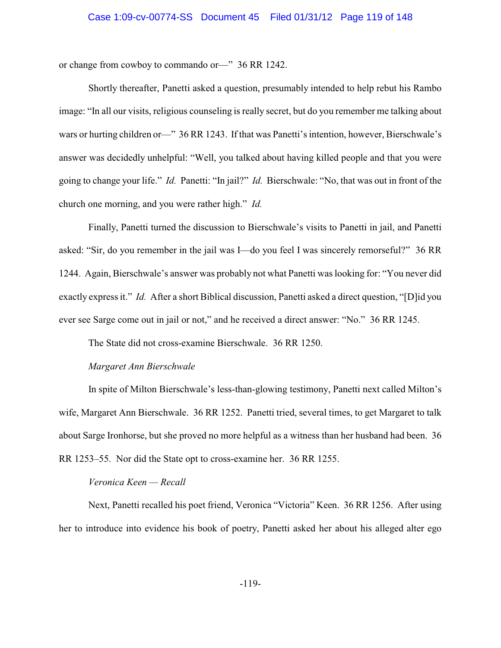or change from cowboy to commando or—" 36 RR 1242.

Shortly thereafter, Panetti asked a question, presumably intended to help rebut his Rambo image: "In all our visits, religious counseling is really secret, but do you remember me talking about wars or hurting children or—" 36 RR 1243. If that was Panetti's intention, however, Bierschwale's answer was decidedly unhelpful: "Well, you talked about having killed people and that you were going to change your life." *Id.* Panetti: "In jail?" *Id.* Bierschwale: "No, that was out in front of the church one morning, and you were rather high." *Id.*

Finally, Panetti turned the discussion to Bierschwale's visits to Panetti in jail, and Panetti asked: "Sir, do you remember in the jail was I—do you feel I was sincerely remorseful?" 36 RR 1244. Again, Bierschwale's answer was probably not what Panetti was looking for: "You never did exactly express it." *Id.* After a short Biblical discussion, Panetti asked a direct question, "[D]id you ever see Sarge come out in jail or not," and he received a direct answer: "No." 36 RR 1245.

The State did not cross-examine Bierschwale. 36 RR 1250.

## *Margaret Ann Bierschwale*

In spite of Milton Bierschwale's less-than-glowing testimony, Panetti next called Milton's wife, Margaret Ann Bierschwale. 36 RR 1252. Panetti tried, several times, to get Margaret to talk about Sarge Ironhorse, but she proved no more helpful as a witness than her husband had been. 36 RR 1253–55. Nor did the State opt to cross-examine her. 36 RR 1255.

## *Veronica Keen — Recall*

Next, Panetti recalled his poet friend, Veronica "Victoria" Keen. 36 RR 1256. After using her to introduce into evidence his book of poetry, Panetti asked her about his alleged alter ego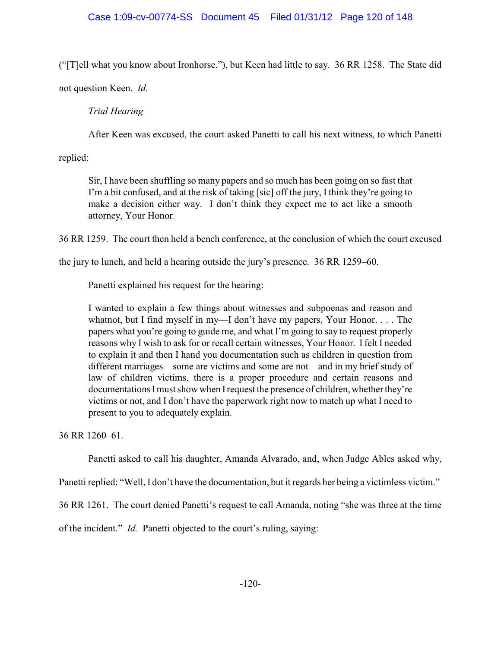("[T]ell what you know about Ironhorse."), but Keen had little to say. 36 RR 1258. The State did

not question Keen. *Id.*

# *Trial Hearing*

After Keen was excused, the court asked Panetti to call his next witness, to which Panetti

replied:

Sir, I have been shuffling so many papers and so much has been going on so fast that I'm a bit confused, and at the risk of taking [sic] off the jury, I think they're going to make a decision either way. I don't think they expect me to act like a smooth attorney, Your Honor.

36 RR 1259. The court then held a bench conference, at the conclusion of which the court excused

the jury to lunch, and held a hearing outside the jury's presence. 36 RR 1259–60.

Panetti explained his request for the hearing:

I wanted to explain a few things about witnesses and subpoenas and reason and whatnot, but I find myself in my—I don't have my papers, Your Honor. . . . The papers what you're going to guide me, and what I'm going to say to request properly reasons why I wish to ask for or recall certain witnesses, Your Honor. I felt I needed to explain it and then I hand you documentation such as children in question from different marriages—some are victims and some are not—and in my brief study of law of children victims, there is a proper procedure and certain reasons and documentations I must show when I request the presence of children, whether they're victims or not, and I don't have the paperwork right now to match up what I need to present to you to adequately explain.

36 RR 1260–61.

Panetti asked to call his daughter, Amanda Alvarado, and, when Judge Ables asked why,

Panetti replied: "Well, I don't have the documentation, but it regards her being a victimless victim."

36 RR 1261. The court denied Panetti's request to call Amanda, noting "she was three at the time

of the incident." *Id.* Panetti objected to the court's ruling, saying: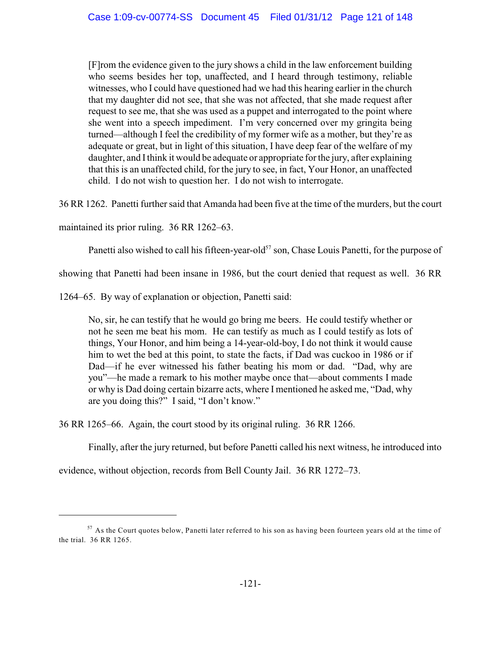[F]rom the evidence given to the jury shows a child in the law enforcement building who seems besides her top, unaffected, and I heard through testimony, reliable witnesses, who I could have questioned had we had this hearing earlier in the church that my daughter did not see, that she was not affected, that she made request after request to see me, that she was used as a puppet and interrogated to the point where she went into a speech impediment. I'm very concerned over my gringita being turned—although I feel the credibility of my former wife as a mother, but they're as adequate or great, but in light of this situation, I have deep fear of the welfare of my daughter, and I think it would be adequate or appropriate for the jury, after explaining that this is an unaffected child, for the jury to see, in fact, Your Honor, an unaffected child. I do not wish to question her. I do not wish to interrogate.

36 RR 1262. Panetti further said that Amanda had been five at the time of the murders, but the court

maintained its prior ruling. 36 RR 1262–63.

Panetti also wished to call his fifteen-year-old<sup>57</sup> son, Chase Louis Panetti, for the purpose of

showing that Panetti had been insane in 1986, but the court denied that request as well. 36 RR

1264–65. By way of explanation or objection, Panetti said:

No, sir, he can testify that he would go bring me beers. He could testify whether or not he seen me beat his mom. He can testify as much as I could testify as lots of things, Your Honor, and him being a 14-year-old-boy, I do not think it would cause him to wet the bed at this point, to state the facts, if Dad was cuckoo in 1986 or if Dad—if he ever witnessed his father beating his mom or dad. "Dad, why are you"—he made a remark to his mother maybe once that—about comments I made or why is Dad doing certain bizarre acts, where I mentioned he asked me, "Dad, why are you doing this?" I said, "I don't know."

36 RR 1265–66. Again, the court stood by its original ruling. 36 RR 1266.

Finally, after the jury returned, but before Panetti called his next witness, he introduced into

evidence, without objection, records from Bell County Jail. 36 RR 1272–73.

 $57$  As the Court quotes below, Panetti later referred to his son as having been fourteen years old at the time of the trial. 36 RR 1265.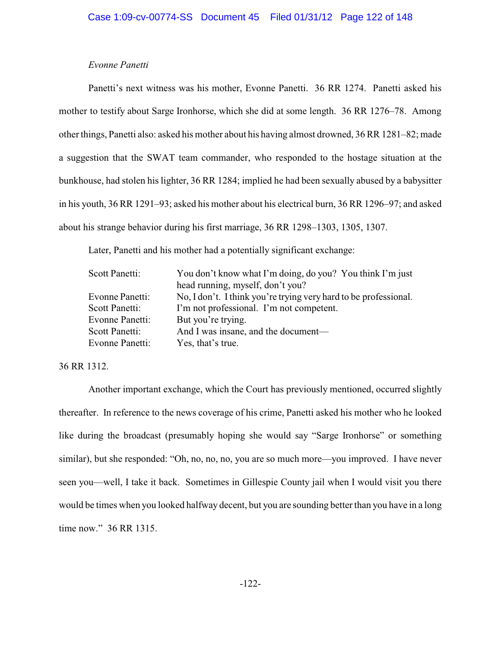### *Evonne Panetti*

Panetti's next witness was his mother, Evonne Panetti. 36 RR 1274. Panetti asked his mother to testify about Sarge Ironhorse, which she did at some length. 36 RR 1276–78. Among other things, Panetti also: asked his mother about his having almost drowned, 36 RR 1281–82; made a suggestion that the SWAT team commander, who responded to the hostage situation at the bunkhouse, had stolen his lighter, 36 RR 1284; implied he had been sexually abused by a babysitter in his youth, 36 RR 1291–93; asked his mother about his electrical burn, 36 RR 1296–97; and asked about his strange behavior during his first marriage, 36 RR 1298–1303, 1305, 1307.

Later, Panetti and his mother had a potentially significant exchange:

| Scott Panetti:         | You don't know what I'm doing, do you? You think I'm just        |
|------------------------|------------------------------------------------------------------|
|                        | head running, myself, don't you?                                 |
| Evonne Panetti:        | No, I don't. I think you're trying very hard to be professional. |
| Scott Panetti:         | I'm not professional. I'm not competent.                         |
| <b>Evonne Panetti:</b> | But you're trying.                                               |
| Scott Panetti:         | And I was insane, and the document-                              |
| Evonne Panetti:        | Yes, that's true.                                                |

36 RR 1312.

Another important exchange, which the Court has previously mentioned, occurred slightly thereafter. In reference to the news coverage of his crime, Panetti asked his mother who he looked like during the broadcast (presumably hoping she would say "Sarge Ironhorse" or something similar), but she responded: "Oh, no, no, no, you are so much more—you improved. I have never seen you—well, I take it back. Sometimes in Gillespie County jail when I would visit you there would be times when you looked halfway decent, but you are sounding better than you have in a long time now." 36 RR 1315.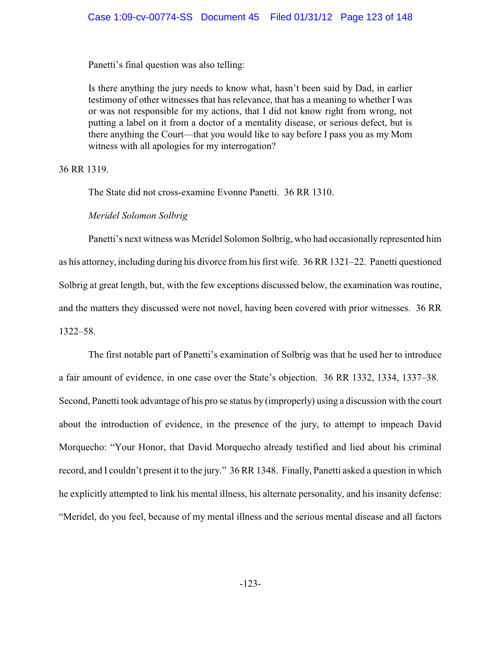Panetti's final question was also telling:

Is there anything the jury needs to know what, hasn't been said by Dad, in earlier testimony of other witnesses that has relevance, that has a meaning to whether I was or was not responsible for my actions, that I did not know right from wrong, not putting a label on it from a doctor of a mentality disease, or serious defect, but is there anything the Court—that you would like to say before I pass you as my Mom witness with all apologies for my interrogation?

36 RR 1319.

The State did not cross-examine Evonne Panetti. 36 RR 1310.

*Meridel Solomon Solbrig*

Panetti's next witness was Meridel Solomon Solbrig, who had occasionally represented him as his attorney, including during his divorce from his first wife. 36 RR 1321–22. Panetti questioned Solbrig at great length, but, with the few exceptions discussed below, the examination was routine, and the matters they discussed were not novel, having been covered with prior witnesses. 36 RR 1322–58.

The first notable part of Panetti's examination of Solbrig was that he used her to introduce a fair amount of evidence, in one case over the State's objection. 36 RR 1332, 1334, 1337–38. Second, Panetti took advantage of his pro se status by (improperly) using a discussion with the court about the introduction of evidence, in the presence of the jury, to attempt to impeach David Morquecho: "Your Honor, that David Morquecho already testified and lied about his criminal record, and I couldn't present it to the jury." 36 RR 1348. Finally, Panetti asked a question in which he explicitly attempted to link his mental illness, his alternate personality, and his insanity defense: "Meridel, do you feel, because of my mental illness and the serious mental disease and all factors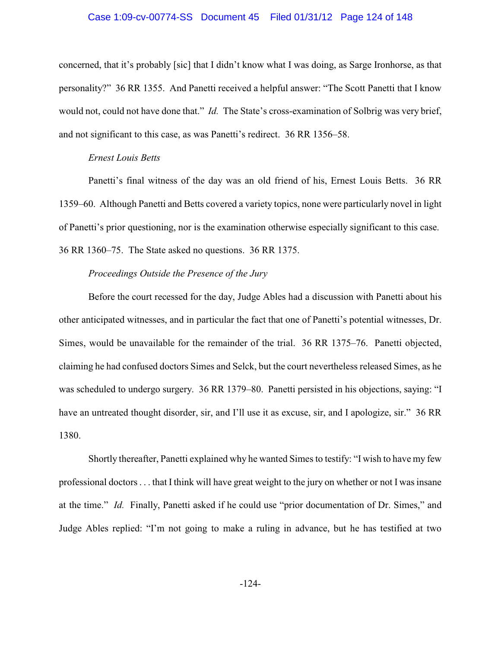### Case 1:09-cv-00774-SS Document 45 Filed 01/31/12 Page 124 of 148

concerned, that it's probably [sic] that I didn't know what I was doing, as Sarge Ironhorse, as that personality?" 36 RR 1355. And Panetti received a helpful answer: "The Scott Panetti that I know would not, could not have done that." *Id.* The State's cross-examination of Solbrig was very brief, and not significant to this case, as was Panetti's redirect. 36 RR 1356–58.

### *Ernest Louis Betts*

Panetti's final witness of the day was an old friend of his, Ernest Louis Betts. 36 RR 1359–60. Although Panetti and Betts covered a variety topics, none were particularly novel in light of Panetti's prior questioning, nor is the examination otherwise especially significant to this case. 36 RR 1360–75. The State asked no questions. 36 RR 1375.

### *Proceedings Outside the Presence of the Jury*

Before the court recessed for the day, Judge Ables had a discussion with Panetti about his other anticipated witnesses, and in particular the fact that one of Panetti's potential witnesses, Dr. Simes, would be unavailable for the remainder of the trial. 36 RR 1375–76. Panetti objected, claiming he had confused doctors Simes and Selck, but the court nevertheless released Simes, as he was scheduled to undergo surgery. 36 RR 1379–80. Panetti persisted in his objections, saying: "I have an untreated thought disorder, sir, and I'll use it as excuse, sir, and I apologize, sir." 36 RR 1380.

Shortly thereafter, Panetti explained why he wanted Simes to testify: "I wish to have my few professional doctors . . . that I think will have great weight to the jury on whether or not I was insane at the time." *Id.* Finally, Panetti asked if he could use "prior documentation of Dr. Simes," and Judge Ables replied: "I'm not going to make a ruling in advance, but he has testified at two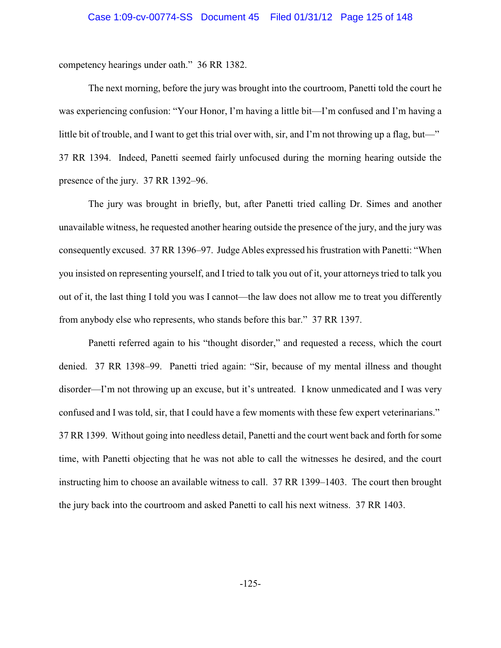competency hearings under oath." 36 RR 1382.

The next morning, before the jury was brought into the courtroom, Panetti told the court he was experiencing confusion: "Your Honor, I'm having a little bit—I'm confused and I'm having a little bit of trouble, and I want to get this trial over with, sir, and I'm not throwing up a flag, but—" 37 RR 1394. Indeed, Panetti seemed fairly unfocused during the morning hearing outside the presence of the jury. 37 RR 1392–96.

The jury was brought in briefly, but, after Panetti tried calling Dr. Simes and another unavailable witness, he requested another hearing outside the presence of the jury, and the jury was consequently excused. 37 RR 1396–97. Judge Ables expressed his frustration with Panetti: "When you insisted on representing yourself, and I tried to talk you out of it, your attorneys tried to talk you out of it, the last thing I told you was I cannot—the law does not allow me to treat you differently from anybody else who represents, who stands before this bar." 37 RR 1397.

Panetti referred again to his "thought disorder," and requested a recess, which the court denied. 37 RR 1398–99. Panetti tried again: "Sir, because of my mental illness and thought disorder—I'm not throwing up an excuse, but it's untreated. I know unmedicated and I was very confused and I was told, sir, that I could have a few moments with these few expert veterinarians." 37 RR 1399. Without going into needless detail, Panetti and the court went back and forth for some time, with Panetti objecting that he was not able to call the witnesses he desired, and the court instructing him to choose an available witness to call. 37 RR 1399–1403. The court then brought the jury back into the courtroom and asked Panetti to call his next witness. 37 RR 1403.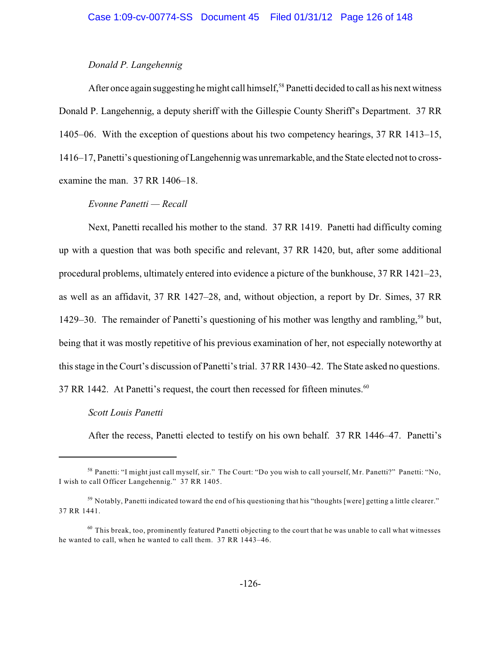## *Donald P. Langehennig*

After once again suggesting he might call himself,<sup>58</sup> Panetti decided to call as his next witness Donald P. Langehennig, a deputy sheriff with the Gillespie County Sheriff's Department. 37 RR 1405–06. With the exception of questions about his two competency hearings, 37 RR 1413–15, 1416–17, Panetti's questioning of Langehennigwas unremarkable, and the State elected not to crossexamine the man. 37 RR 1406–18.

## *Evonne Panetti — Recall*

Next, Panetti recalled his mother to the stand. 37 RR 1419. Panetti had difficulty coming up with a question that was both specific and relevant, 37 RR 1420, but, after some additional procedural problems, ultimately entered into evidence a picture of the bunkhouse, 37 RR 1421–23, as well as an affidavit, 37 RR 1427–28, and, without objection, a report by Dr. Simes, 37 RR 1429–30. The remainder of Panetti's questioning of his mother was lengthy and rambling,<sup>59</sup> but, being that it was mostly repetitive of his previous examination of her, not especially noteworthy at this stage in the Court's discussion of Panetti's trial. 37 RR 1430–42. The State asked no questions. 37 RR 1442. At Panetti's request, the court then recessed for fifteen minutes.<sup>60</sup>

#### *Scott Louis Panetti*

After the recess, Panetti elected to testify on his own behalf. 37 RR 1446–47. Panetti's

 $^{58}$  Panetti: "I might just call myself, sir." The Court: "Do you wish to call yourself, Mr. Panetti?" Panetti: "No, I wish to call Officer Langehennig." 37 RR 1405.

 $59$  Notably, Panetti indicated toward the end of his questioning that his "thoughts [were] getting a little clearer." 37 RR 1441.

 $^{60}$  This break, too, prominently featured Panetti objecting to the court that he was unable to call what witnesses he wanted to call, when he wanted to call them. 37 RR 1443–46.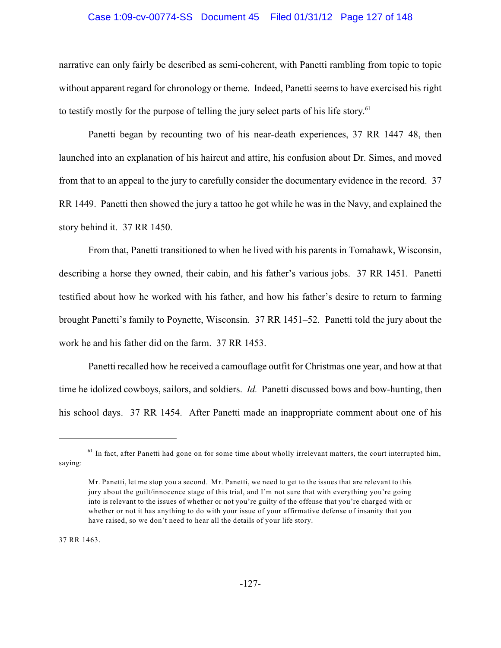### Case 1:09-cv-00774-SS Document 45 Filed 01/31/12 Page 127 of 148

narrative can only fairly be described as semi-coherent, with Panetti rambling from topic to topic without apparent regard for chronology or theme. Indeed, Panetti seems to have exercised his right to testify mostly for the purpose of telling the jury select parts of his life story.<sup>61</sup>

Panetti began by recounting two of his near-death experiences, 37 RR 1447–48, then launched into an explanation of his haircut and attire, his confusion about Dr. Simes, and moved from that to an appeal to the jury to carefully consider the documentary evidence in the record. 37 RR 1449. Panetti then showed the jury a tattoo he got while he was in the Navy, and explained the story behind it. 37 RR 1450.

From that, Panetti transitioned to when he lived with his parents in Tomahawk, Wisconsin, describing a horse they owned, their cabin, and his father's various jobs. 37 RR 1451. Panetti testified about how he worked with his father, and how his father's desire to return to farming brought Panetti's family to Poynette, Wisconsin. 37 RR 1451–52. Panetti told the jury about the work he and his father did on the farm. 37 RR 1453.

Panetti recalled how he received a camouflage outfit for Christmas one year, and how at that time he idolized cowboys, sailors, and soldiers. *Id.* Panetti discussed bows and bow-hunting, then his school days. 37 RR 1454. After Panetti made an inappropriate comment about one of his

37 RR 1463.

 $61$  In fact, after Panetti had gone on for some time about wholly irrelevant matters, the court interrupted him, saying:

Mr. Panetti, let me stop you a second. Mr. Panetti, we need to get to the issues that are relevant to this jury about the guilt/innocence stage of this trial, and I'm not sure that with everything you're going into is relevant to the issues of whether or not you're guilty of the offense that you're charged with or whether or not it has anything to do with your issue of your affirmative defense of insanity that you have raised, so we don't need to hear all the details of your life story.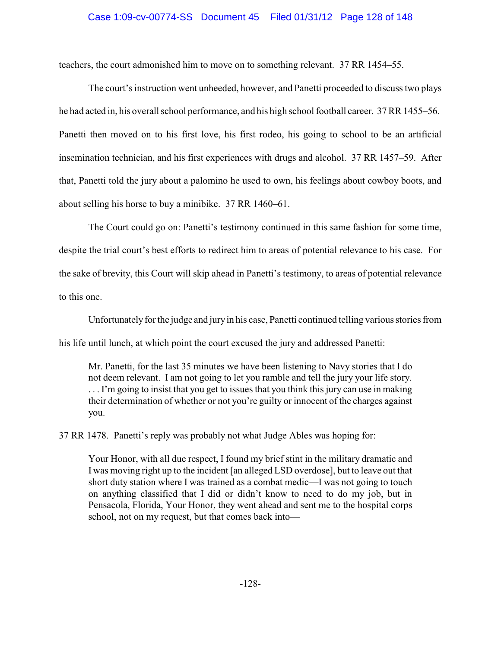## Case 1:09-cv-00774-SS Document 45 Filed 01/31/12 Page 128 of 148

teachers, the court admonished him to move on to something relevant. 37 RR 1454–55.

The court's instruction went unheeded, however, and Panetti proceeded to discuss two plays he had acted in, his overall school performance, and his high school football career. 37 RR 1455–56. Panetti then moved on to his first love, his first rodeo, his going to school to be an artificial insemination technician, and his first experiences with drugs and alcohol. 37 RR 1457–59. After that, Panetti told the jury about a palomino he used to own, his feelings about cowboy boots, and about selling his horse to buy a minibike. 37 RR 1460–61.

The Court could go on: Panetti's testimony continued in this same fashion for some time, despite the trial court's best efforts to redirect him to areas of potential relevance to his case. For the sake of brevity, this Court will skip ahead in Panetti's testimony, to areas of potential relevance to this one.

Unfortunately for the judge and jury in his case, Panetti continued telling various stories from his life until lunch, at which point the court excused the jury and addressed Panetti:

Mr. Panetti, for the last 35 minutes we have been listening to Navy stories that I do not deem relevant. I am not going to let you ramble and tell the jury your life story. . . . I'm going to insist that you get to issues that you think this jury can use in making their determination of whether or not you're guilty or innocent of the charges against you.

37 RR 1478. Panetti's reply was probably not what Judge Ables was hoping for:

Your Honor, with all due respect, I found my brief stint in the military dramatic and I was moving right up to the incident [an alleged LSD overdose], but to leave out that short duty station where I was trained as a combat medic—I was not going to touch on anything classified that I did or didn't know to need to do my job, but in Pensacola, Florida, Your Honor, they went ahead and sent me to the hospital corps school, not on my request, but that comes back into—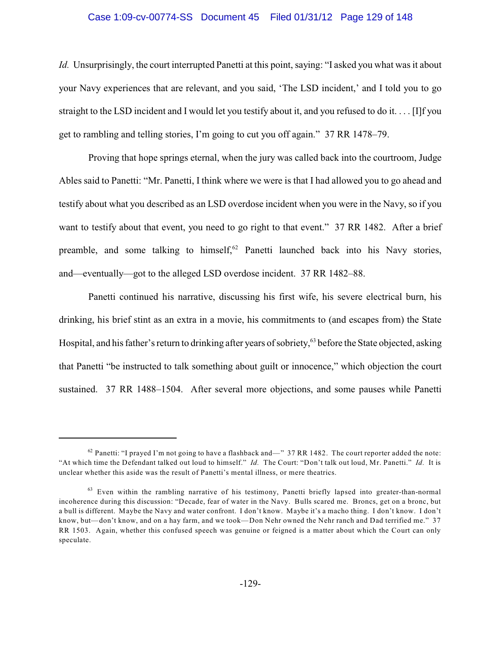### Case 1:09-cv-00774-SS Document 45 Filed 01/31/12 Page 129 of 148

*Id.* Unsurprisingly, the court interrupted Panetti at this point, saying: "I asked you what was it about your Navy experiences that are relevant, and you said, 'The LSD incident,' and I told you to go straight to the LSD incident and I would let you testify about it, and you refused to do it. . . . [I]f you get to rambling and telling stories, I'm going to cut you off again." 37 RR 1478–79.

Proving that hope springs eternal, when the jury was called back into the courtroom, Judge Ables said to Panetti: "Mr. Panetti, I think where we were is that I had allowed you to go ahead and testify about what you described as an LSD overdose incident when you were in the Navy, so if you want to testify about that event, you need to go right to that event." 37 RR 1482. After a brief preamble, and some talking to himself, $62$  Panetti launched back into his Navy stories, and—eventually—got to the alleged LSD overdose incident. 37 RR 1482–88.

Panetti continued his narrative, discussing his first wife, his severe electrical burn, his drinking, his brief stint as an extra in a movie, his commitments to (and escapes from) the State Hospital, and his father's return to drinking after years of sobriety,<sup>63</sup> before the State objected, asking that Panetti "be instructed to talk something about guilt or innocence," which objection the court sustained. 37 RR 1488–1504. After several more objections, and some pauses while Panetti

 $^{62}$  Panetti: "I prayed I'm not going to have a flashback and—" 37 RR 1482. The court reporter added the note: "At which time the Defendant talked out loud to himself." *Id.* The Court: "Don't talk out loud, Mr. Panetti." *Id.* It is unclear whether this aside was the result of Panetti's mental illness, or mere theatrics.

 $63$  Even within the rambling narrative of his testimony, Panetti briefly lapsed into greater-than-normal incoherence during this discussion: "Decade, fear of water in the Navy. Bulls scared me. Broncs, get on a bronc, but a bull is different. Maybe the Navy and water confront. I don't know. Maybe it's a macho thing. I don't know. I don't know, but—don't know, and on a hay farm, and we took—Don Nehr owned the Nehr ranch and Dad terrified me." 37 RR 1503. Again, whether this confused speech was genuine or feigned is a matter about which the Court can only speculate.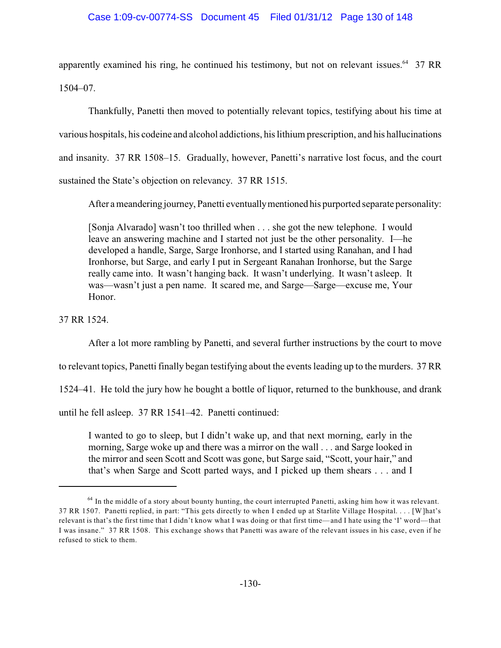## Case 1:09-cv-00774-SS Document 45 Filed 01/31/12 Page 130 of 148

apparently examined his ring, he continued his testimony, but not on relevant issues.  $64$  37 RR 1504–07.

Thankfully, Panetti then moved to potentially relevant topics, testifying about his time at various hospitals, his codeine and alcohol addictions, his lithium prescription, and his hallucinations and insanity. 37 RR 1508–15. Gradually, however, Panetti's narrative lost focus, and the court sustained the State's objection on relevancy. 37 RR 1515.

After a meandering journey, Panetti eventuallymentioned his purported separate personality:

[Sonja Alvarado] wasn't too thrilled when . . . she got the new telephone. I would leave an answering machine and I started not just be the other personality. I—he developed a handle, Sarge, Sarge Ironhorse, and I started using Ranahan, and I had Ironhorse, but Sarge, and early I put in Sergeant Ranahan Ironhorse, but the Sarge really came into. It wasn't hanging back. It wasn't underlying. It wasn't asleep. It was—wasn't just a pen name. It scared me, and Sarge—Sarge—excuse me, Your Honor.

37 RR 1524.

After a lot more rambling by Panetti, and several further instructions by the court to move

to relevant topics, Panetti finally began testifying about the events leading up to the murders. 37 RR

1524–41. He told the jury how he bought a bottle of liquor, returned to the bunkhouse, and drank

until he fell asleep. 37 RR 1541–42. Panetti continued:

I wanted to go to sleep, but I didn't wake up, and that next morning, early in the morning, Sarge woke up and there was a mirror on the wall . . . and Sarge looked in the mirror and seen Scott and Scott was gone, but Sarge said, "Scott, your hair," and that's when Sarge and Scott parted ways, and I picked up them shears . . . and I

<sup>&</sup>lt;sup>64</sup> In the middle of a story about bounty hunting, the court interrupted Panetti, asking him how it was relevant. 37 RR 1507. Panetti replied, in part: "This gets directly to when I ended up at Starlite Village Hospital. . . . [W]hat's relevant is that's the first time that I didn't know what I was doing or that first time—and I hate using the 'I' word—that I was insane." 37 RR 1508. This exchange shows that Panetti was aware of the relevant issues in his case, even if he refused to stick to them.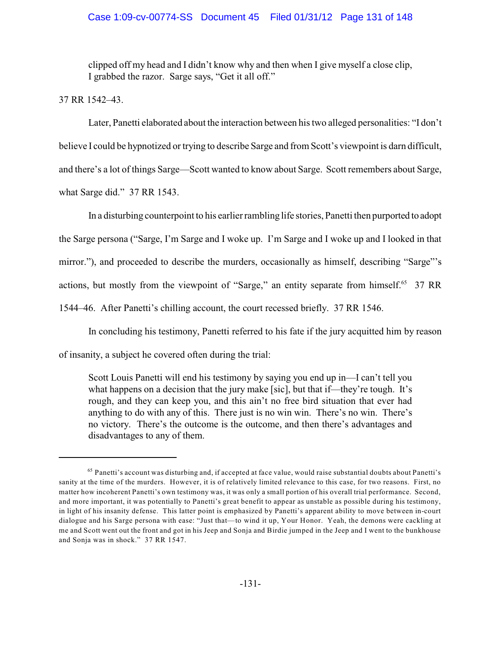## Case 1:09-cv-00774-SS Document 45 Filed 01/31/12 Page 131 of 148

clipped off my head and I didn't know why and then when I give myself a close clip, I grabbed the razor. Sarge says, "Get it all off."

37 RR 1542–43.

Later, Panetti elaborated about the interaction between his two alleged personalities: "I don't believe I could be hypnotized or trying to describe Sarge and from Scott's viewpoint is darn difficult, and there's a lot of things Sarge—Scott wanted to know about Sarge. Scott remembers about Sarge, what Sarge did." 37 RR 1543.

In a disturbing counterpoint to his earlier rambling life stories, Panetti then purported to adopt the Sarge persona ("Sarge, I'm Sarge and I woke up. I'm Sarge and I woke up and I looked in that mirror."), and proceeded to describe the murders, occasionally as himself, describing "Sarge"'s actions, but mostly from the viewpoint of "Sarge," an entity separate from himself.<sup>65</sup> 37 RR 1544–46. After Panetti's chilling account, the court recessed briefly. 37 RR 1546.

In concluding his testimony, Panetti referred to his fate if the jury acquitted him by reason

of insanity, a subject he covered often during the trial:

Scott Louis Panetti will end his testimony by saying you end up in—I can't tell you what happens on a decision that the jury make [sic], but that if—they're tough. It's rough, and they can keep you, and this ain't no free bird situation that ever had anything to do with any of this. There just is no win win. There's no win. There's no victory. There's the outcome is the outcome, and then there's advantages and disadvantages to any of them.

 $65$  Panetti's account was disturbing and, if accepted at face value, would raise substantial doubts about Panetti's sanity at the time of the murders. However, it is of relatively limited relevance to this case, for two reasons. First, no matter how incoherent Panetti's own testimony was, it was only a small portion of his overall trial performance. Second, and more important, it was potentially to Panetti's great benefit to appear as unstable as possible during his testimony, in light of his insanity defense. This latter point is emphasized by Panetti's apparent ability to move between in-court dialogue and his Sarge persona with ease: "Just that—to wind it up, Your Honor. Yeah, the demons were cackling at me and Scott went out the front and got in his Jeep and Sonja and Birdie jumped in the Jeep and I went to the bunkhouse and Sonja was in shock." 37 RR 1547.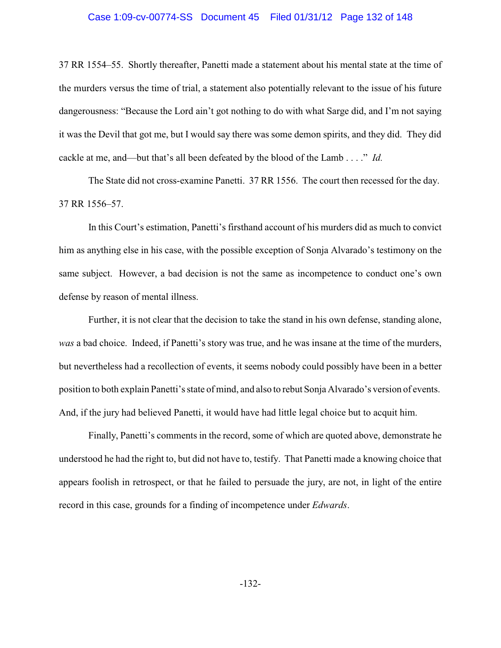## Case 1:09-cv-00774-SS Document 45 Filed 01/31/12 Page 132 of 148

37 RR 1554–55. Shortly thereafter, Panetti made a statement about his mental state at the time of the murders versus the time of trial, a statement also potentially relevant to the issue of his future dangerousness: "Because the Lord ain't got nothing to do with what Sarge did, and I'm not saying it was the Devil that got me, but I would say there was some demon spirits, and they did. They did cackle at me, and—but that's all been defeated by the blood of the Lamb . . . ." *Id.*

The State did not cross-examine Panetti. 37 RR 1556. The court then recessed for the day. 37 RR 1556–57.

In this Court's estimation, Panetti's firsthand account of his murders did as much to convict him as anything else in his case, with the possible exception of Sonja Alvarado's testimony on the same subject. However, a bad decision is not the same as incompetence to conduct one's own defense by reason of mental illness.

Further, it is not clear that the decision to take the stand in his own defense, standing alone, *was* a bad choice. Indeed, if Panetti's story was true, and he was insane at the time of the murders, but nevertheless had a recollection of events, it seems nobody could possibly have been in a better position to both explain Panetti's state of mind, and also to rebut Sonja Alvarado's version of events. And, if the jury had believed Panetti, it would have had little legal choice but to acquit him.

Finally, Panetti's comments in the record, some of which are quoted above, demonstrate he understood he had the right to, but did not have to, testify. That Panetti made a knowing choice that appears foolish in retrospect, or that he failed to persuade the jury, are not, in light of the entire record in this case, grounds for a finding of incompetence under *Edwards*.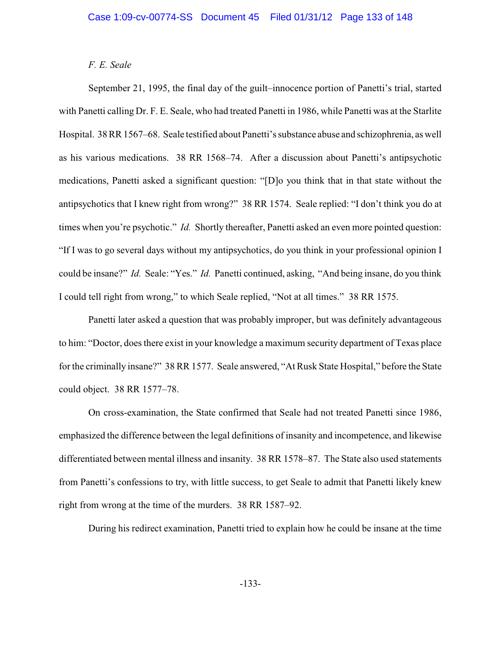## *F. E. Seale*

September 21, 1995, the final day of the guilt–innocence portion of Panetti's trial, started with Panetti calling Dr. F. E. Seale, who had treated Panetti in 1986, while Panetti was at the Starlite Hospital. 38 RR 1567–68. Seale testified about Panetti's substance abuse and schizophrenia, as well as his various medications. 38 RR 1568–74. After a discussion about Panetti's antipsychotic medications, Panetti asked a significant question: "[D]o you think that in that state without the antipsychotics that I knew right from wrong?" 38 RR 1574. Seale replied: "I don't think you do at times when you're psychotic." *Id.* Shortly thereafter, Panetti asked an even more pointed question: "If I was to go several days without my antipsychotics, do you think in your professional opinion I could be insane?" *Id.* Seale: "Yes." *Id.* Panetti continued, asking, "And being insane, do you think I could tell right from wrong," to which Seale replied, "Not at all times." 38 RR 1575.

Panetti later asked a question that was probably improper, but was definitely advantageous to him: "Doctor, does there exist in your knowledge a maximum security department of Texas place for the criminally insane?" 38 RR 1577. Seale answered, "At Rusk State Hospital," before the State could object. 38 RR 1577–78.

On cross-examination, the State confirmed that Seale had not treated Panetti since 1986, emphasized the difference between the legal definitions of insanity and incompetence, and likewise differentiated between mental illness and insanity. 38 RR 1578–87. The State also used statements from Panetti's confessions to try, with little success, to get Seale to admit that Panetti likely knew right from wrong at the time of the murders. 38 RR 1587–92.

During his redirect examination, Panetti tried to explain how he could be insane at the time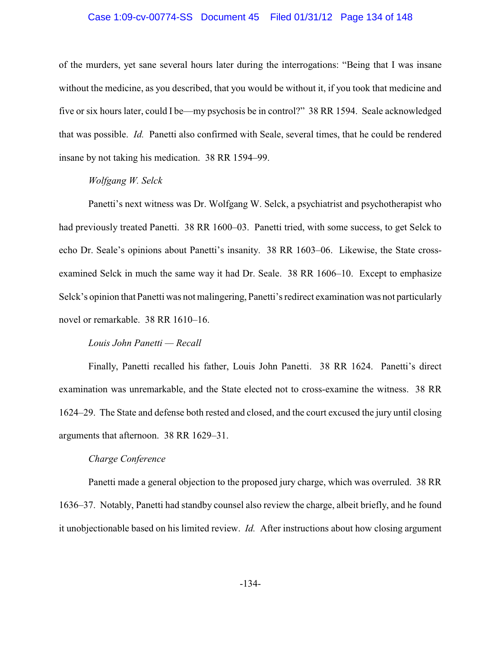### Case 1:09-cv-00774-SS Document 45 Filed 01/31/12 Page 134 of 148

of the murders, yet sane several hours later during the interrogations: "Being that I was insane without the medicine, as you described, that you would be without it, if you took that medicine and five or six hours later, could I be—my psychosis be in control?" 38 RR 1594. Seale acknowledged that was possible. *Id.* Panetti also confirmed with Seale, several times, that he could be rendered insane by not taking his medication. 38 RR 1594–99.

## *Wolfgang W. Selck*

Panetti's next witness was Dr. Wolfgang W. Selck, a psychiatrist and psychotherapist who had previously treated Panetti. 38 RR 1600–03. Panetti tried, with some success, to get Selck to echo Dr. Seale's opinions about Panetti's insanity. 38 RR 1603–06. Likewise, the State crossexamined Selck in much the same way it had Dr. Seale. 38 RR 1606–10. Except to emphasize Selck's opinion that Panetti was not malingering, Panetti's redirect examination was not particularly novel or remarkable. 38 RR 1610–16.

### *Louis John Panetti — Recall*

Finally, Panetti recalled his father, Louis John Panetti. 38 RR 1624. Panetti's direct examination was unremarkable, and the State elected not to cross-examine the witness. 38 RR 1624–29. The State and defense both rested and closed, and the court excused the jury until closing arguments that afternoon. 38 RR 1629–31.

### *Charge Conference*

Panetti made a general objection to the proposed jury charge, which was overruled. 38 RR 1636–37. Notably, Panetti had standby counsel also review the charge, albeit briefly, and he found it unobjectionable based on his limited review. *Id.* After instructions about how closing argument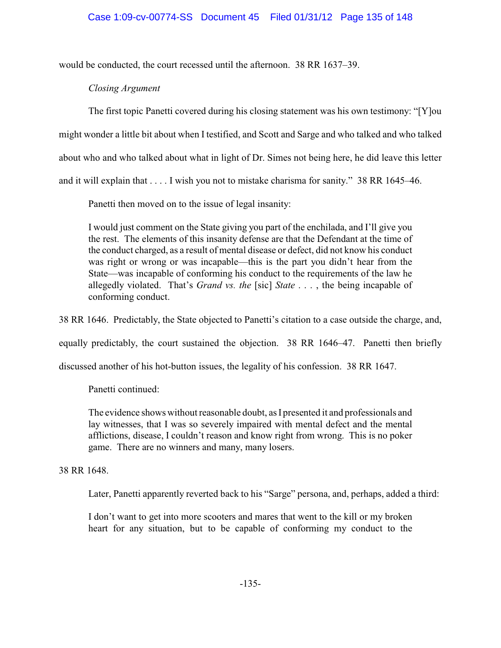would be conducted, the court recessed until the afternoon. 38 RR 1637–39.

*Closing Argument*

The first topic Panetti covered during his closing statement was his own testimony: "[Y]ou might wonder a little bit about when I testified, and Scott and Sarge and who talked and who talked about who and who talked about what in light of Dr. Simes not being here, he did leave this letter and it will explain that . . . . I wish you not to mistake charisma for sanity." 38 RR 1645–46.

Panetti then moved on to the issue of legal insanity:

I would just comment on the State giving you part of the enchilada, and I'll give you the rest. The elements of this insanity defense are that the Defendant at the time of the conduct charged, as a result of mental disease or defect, did not know his conduct was right or wrong or was incapable—this is the part you didn't hear from the State—was incapable of conforming his conduct to the requirements of the law he allegedly violated. That's *Grand vs. the* [sic] *State* . . . , the being incapable of conforming conduct.

38 RR 1646. Predictably, the State objected to Panetti's citation to a case outside the charge, and,

equally predictably, the court sustained the objection. 38 RR 1646–47. Panetti then briefly

discussed another of his hot-button issues, the legality of his confession. 38 RR 1647.

Panetti continued:

The evidence shows without reasonable doubt, as I presented it and professionals and lay witnesses, that I was so severely impaired with mental defect and the mental afflictions, disease, I couldn't reason and know right from wrong. This is no poker game. There are no winners and many, many losers.

38 RR 1648.

Later, Panetti apparently reverted back to his "Sarge" persona, and, perhaps, added a third:

I don't want to get into more scooters and mares that went to the kill or my broken heart for any situation, but to be capable of conforming my conduct to the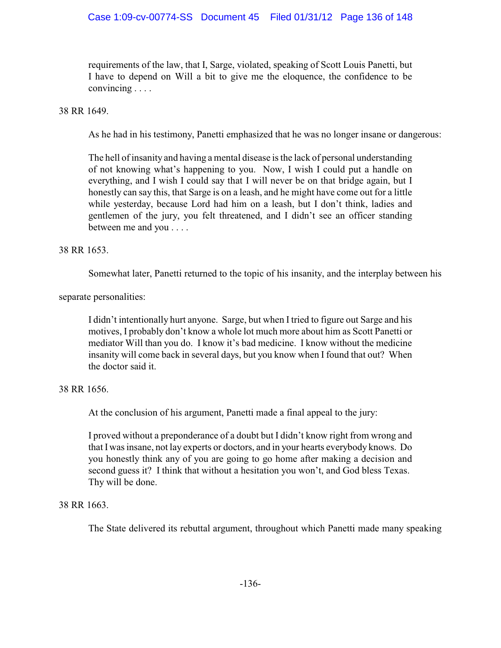# Case 1:09-cv-00774-SS Document 45 Filed 01/31/12 Page 136 of 148

requirements of the law, that I, Sarge, violated, speaking of Scott Louis Panetti, but I have to depend on Will a bit to give me the eloquence, the confidence to be convincing . . . .

## 38 RR 1649.

As he had in his testimony, Panetti emphasized that he was no longer insane or dangerous:

The hell of insanity and having a mental disease is the lack of personal understanding of not knowing what's happening to you. Now, I wish I could put a handle on everything, and I wish I could say that I will never be on that bridge again, but I honestly can say this, that Sarge is on a leash, and he might have come out for a little while yesterday, because Lord had him on a leash, but I don't think, ladies and gentlemen of the jury, you felt threatened, and I didn't see an officer standing between me and you . . . .

## 38 RR 1653.

Somewhat later, Panetti returned to the topic of his insanity, and the interplay between his

separate personalities:

I didn't intentionally hurt anyone. Sarge, but when I tried to figure out Sarge and his motives, I probably don't know a whole lot much more about him as Scott Panetti or mediator Will than you do. I know it's bad medicine. I know without the medicine insanity will come back in several days, but you know when I found that out? When the doctor said it.

## 38 RR 1656.

At the conclusion of his argument, Panetti made a final appeal to the jury:

I proved without a preponderance of a doubt but I didn't know right from wrong and that I was insane, not lay experts or doctors, and in your hearts everybody knows. Do you honestly think any of you are going to go home after making a decision and second guess it? I think that without a hesitation you won't, and God bless Texas. Thy will be done.

## 38 RR 1663.

The State delivered its rebuttal argument, throughout which Panetti made many speaking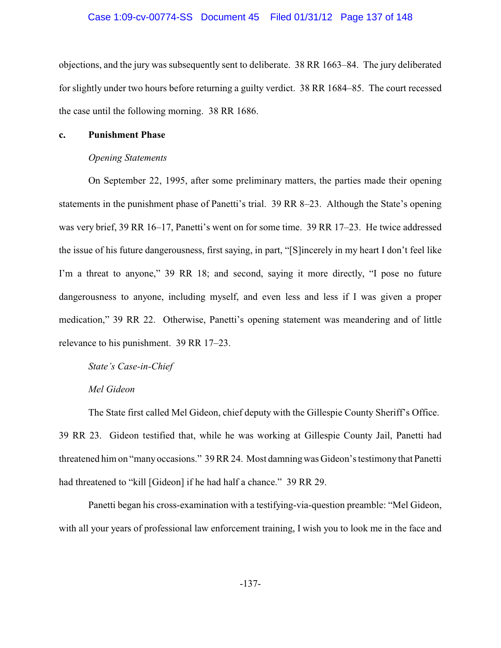### Case 1:09-cv-00774-SS Document 45 Filed 01/31/12 Page 137 of 148

objections, and the jury was subsequently sent to deliberate. 38 RR 1663–84. The jury deliberated for slightly under two hours before returning a guilty verdict. 38 RR 1684–85. The court recessed the case until the following morning. 38 RR 1686.

### **c. Punishment Phase**

### *Opening Statements*

On September 22, 1995, after some preliminary matters, the parties made their opening statements in the punishment phase of Panetti's trial. 39 RR 8–23. Although the State's opening was very brief, 39 RR 16–17, Panetti's went on for some time. 39 RR 17–23. He twice addressed the issue of his future dangerousness, first saying, in part, "[S]incerely in my heart I don't feel like I'm a threat to anyone," 39 RR 18; and second, saying it more directly, "I pose no future dangerousness to anyone, including myself, and even less and less if I was given a proper medication," 39 RR 22. Otherwise, Panetti's opening statement was meandering and of little relevance to his punishment. 39 RR 17–23.

*State's Case-in-Chief*

## *Mel Gideon*

The State first called Mel Gideon, chief deputy with the Gillespie County Sheriff's Office. 39 RR 23. Gideon testified that, while he was working at Gillespie County Jail, Panetti had threatened him on "manyoccasions." 39 RR 24. Most damningwas Gideon's testimony that Panetti had threatened to "kill [Gideon] if he had half a chance." 39 RR 29.

Panetti began his cross-examination with a testifying-via-question preamble: "Mel Gideon, with all your years of professional law enforcement training, I wish you to look me in the face and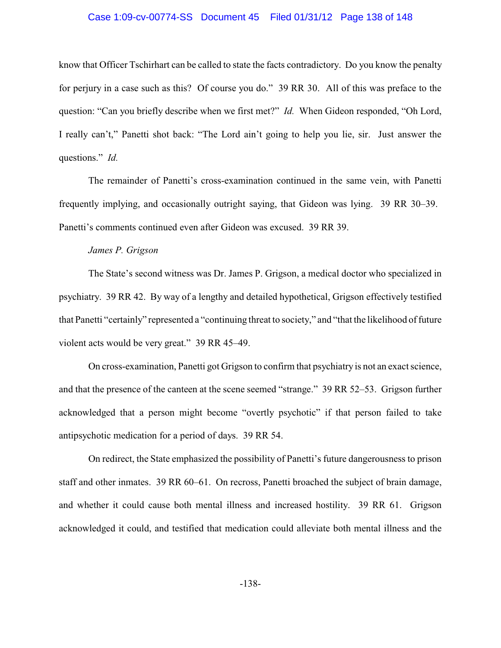### Case 1:09-cv-00774-SS Document 45 Filed 01/31/12 Page 138 of 148

know that Officer Tschirhart can be called to state the facts contradictory. Do you know the penalty for perjury in a case such as this? Of course you do." 39 RR 30. All of this was preface to the question: "Can you briefly describe when we first met?" *Id.* When Gideon responded, "Oh Lord, I really can't," Panetti shot back: "The Lord ain't going to help you lie, sir. Just answer the questions." *Id.*

The remainder of Panetti's cross-examination continued in the same vein, with Panetti frequently implying, and occasionally outright saying, that Gideon was lying. 39 RR 30–39. Panetti's comments continued even after Gideon was excused. 39 RR 39.

### *James P. Grigson*

The State's second witness was Dr. James P. Grigson, a medical doctor who specialized in psychiatry. 39 RR 42. By way of a lengthy and detailed hypothetical, Grigson effectively testified that Panetti "certainly" represented a "continuing threat to society," and "that the likelihood of future violent acts would be very great." 39 RR 45–49.

On cross-examination, Panetti got Grigson to confirm that psychiatry is not an exact science, and that the presence of the canteen at the scene seemed "strange." 39 RR 52–53. Grigson further acknowledged that a person might become "overtly psychotic" if that person failed to take antipsychotic medication for a period of days. 39 RR 54.

On redirect, the State emphasized the possibility of Panetti's future dangerousness to prison staff and other inmates. 39 RR 60–61. On recross, Panetti broached the subject of brain damage, and whether it could cause both mental illness and increased hostility. 39 RR 61. Grigson acknowledged it could, and testified that medication could alleviate both mental illness and the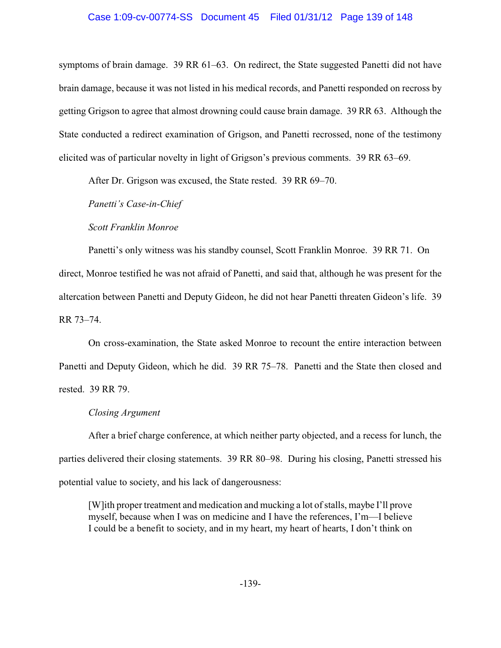### Case 1:09-cv-00774-SS Document 45 Filed 01/31/12 Page 139 of 148

symptoms of brain damage. 39 RR 61–63. On redirect, the State suggested Panetti did not have brain damage, because it was not listed in his medical records, and Panetti responded on recross by getting Grigson to agree that almost drowning could cause brain damage. 39 RR 63. Although the State conducted a redirect examination of Grigson, and Panetti recrossed, none of the testimony elicited was of particular novelty in light of Grigson's previous comments. 39 RR 63–69.

After Dr. Grigson was excused, the State rested. 39 RR 69–70.

*Panetti's Case-in-Chief*

*Scott Franklin Monroe*

Panetti's only witness was his standby counsel, Scott Franklin Monroe. 39 RR 71. On direct, Monroe testified he was not afraid of Panetti, and said that, although he was present for the altercation between Panetti and Deputy Gideon, he did not hear Panetti threaten Gideon's life. 39 RR 73–74.

On cross-examination, the State asked Monroe to recount the entire interaction between Panetti and Deputy Gideon, which he did. 39 RR 75–78. Panetti and the State then closed and rested. 39 RR 79.

#### *Closing Argument*

After a brief charge conference, at which neither party objected, and a recess for lunch, the parties delivered their closing statements. 39 RR 80–98. During his closing, Panetti stressed his potential value to society, and his lack of dangerousness:

[W]ith proper treatment and medication and mucking a lot of stalls, maybe I'll prove myself, because when I was on medicine and I have the references, I'm—I believe I could be a benefit to society, and in my heart, my heart of hearts, I don't think on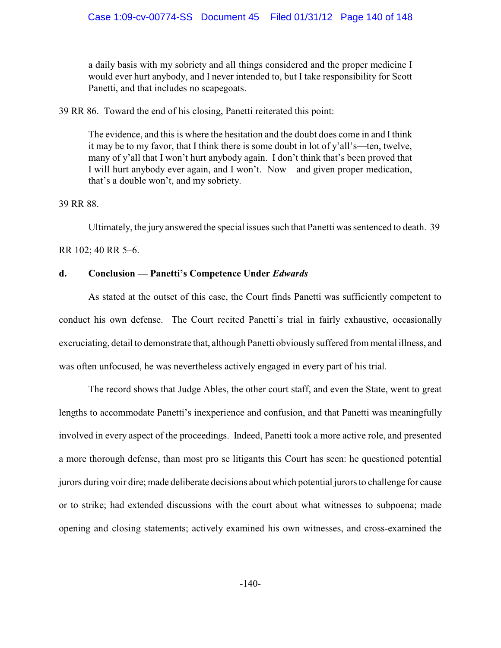a daily basis with my sobriety and all things considered and the proper medicine I would ever hurt anybody, and I never intended to, but I take responsibility for Scott Panetti, and that includes no scapegoats.

39 RR 86. Toward the end of his closing, Panetti reiterated this point:

The evidence, and this is where the hesitation and the doubt does come in and I think it may be to my favor, that I think there is some doubt in lot of y'all's—ten, twelve, many of y'all that I won't hurt anybody again. I don't think that's been proved that I will hurt anybody ever again, and I won't. Now—and given proper medication, that's a double won't, and my sobriety.

### 39 RR 88.

Ultimately, the jury answered the special issues such that Panetti was sentenced to death. 39

RR 102; 40 RR 5–6.

## **d. Conclusion — Panetti's Competence Under** *Edwards*

As stated at the outset of this case, the Court finds Panetti was sufficiently competent to conduct his own defense. The Court recited Panetti's trial in fairly exhaustive, occasionally excruciating, detail to demonstrate that, although Panetti obviously suffered from mental illness, and was often unfocused, he was nevertheless actively engaged in every part of his trial.

The record shows that Judge Ables, the other court staff, and even the State, went to great lengths to accommodate Panetti's inexperience and confusion, and that Panetti was meaningfully involved in every aspect of the proceedings. Indeed, Panetti took a more active role, and presented a more thorough defense, than most pro se litigants this Court has seen: he questioned potential jurors during voir dire; made deliberate decisions about which potential jurors to challenge for cause or to strike; had extended discussions with the court about what witnesses to subpoena; made opening and closing statements; actively examined his own witnesses, and cross-examined the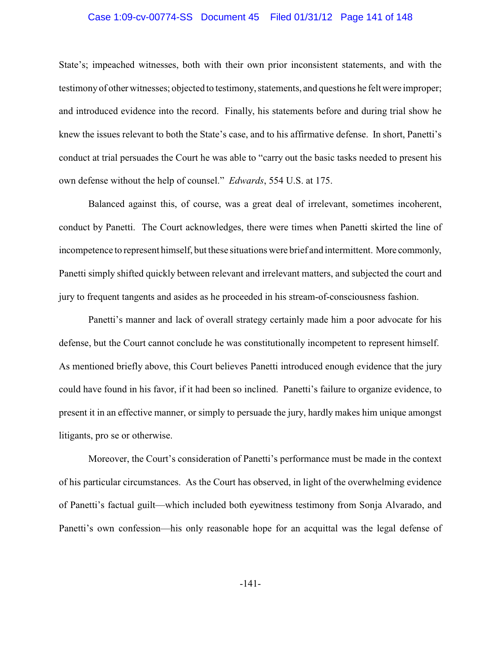## Case 1:09-cv-00774-SS Document 45 Filed 01/31/12 Page 141 of 148

State's; impeached witnesses, both with their own prior inconsistent statements, and with the testimony of other witnesses; objected to testimony, statements, and questions he felt were improper; and introduced evidence into the record. Finally, his statements before and during trial show he knew the issues relevant to both the State's case, and to his affirmative defense. In short, Panetti's conduct at trial persuades the Court he was able to "carry out the basic tasks needed to present his own defense without the help of counsel." *Edwards*, 554 U.S. at 175.

Balanced against this, of course, was a great deal of irrelevant, sometimes incoherent, conduct by Panetti. The Court acknowledges, there were times when Panetti skirted the line of incompetence to represent himself, but these situations were brief and intermittent. More commonly, Panetti simply shifted quickly between relevant and irrelevant matters, and subjected the court and jury to frequent tangents and asides as he proceeded in his stream-of-consciousness fashion.

Panetti's manner and lack of overall strategy certainly made him a poor advocate for his defense, but the Court cannot conclude he was constitutionally incompetent to represent himself. As mentioned briefly above, this Court believes Panetti introduced enough evidence that the jury could have found in his favor, if it had been so inclined. Panetti's failure to organize evidence, to present it in an effective manner, or simply to persuade the jury, hardly makes him unique amongst litigants, pro se or otherwise.

Moreover, the Court's consideration of Panetti's performance must be made in the context of his particular circumstances. As the Court has observed, in light of the overwhelming evidence of Panetti's factual guilt—which included both eyewitness testimony from Sonja Alvarado, and Panetti's own confession—his only reasonable hope for an acquittal was the legal defense of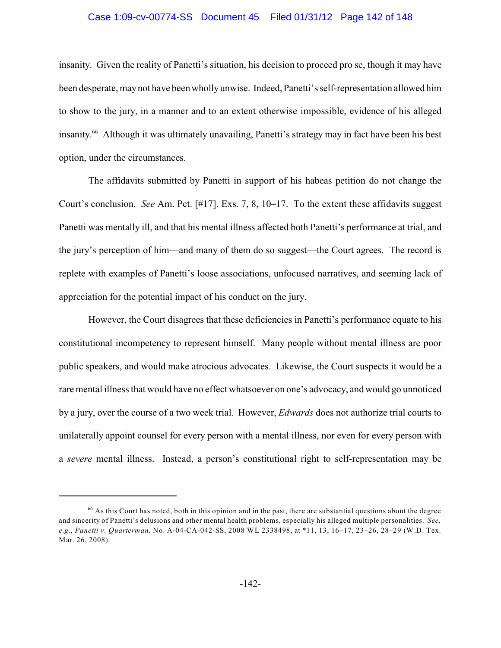## Case 1:09-cv-00774-SS Document 45 Filed 01/31/12 Page 142 of 148

insanity. Given the reality of Panetti's situation, his decision to proceed pro se, though it may have been desperate, maynot have been whollyunwise. Indeed, Panetti's self-representation allowed him to show to the jury, in a manner and to an extent otherwise impossible, evidence of his alleged insanity.<sup>66</sup> Although it was ultimately unavailing, Panetti's strategy may in fact have been his best option, under the circumstances.

The affidavits submitted by Panetti in support of his habeas petition do not change the Court's conclusion. *See* Am. Pet. [#17], Exs. 7, 8, 10–17. To the extent these affidavits suggest Panetti was mentally ill, and that his mental illness affected both Panetti's performance at trial, and the jury's perception of him—and many of them do so suggest—the Court agrees. The record is replete with examples of Panetti's loose associations, unfocused narratives, and seeming lack of appreciation for the potential impact of his conduct on the jury.

However, the Court disagrees that these deficiencies in Panetti's performance equate to his constitutional incompetency to represent himself. Many people without mental illness are poor public speakers, and would make atrocious advocates. Likewise, the Court suspects it would be a rare mental illness that would have no effect whatsoever on one's advocacy, and would go unnoticed by a jury, over the course of a two week trial. However, *Edwards* does not authorize trial courts to unilaterally appoint counsel for every person with a mental illness, nor even for every person with a *severe* mental illness. Instead, a person's constitutional right to self-representation may be

 $66$  As this Court has noted, both in this opinion and in the past, there are substantial questions about the degree and sincerity of Panetti's delusions and other mental health problems, especially his alleged multiple personalities. *See, e.g.*, *Panetti v. Quarterman*, No. A-04-CA-042-SS, 2008 WL 2338498, at \*11, 13, 16–17, 23–26, 28–29 (W.D. Tex. Mar. 26, 2008).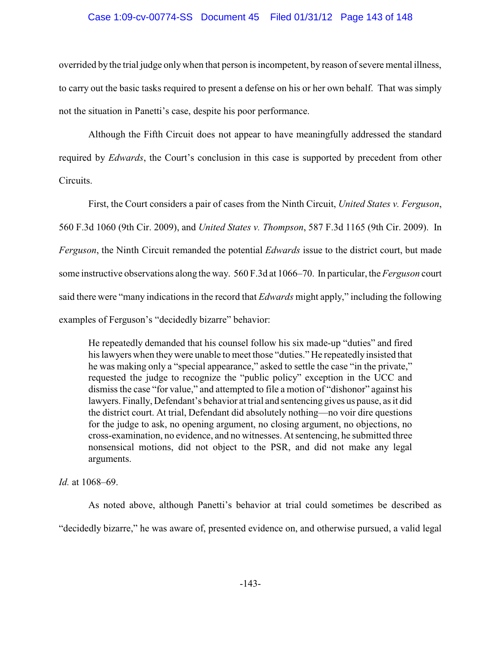## Case 1:09-cv-00774-SS Document 45 Filed 01/31/12 Page 143 of 148

overrided by the trial judge onlywhen that person is incompetent, by reason of severe mental illness, to carry out the basic tasks required to present a defense on his or her own behalf. That was simply not the situation in Panetti's case, despite his poor performance.

Although the Fifth Circuit does not appear to have meaningfully addressed the standard required by *Edwards*, the Court's conclusion in this case is supported by precedent from other Circuits.

First, the Court considers a pair of cases from the Ninth Circuit, *United States v. Ferguson*, 560 F.3d 1060 (9th Cir. 2009), and *United States v. Thompson*, 587 F.3d 1165 (9th Cir. 2009). In *Ferguson*, the Ninth Circuit remanded the potential *Edwards* issue to the district court, but made some instructive observations along the way. 560 F.3d at 1066–70. In particular, the *Ferguson* court said there were "many indications in the record that *Edwards* might apply," including the following examples of Ferguson's "decidedly bizarre" behavior:

He repeatedly demanded that his counsel follow his six made-up "duties" and fired his lawyers when they were unable to meet those "duties." He repeatedly insisted that he was making only a "special appearance," asked to settle the case "in the private," requested the judge to recognize the "public policy" exception in the UCC and dismissthe case "for value," and attempted to file a motion of "dishonor" against his lawyers. Finally, Defendant's behavior at trial and sentencing gives us pause, as it did the district court. At trial, Defendant did absolutely nothing—no voir dire questions for the judge to ask, no opening argument, no closing argument, no objections, no cross-examination, no evidence, and no witnesses. At sentencing, he submitted three nonsensical motions, did not object to the PSR, and did not make any legal arguments.

*Id.* at 1068–69.

As noted above, although Panetti's behavior at trial could sometimes be described as "decidedly bizarre," he was aware of, presented evidence on, and otherwise pursued, a valid legal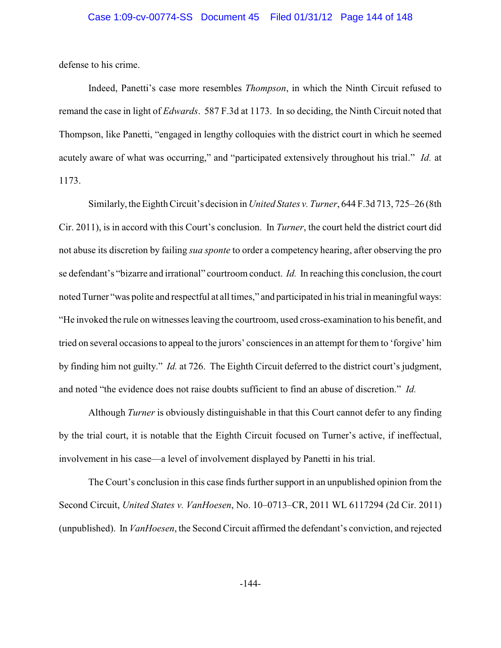defense to his crime.

Indeed, Panetti's case more resembles *Thompson*, in which the Ninth Circuit refused to remand the case in light of *Edwards*. 587 F.3d at 1173. In so deciding, the Ninth Circuit noted that Thompson, like Panetti, "engaged in lengthy colloquies with the district court in which he seemed acutely aware of what was occurring," and "participated extensively throughout his trial." *Id.* at 1173.

Similarly, the Eighth Circuit's decision in *United States v. Turner*, 644 F.3d 713, 725–26 (8th Cir. 2011), is in accord with this Court's conclusion. In *Turner*, the court held the district court did not abuse its discretion by failing *sua sponte* to order a competency hearing, after observing the pro se defendant's "bizarre and irrational" courtroom conduct. *Id.* In reaching this conclusion, the court noted Turner "was polite and respectful at all times," and participated in his trial in meaningful ways: "He invoked the rule on witnesses leaving the courtroom, used cross-examination to his benefit, and tried on several occasions to appeal to the jurors' consciences in an attempt for them to 'forgive' him by finding him not guilty." *Id.* at 726. The Eighth Circuit deferred to the district court's judgment, and noted "the evidence does not raise doubts sufficient to find an abuse of discretion." *Id.*

Although *Turner* is obviously distinguishable in that this Court cannot defer to any finding by the trial court, it is notable that the Eighth Circuit focused on Turner's active, if ineffectual, involvement in his case—a level of involvement displayed by Panetti in his trial.

The Court's conclusion in this case finds further support in an unpublished opinion from the Second Circuit, *United States v. VanHoesen*, No. 10–0713–CR, 2011 WL 6117294 (2d Cir. 2011) (unpublished). In *VanHoesen*, the Second Circuit affirmed the defendant's conviction, and rejected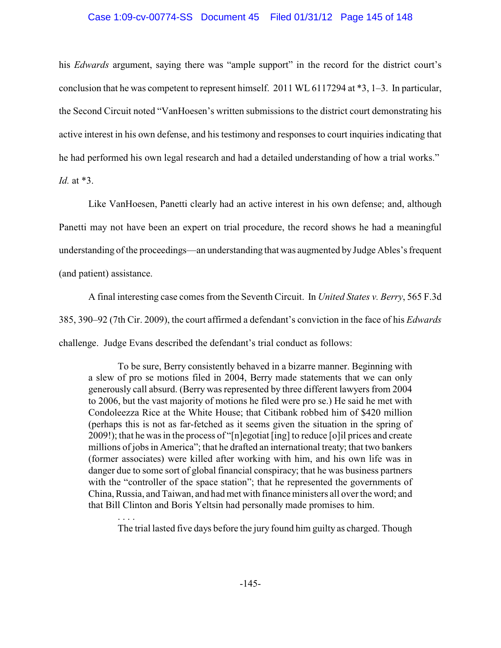## Case 1:09-cv-00774-SS Document 45 Filed 01/31/12 Page 145 of 148

his *Edwards* argument, saying there was "ample support" in the record for the district court's conclusion that he was competent to represent himself. 2011 WL 6117294 at \*3, 1–3. In particular, the Second Circuit noted "VanHoesen's written submissions to the district court demonstrating his active interest in his own defense, and his testimony and responses to court inquiries indicating that he had performed his own legal research and had a detailed understanding of how a trial works." *Id.* at \*3.

Like VanHoesen, Panetti clearly had an active interest in his own defense; and, although Panetti may not have been an expert on trial procedure, the record shows he had a meaningful understanding of the proceedings—an understanding that was augmented by Judge Ables's frequent (and patient) assistance.

A final interesting case comes from the Seventh Circuit. In *United States v. Berry*, 565 F.3d 385, 390–92 (7th Cir. 2009), the court affirmed a defendant's conviction in the face of his *Edwards* challenge. Judge Evans described the defendant's trial conduct as follows:

To be sure, Berry consistently behaved in a bizarre manner. Beginning with a slew of pro se motions filed in 2004, Berry made statements that we can only generously call absurd. (Berry was represented by three different lawyers from 2004 to 2006, but the vast majority of motions he filed were pro se.) He said he met with Condoleezza Rice at the White House; that Citibank robbed him of \$420 million (perhaps this is not as far-fetched as it seems given the situation in the spring of 2009!); that he was in the process of "[n]egotiat [ing] to reduce [o]il prices and create millions of jobs in America"; that he drafted an international treaty; that two bankers (former associates) were killed after working with him, and his own life was in danger due to some sort of global financial conspiracy; that he was business partners with the "controller of the space station"; that he represented the governments of China, Russia, and Taiwan, and had met with finance ministers all over the word; and that Bill Clinton and Boris Yeltsin had personally made promises to him.

The trial lasted five days before the jury found him guilty as charged. Though

. . . .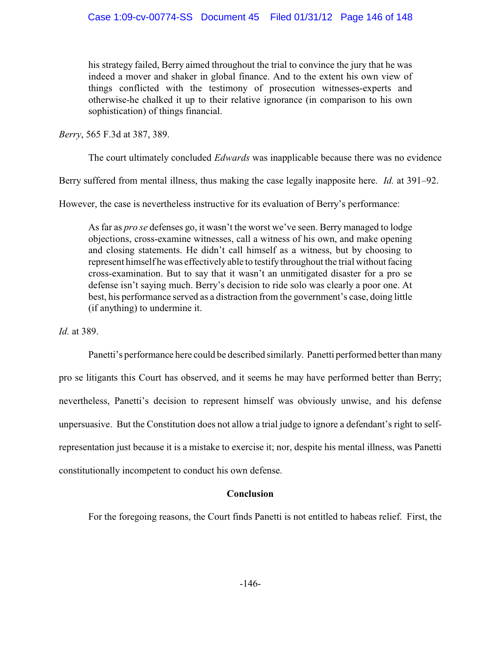his strategy failed, Berry aimed throughout the trial to convince the jury that he was indeed a mover and shaker in global finance. And to the extent his own view of things conflicted with the testimony of prosecution witnesses-experts and otherwise-he chalked it up to their relative ignorance (in comparison to his own sophistication) of things financial.

*Berry*, 565 F.3d at 387, 389.

The court ultimately concluded *Edwards* was inapplicable because there was no evidence

Berry suffered from mental illness, thus making the case legally inapposite here. *Id.* at 391–92.

However, the case is nevertheless instructive for its evaluation of Berry's performance:

As far as *pro se* defenses go, it wasn't the worst we've seen. Berry managed to lodge objections, cross-examine witnesses, call a witness of his own, and make opening and closing statements. He didn't call himself as a witness, but by choosing to represent himself he was effectivelyable to testify throughout the trial without facing cross-examination. But to say that it wasn't an unmitigated disaster for a pro se defense isn't saying much. Berry's decision to ride solo was clearly a poor one. At best, his performance served as a distraction from the government's case, doing little (if anything) to undermine it.

*Id.* at 389.

Panetti's performance here could be described similarly. Panetti performed better than many pro se litigants this Court has observed, and it seems he may have performed better than Berry; nevertheless, Panetti's decision to represent himself was obviously unwise, and his defense unpersuasive. But the Constitution does not allow a trial judge to ignore a defendant's right to selfrepresentation just because it is a mistake to exercise it; nor, despite his mental illness, was Panetti constitutionally incompetent to conduct his own defense.

## **Conclusion**

For the foregoing reasons, the Court finds Panetti is not entitled to habeas relief. First, the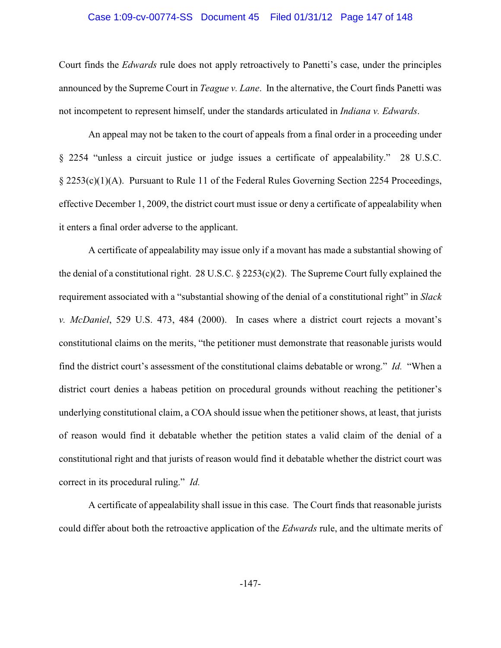## Case 1:09-cv-00774-SS Document 45 Filed 01/31/12 Page 147 of 148

Court finds the *Edwards* rule does not apply retroactively to Panetti's case, under the principles announced by the Supreme Court in *Teague v. Lane*. In the alternative, the Court finds Panetti was not incompetent to represent himself, under the standards articulated in *Indiana v. Edwards*.

An appeal may not be taken to the court of appeals from a final order in a proceeding under § 2254 "unless a circuit justice or judge issues a certificate of appealability." 28 U.S.C. § 2253(c)(1)(A). Pursuant to Rule 11 of the Federal Rules Governing Section 2254 Proceedings, effective December 1, 2009, the district court must issue or deny a certificate of appealability when it enters a final order adverse to the applicant.

A certificate of appealability may issue only if a movant has made a substantial showing of the denial of a constitutional right. 28 U.S.C.  $\S$  2253(c)(2). The Supreme Court fully explained the requirement associated with a "substantial showing of the denial of a constitutional right" in *Slack v. McDaniel*, 529 U.S. 473, 484 (2000). In cases where a district court rejects a movant's constitutional claims on the merits, "the petitioner must demonstrate that reasonable jurists would find the district court's assessment of the constitutional claims debatable or wrong." *Id.* "When a district court denies a habeas petition on procedural grounds without reaching the petitioner's underlying constitutional claim, a COA should issue when the petitioner shows, at least, that jurists of reason would find it debatable whether the petition states a valid claim of the denial of a constitutional right and that jurists of reason would find it debatable whether the district court was correct in its procedural ruling." *Id.*

A certificate of appealability shall issue in this case. The Court finds that reasonable jurists could differ about both the retroactive application of the *Edwards* rule, and the ultimate merits of